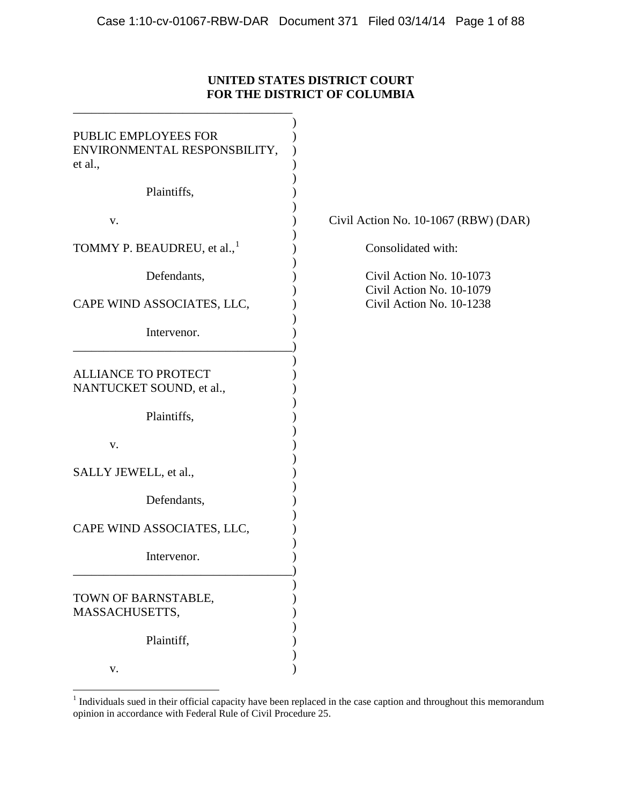# **UNITED STATES DISTRICT COURT FOR THE DISTRICT OF COLUMBIA**

| PUBLIC EMPLOYEES FOR<br>ENVIRONMENTAL RESPONSBILITY,<br>et al.,       |                                                      |
|-----------------------------------------------------------------------|------------------------------------------------------|
| Plaintiffs,                                                           |                                                      |
| V.                                                                    | Civil Action No. 10-1067 (RBW) (DAR)                 |
| TOMMY P. BEAUDREU, et al., <sup>1</sup>                               | Consolidated with:                                   |
| Defendants,                                                           | Civil Action No. 10-1073<br>Civil Action No. 10-1079 |
| CAPE WIND ASSOCIATES, LLC,                                            | Civil Action No. 10-1238                             |
| Intervenor.                                                           |                                                      |
| <b>ALLIANCE TO PROTECT</b><br>NANTUCKET SOUND, et al.,<br>Plaintiffs, |                                                      |
|                                                                       |                                                      |
| V.                                                                    |                                                      |
| SALLY JEWELL, et al.,                                                 |                                                      |
| Defendants,                                                           |                                                      |
| CAPE WIND ASSOCIATES, LLC,                                            |                                                      |
| Intervenor.                                                           |                                                      |
| TOWN OF BARNSTABLE,<br>MASSACHUSETTS,                                 |                                                      |
| Plaintiff,                                                            |                                                      |
| V.                                                                    |                                                      |

<span id="page-0-0"></span><sup>&</sup>lt;sup>1</sup> Individuals sued in their official capacity have been replaced in the case caption and throughout this memorandum opinion in accordance with Federal Rule of Civil Procedure 25.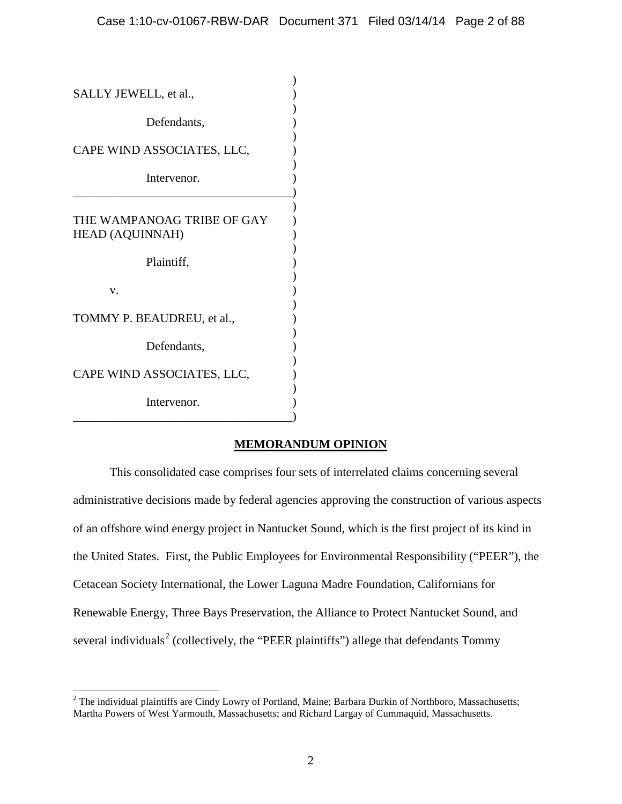| SALLY JEWELL, et al.,                                |  |
|------------------------------------------------------|--|
| Defendants,                                          |  |
| CAPE WIND ASSOCIATES, LLC,                           |  |
| Intervenor.                                          |  |
| THE WAMPANOAG TRIBE OF GAY<br><b>HEAD (AQUINNAH)</b> |  |
| Plaintiff,                                           |  |
| v.                                                   |  |
| TOMMY P. BEAUDREU, et al.,                           |  |
| Defendants,                                          |  |
| CAPE WIND ASSOCIATES, LLC,                           |  |
| Intervenor.                                          |  |

# **MEMORANDUM OPINION**

This consolidated case comprises four sets of interrelated claims concerning several administrative decisions made by federal agencies approving the construction of various aspects of an offshore wind energy project in Nantucket Sound, which is the first project of its kind in the United States. First, the Public Employees for Environmental Responsibility ("PEER"), the Cetacean Society International, the Lower Laguna Madre Foundation, Californians for Renewable Energy, Three Bays Preservation, the Alliance to Protect Nantucket Sound, and several individuals<sup>[2](#page-1-0)</sup> (collectively, the "PEER plaintiffs") allege that defendants Tommy

<span id="page-1-0"></span><sup>&</sup>lt;sup>2</sup> The individual plaintiffs are Cindy Lowry of Portland, Maine; Barbara Durkin of Northboro, Massachusetts; Martha Powers of West Yarmouth, Massachusetts; and Richard Largay of Cummaquid, Massachusetts.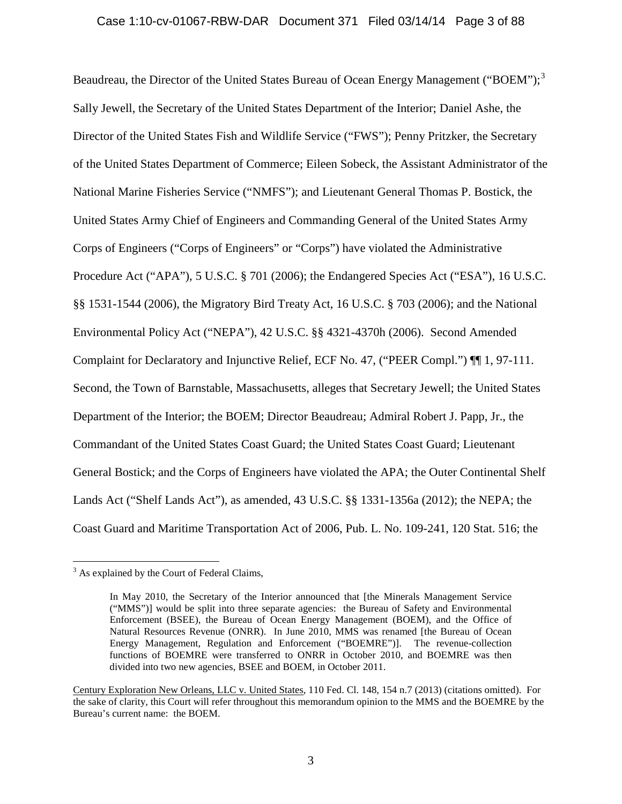### Case 1:10-cv-01067-RBW-DAR Document 371 Filed 03/14/14 Page 3 of 88

Beaudreau, the Director of the United States Bureau of Ocean Energy Management ("BOEM");<sup>[3](#page-2-0)</sup> Sally Jewell, the Secretary of the United States Department of the Interior; Daniel Ashe, the Director of the United States Fish and Wildlife Service ("FWS"); Penny Pritzker, the Secretary of the United States Department of Commerce; Eileen Sobeck, the Assistant Administrator of the National Marine Fisheries Service ("NMFS"); and Lieutenant General Thomas P. Bostick, the United States Army Chief of Engineers and Commanding General of the United States Army Corps of Engineers ("Corps of Engineers" or "Corps") have violated the Administrative Procedure Act ("APA"), 5 U.S.C. § 701 (2006); the Endangered Species Act ("ESA"), 16 U.S.C. §§ 1531-1544 (2006), the Migratory Bird Treaty Act, 16 U.S.C. § 703 (2006); and the National Environmental Policy Act ("NEPA"), 42 U.S.C. §§ 4321-4370h (2006). Second Amended Complaint for Declaratory and Injunctive Relief, ECF No. 47, ("PEER Compl.") ¶¶ 1, 97-111. Second, the Town of Barnstable, Massachusetts, alleges that Secretary Jewell; the United States Department of the Interior; the BOEM; Director Beaudreau; Admiral Robert J. Papp, Jr., the Commandant of the United States Coast Guard; the United States Coast Guard; Lieutenant General Bostick; and the Corps of Engineers have violated the APA; the Outer Continental Shelf Lands Act ("Shelf Lands Act"), as amended, 43 U.S.C. §§ 1331-1356a (2012); the NEPA; the Coast Guard and Maritime Transportation Act of 2006, Pub. L. No. 109-241, 120 Stat. 516; the

<span id="page-2-0"></span> $3$  As explained by the Court of Federal Claims,

In May 2010, the Secretary of the Interior announced that [the Minerals Management Service ("MMS")] would be split into three separate agencies: the Bureau of Safety and Environmental Enforcement (BSEE), the Bureau of Ocean Energy Management (BOEM), and the Office of Natural Resources Revenue (ONRR). In June 2010, MMS was renamed [the Bureau of Ocean Energy Management, Regulation and Enforcement ("BOEMRE")]. The revenue-collection functions of BOEMRE were transferred to ONRR in October 2010, and BOEMRE was then divided into two new agencies, BSEE and BOEM, in October 2011.

Century Exploration New Orleans, LLC v. United States, 110 Fed. Cl. 148, 154 n.7 (2013) (citations omitted). For the sake of clarity, this Court will refer throughout this memorandum opinion to the MMS and the BOEMRE by the Bureau's current name: the BOEM.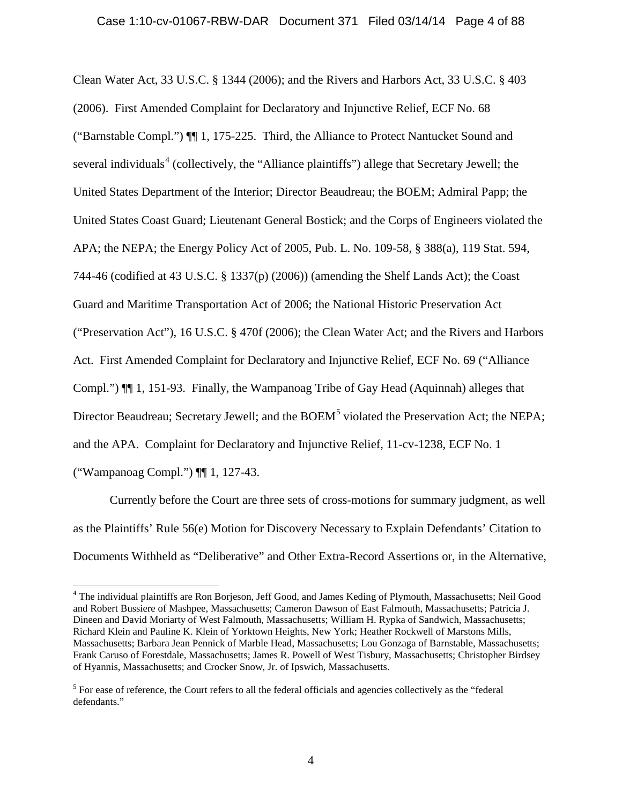Clean Water Act, 33 U.S.C. § 1344 (2006); and the Rivers and Harbors Act, 33 U.S.C. § 403 (2006). First Amended Complaint for Declaratory and Injunctive Relief, ECF No. 68 ("Barnstable Compl.") ¶¶ 1, 175-225. Third, the Alliance to Protect Nantucket Sound and several individuals<sup>[4](#page-3-0)</sup> (collectively, the "Alliance plaintiffs") allege that Secretary Jewell; the United States Department of the Interior; Director Beaudreau; the BOEM; Admiral Papp; the United States Coast Guard; Lieutenant General Bostick; and the Corps of Engineers violated the APA; the NEPA; the Energy Policy Act of 2005, Pub. L. No. 109-58, § 388(a), 119 Stat. 594, 744-46 (codified at 43 U.S.C. § 1337(p) (2006)) (amending the Shelf Lands Act); the Coast Guard and Maritime Transportation Act of 2006; the National Historic Preservation Act ("Preservation Act"), 16 U.S.C. § 470f (2006); the Clean Water Act; and the Rivers and Harbors Act. First Amended Complaint for Declaratory and Injunctive Relief, ECF No. 69 ("Alliance Compl.") ¶¶ 1, 151-93. Finally, the Wampanoag Tribe of Gay Head (Aquinnah) alleges that Director Beaudreau; Secretary Jewell; and the BOEM<sup>[5](#page-3-1)</sup> violated the Preservation Act; the NEPA; and the APA. Complaint for Declaratory and Injunctive Relief, 11-cv-1238, ECF No. 1 ("Wampanoag Compl.") ¶¶ 1, 127-43.

Currently before the Court are three sets of cross-motions for summary judgment, as well as the Plaintiffs' Rule 56(e) Motion for Discovery Necessary to Explain Defendants' Citation to Documents Withheld as "Deliberative" and Other Extra-Record Assertions or, in the Alternative,

<span id="page-3-0"></span><sup>&</sup>lt;sup>4</sup> The individual plaintiffs are Ron Borjeson, Jeff Good, and James Keding of Plymouth, Massachusetts; Neil Good and Robert Bussiere of Mashpee, Massachusetts; Cameron Dawson of East Falmouth, Massachusetts; Patricia J. Dineen and David Moriarty of West Falmouth, Massachusetts; William H. Rypka of Sandwich, Massachusetts; Richard Klein and Pauline K. Klein of Yorktown Heights, New York; Heather Rockwell of Marstons Mills, Massachusetts; Barbara Jean Pennick of Marble Head, Massachusetts; Lou Gonzaga of Barnstable, Massachusetts; Frank Caruso of Forestdale, Massachusetts; James R. Powell of West Tisbury, Massachusetts; Christopher Birdsey of Hyannis, Massachusetts; and Crocker Snow, Jr. of Ipswich, Massachusetts.

<span id="page-3-1"></span><sup>&</sup>lt;sup>5</sup> For ease of reference, the Court refers to all the federal officials and agencies collectively as the "federal" defendants."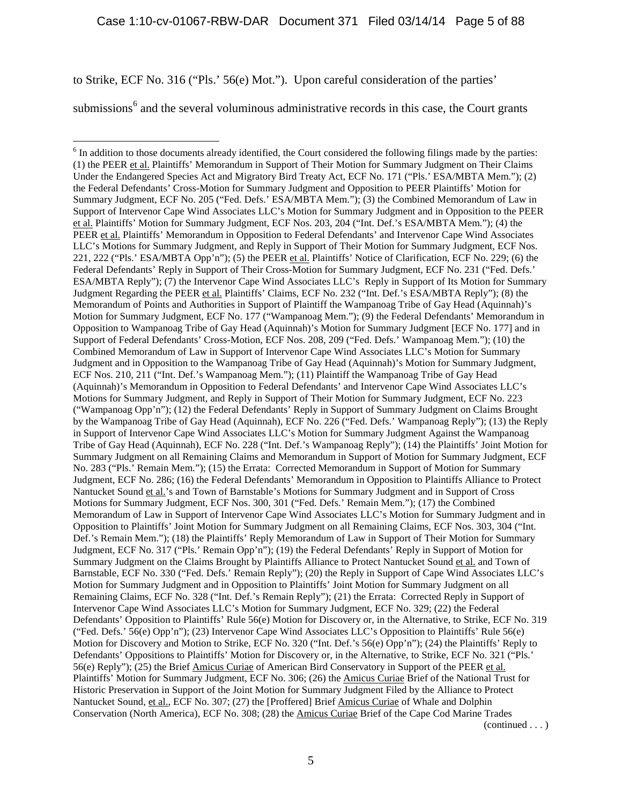to Strike, ECF No. 316 ("Pls.' 56(e) Mot."). Upon careful consideration of the parties'

submissions<sup> $6$ </sup> and the several voluminous administrative records in this case, the Court grants

<span id="page-4-0"></span> $<sup>6</sup>$  In addition to those documents already identified, the Court considered the following filings made by the parties:</sup> (1) the PEER et al. Plaintiffs' Memorandum in Support of Their Motion for Summary Judgment on Their Claims Under the Endangered Species Act and Migratory Bird Treaty Act, ECF No. 171 ("Pls.' ESA/MBTA Mem."); (2) the Federal Defendants' Cross-Motion for Summary Judgment and Opposition to PEER Plaintiffs' Motion for Summary Judgment, ECF No. 205 ("Fed. Defs.' ESA/MBTA Mem."); (3) the Combined Memorandum of Law in Support of Intervenor Cape Wind Associates LLC's Motion for Summary Judgment and in Opposition to the PEER et al. Plaintiffs' Motion for Summary Judgment, ECF Nos. 203, 204 ("Int. Def.'s ESA/MBTA Mem."); (4) the PEER et al. Plaintiffs' Memorandum in Opposition to Federal Defendants' and Intervenor Cape Wind Associates LLC's Motions for Summary Judgment, and Reply in Support of Their Motion for Summary Judgment, ECF Nos. 221, 222 ("Pls.' ESA/MBTA Opp'n"); (5) the PEER et al. Plaintiffs' Notice of Clarification, ECF No. 229; (6) the Federal Defendants' Reply in Support of Their Cross-Motion for Summary Judgment, ECF No. 231 ("Fed. Defs.' ESA/MBTA Reply"); (7) the Intervenor Cape Wind Associates LLC's Reply in Support of Its Motion for Summary Judgment Regarding the PEER et al. Plaintiffs' Claims, ECF No. 232 ("Int. Def.'s ESA/MBTA Reply"); (8) the Memorandum of Points and Authorities in Support of Plaintiff the Wampanoag Tribe of Gay Head (Aquinnah)'s Motion for Summary Judgment, ECF No. 177 ("Wampanoag Mem."); (9) the Federal Defendants' Memorandum in Opposition to Wampanoag Tribe of Gay Head (Aquinnah)'s Motion for Summary Judgment [ECF No. 177] and in Support of Federal Defendants' Cross-Motion, ECF Nos. 208, 209 ("Fed. Defs.' Wampanoag Mem."); (10) the Combined Memorandum of Law in Support of Intervenor Cape Wind Associates LLC's Motion for Summary Judgment and in Opposition to the Wampanoag Tribe of Gay Head (Aquinnah)'s Motion for Summary Judgment, ECF Nos. 210, 211 ("Int. Def.'s Wampanoag Mem."); (11) Plaintiff the Wampanoag Tribe of Gay Head (Aquinnah)'s Memorandum in Opposition to Federal Defendants' and Intervenor Cape Wind Associates LLC's Motions for Summary Judgment, and Reply in Support of Their Motion for Summary Judgment, ECF No. 223 ("Wampanoag Opp'n"); (12) the Federal Defendants' Reply in Support of Summary Judgment on Claims Brought by the Wampanoag Tribe of Gay Head (Aquinnah), ECF No. 226 ("Fed. Defs.' Wampanoag Reply"); (13) the Reply in Support of Intervenor Cape Wind Associates LLC's Motion for Summary Judgment Against the Wampanoag Tribe of Gay Head (Aquinnah), ECF No. 228 ("Int. Def.'s Wampanoag Reply"); (14) the Plaintiffs' Joint Motion for Summary Judgment on all Remaining Claims and Memorandum in Support of Motion for Summary Judgment, ECF No. 283 ("Pls.' Remain Mem."); (15) the Errata: Corrected Memorandum in Support of Motion for Summary Judgment, ECF No. 286; (16) the Federal Defendants' Memorandum in Opposition to Plaintiffs Alliance to Protect Nantucket Sound et al.'s and Town of Barnstable's Motions for Summary Judgment and in Support of Cross Motions for Summary Judgment, ECF Nos. 300, 301 ("Fed. Defs.' Remain Mem."); (17) the Combined Memorandum of Law in Support of Intervenor Cape Wind Associates LLC's Motion for Summary Judgment and in Opposition to Plaintiffs' Joint Motion for Summary Judgment on all Remaining Claims, ECF Nos. 303, 304 ("Int. Def.'s Remain Mem."); (18) the Plaintiffs' Reply Memorandum of Law in Support of Their Motion for Summary Judgment, ECF No. 317 ("Pls.' Remain Opp'n"); (19) the Federal Defendants' Reply in Support of Motion for Summary Judgment on the Claims Brought by Plaintiffs Alliance to Protect Nantucket Sound et al. and Town of Barnstable, ECF No. 330 ("Fed. Defs.' Remain Reply"); (20) the Reply in Support of Cape Wind Associates LLC's Motion for Summary Judgment and in Opposition to Plaintiffs' Joint Motion for Summary Judgment on all Remaining Claims, ECF No. 328 ("Int. Def.'s Remain Reply"); (21) the Errata: Corrected Reply in Support of Intervenor Cape Wind Associates LLC's Motion for Summary Judgment, ECF No. 329; (22) the Federal Defendants' Opposition to Plaintiffs' Rule 56(e) Motion for Discovery or, in the Alternative, to Strike, ECF No. 319 ("Fed. Defs.' 56(e) Opp'n"); (23) Intervenor Cape Wind Associates LLC's Opposition to Plaintiffs' Rule 56(e) Motion for Discovery and Motion to Strike, ECF No. 320 ("Int. Def.'s 56(e) Opp'n"); (24) the Plaintiffs' Reply to Defendants' Oppositions to Plaintiffs' Motion for Discovery or, in the Alternative, to Strike, ECF No. 321 ("Pls.' 56(e) Reply"); (25) the Brief Amicus Curiae of American Bird Conservatory in Support of the PEER et al. Plaintiffs' Motion for Summary Judgment, ECF No. 306; (26) the Amicus Curiae Brief of the National Trust for Historic Preservation in Support of the Joint Motion for Summary Judgment Filed by the Alliance to Protect Nantucket Sound, et al., ECF No. 307; (27) the [Proffered] Brief Amicus Curiae of Whale and Dolphin Conservation (North America), ECF No. 308; (28) the Amicus Curiae Brief of the Cape Cod Marine Trades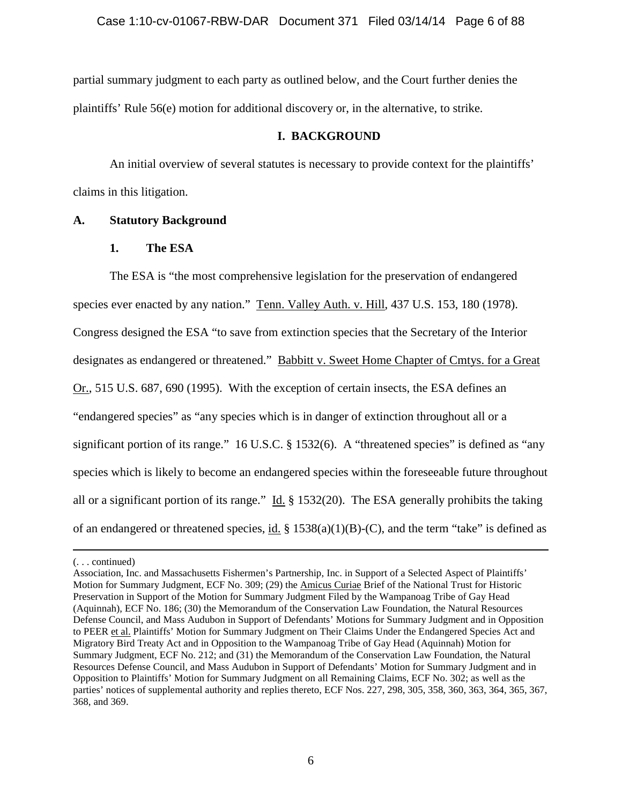partial summary judgment to each party as outlined below, and the Court further denies the plaintiffs' Rule 56(e) motion for additional discovery or, in the alternative, to strike.

## **I. BACKGROUND**

An initial overview of several statutes is necessary to provide context for the plaintiffs' claims in this litigation.

# **A. Statutory Background**

# **1. The ESA**

The ESA is "the most comprehensive legislation for the preservation of endangered species ever enacted by any nation." Tenn. Valley Auth. v. Hill, 437 U.S. 153, 180 (1978). Congress designed the ESA "to save from extinction species that the Secretary of the Interior designates as endangered or threatened." Babbitt v. Sweet Home Chapter of Cmtys. for a Great Or., 515 U.S. 687, 690 (1995). With the exception of certain insects, the ESA defines an "endangered species" as "any species which is in danger of extinction throughout all or a significant portion of its range." 16 U.S.C. § 1532(6). A "threatened species" is defined as "any species which is likely to become an endangered species within the foreseeable future throughout all or a significant portion of its range." Id. § 1532(20). The ESA generally prohibits the taking of an endangered or threatened species, id. § 1538(a)(1)(B)-(C), and the term "take" is defined as

 $\overline{a}$ 

<sup>(. . .</sup> continued)

Association, Inc. and Massachusetts Fishermen's Partnership, Inc. in Support of a Selected Aspect of Plaintiffs' Motion for Summary Judgment, ECF No. 309; (29) the Amicus Curiae Brief of the National Trust for Historic Preservation in Support of the Motion for Summary Judgment Filed by the Wampanoag Tribe of Gay Head (Aquinnah), ECF No. 186; (30) the Memorandum of the Conservation Law Foundation, the Natural Resources Defense Council, and Mass Audubon in Support of Defendants' Motions for Summary Judgment and in Opposition to PEER et al. Plaintiffs' Motion for Summary Judgment on Their Claims Under the Endangered Species Act and Migratory Bird Treaty Act and in Opposition to the Wampanoag Tribe of Gay Head (Aquinnah) Motion for Summary Judgment, ECF No. 212; and (31) the Memorandum of the Conservation Law Foundation, the Natural Resources Defense Council, and Mass Audubon in Support of Defendants' Motion for Summary Judgment and in Opposition to Plaintiffs' Motion for Summary Judgment on all Remaining Claims, ECF No. 302; as well as the parties' notices of supplemental authority and replies thereto, ECF Nos. 227, 298, 305, 358, 360, 363, 364, 365, 367, 368, and 369.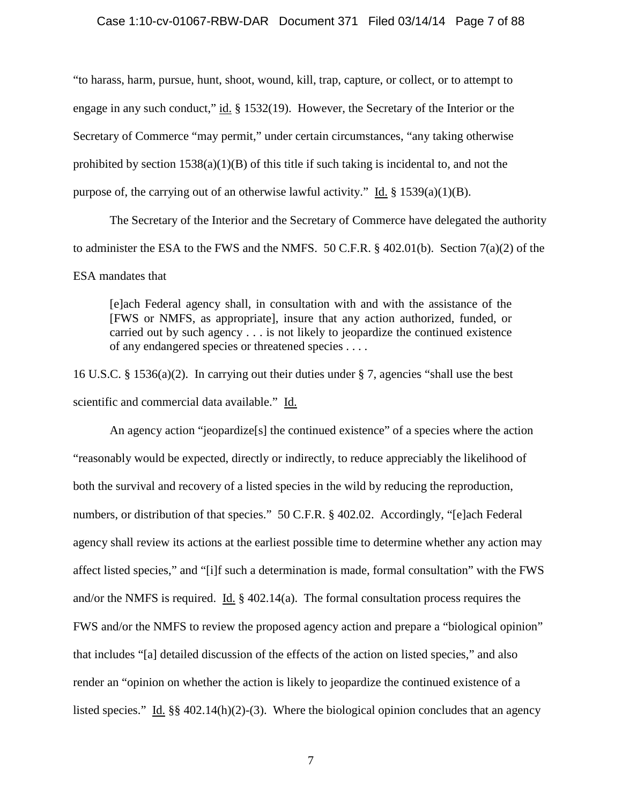### Case 1:10-cv-01067-RBW-DAR Document 371 Filed 03/14/14 Page 7 of 88

"to harass, harm, pursue, hunt, shoot, wound, kill, trap, capture, or collect, or to attempt to engage in any such conduct," id. § 1532(19). However, the Secretary of the Interior or the Secretary of Commerce "may permit," under certain circumstances, "any taking otherwise prohibited by section  $1538(a)(1)(B)$  of this title if such taking is incidental to, and not the purpose of, the carrying out of an otherwise lawful activity." Id.  $\S$  1539(a)(1)(B).

The Secretary of the Interior and the Secretary of Commerce have delegated the authority to administer the ESA to the FWS and the NMFS. 50 C.F.R. § 402.01(b). Section 7(a)(2) of the ESA mandates that

[e]ach Federal agency shall, in consultation with and with the assistance of the [FWS or NMFS, as appropriate], insure that any action authorized, funded, or carried out by such agency . . . is not likely to jeopardize the continued existence of any endangered species or threatened species . . . .

16 U.S.C. § 1536(a)(2). In carrying out their duties under § 7, agencies "shall use the best scientific and commercial data available." Id.

An agency action "jeopardize[s] the continued existence" of a species where the action "reasonably would be expected, directly or indirectly, to reduce appreciably the likelihood of both the survival and recovery of a listed species in the wild by reducing the reproduction, numbers, or distribution of that species." 50 C.F.R. § 402.02. Accordingly, "[e]ach Federal agency shall review its actions at the earliest possible time to determine whether any action may affect listed species," and "[i]f such a determination is made, formal consultation" with the FWS and/or the NMFS is required. Id. § 402.14(a). The formal consultation process requires the FWS and/or the NMFS to review the proposed agency action and prepare a "biological opinion" that includes "[a] detailed discussion of the effects of the action on listed species," and also render an "opinion on whether the action is likely to jeopardize the continued existence of a listed species." Id. §§ 402.14(h)(2)-(3). Where the biological opinion concludes that an agency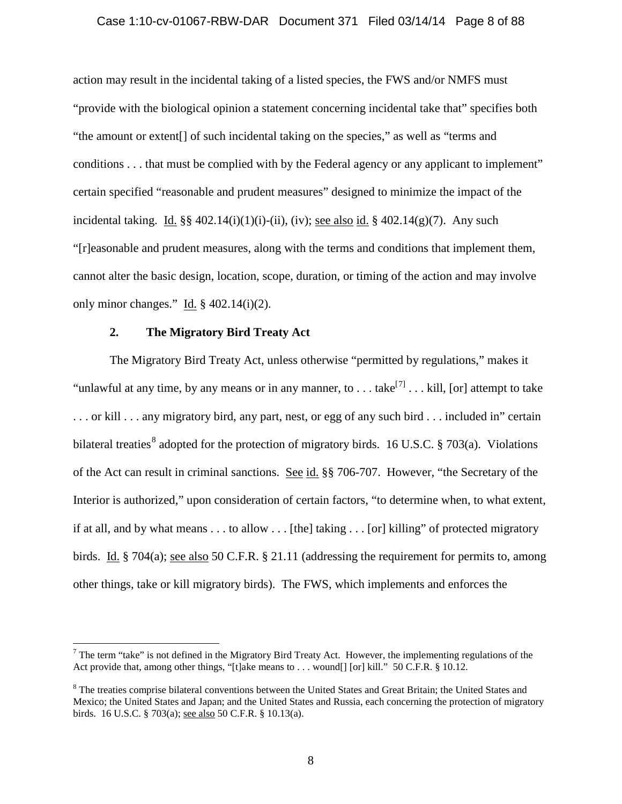### Case 1:10-cv-01067-RBW-DAR Document 371 Filed 03/14/14 Page 8 of 88

action may result in the incidental taking of a listed species, the FWS and/or NMFS must "provide with the biological opinion a statement concerning incidental take that" specifies both "the amount or extent[] of such incidental taking on the species," as well as "terms and conditions . . . that must be complied with by the Federal agency or any applicant to implement" certain specified "reasonable and prudent measures" designed to minimize the impact of the incidental taking. Id.  $\S$ § 402.14(i)(1)(i)-(ii), (iv); see also id. § 402.14(g)(7). Any such "[r]easonable and prudent measures, along with the terms and conditions that implement them, cannot alter the basic design, location, scope, duration, or timing of the action and may involve only minor changes." Id.  $\S$  402.14(i)(2).

### **2. The Migratory Bird Treaty Act**

The Migratory Bird Treaty Act, unless otherwise "permitted by regulations," makes it "unlawful at any time, by any means or in any manner, to . . . take<sup>[[7\]](#page-7-0)</sup> . . . kill, [or] attempt to take . . . or kill . . . any migratory bird, any part, nest, or egg of any such bird . . . included in" certain bilateral treaties<sup>[8](#page-7-1)</sup> adopted for the protection of migratory birds. 16 U.S.C. § 703(a). Violations of the Act can result in criminal sanctions. See id. §§ 706-707. However, "the Secretary of the Interior is authorized," upon consideration of certain factors, "to determine when, to what extent, if at all, and by what means . . . to allow . . . [the] taking . . . [or] killing" of protected migratory birds. Id. § 704(a); <u>see also</u> 50 C.F.R. § 21.11 (addressing the requirement for permits to, among other things, take or kill migratory birds). The FWS, which implements and enforces the

<span id="page-7-0"></span> $<sup>7</sup>$  The term "take" is not defined in the Migratory Bird Treaty Act. However, the implementing regulations of the</sup> Act provide that, among other things, "[t]ake means to . . . wound[] [or] kill." 50 C.F.R. § 10.12.

<span id="page-7-1"></span><sup>&</sup>lt;sup>8</sup> The treaties comprise bilateral conventions between the United States and Great Britain; the United States and Mexico; the United States and Japan; and the United States and Russia, each concerning the protection of migratory birds. 16 U.S.C. § 703(a); see also 50 C.F.R. § 10.13(a).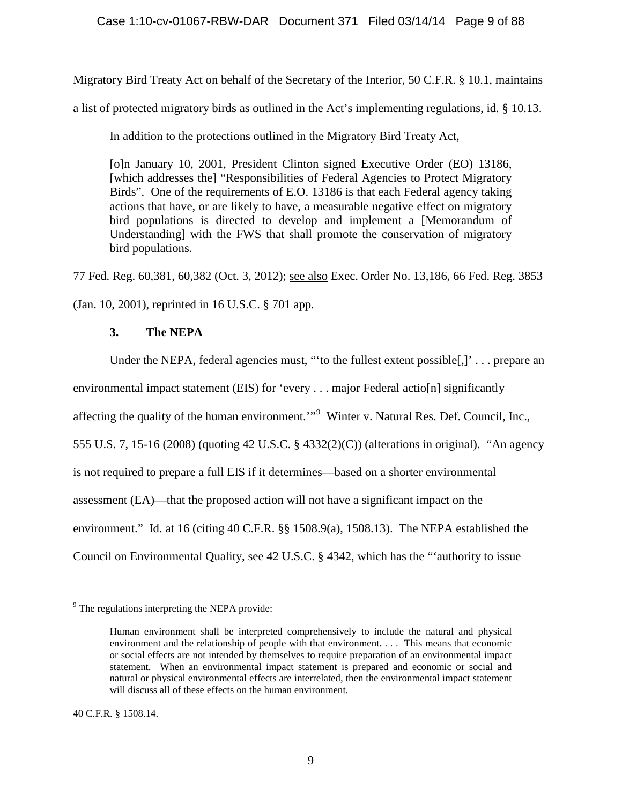## Case 1:10-cv-01067-RBW-DAR Document 371 Filed 03/14/14 Page 9 of 88

Migratory Bird Treaty Act on behalf of the Secretary of the Interior, 50 C.F.R. § 10.1, maintains

a list of protected migratory birds as outlined in the Act's implementing regulations, id. § 10.13.

In addition to the protections outlined in the Migratory Bird Treaty Act,

[o]n January 10, 2001, President Clinton signed Executive Order (EO) 13186, [which addresses the] "Responsibilities of Federal Agencies to Protect Migratory Birds". One of the requirements of E.O. 13186 is that each Federal agency taking actions that have, or are likely to have, a measurable negative effect on migratory bird populations is directed to develop and implement a [Memorandum of Understanding] with the FWS that shall promote the conservation of migratory bird populations.

77 Fed. Reg. 60,381, 60,382 (Oct. 3, 2012); see also Exec. Order No. 13,186, 66 Fed. Reg. 3853

(Jan. 10, 2001), reprinted in 16 U.S.C. § 701 app.

# **3. The NEPA**

Under the NEPA, federal agencies must, "to the fullest extent possible<sup>[,]'</sup> . . . prepare an

environmental impact statement (EIS) for 'every . . . major Federal actio[n] significantly

affecting the quality of the human environment."<sup>[9](#page-8-0)</sup> Winter v. Natural Res. Def. Council, Inc.,

555 U.S. 7, 15-16 (2008) (quoting 42 U.S.C. § 4332(2)(C)) (alterations in original). "An agency

is not required to prepare a full EIS if it determines—based on a shorter environmental

assessment (EA)—that the proposed action will not have a significant impact on the

environment." Id. at 16 (citing 40 C.F.R. §§ 1508.9(a), 1508.13). The NEPA established the

Council on Environmental Quality, see 42 U.S.C. § 4342, which has the "'authority to issue

<span id="page-8-0"></span><sup>&</sup>lt;sup>9</sup> The regulations interpreting the NEPA provide:

Human environment shall be interpreted comprehensively to include the natural and physical environment and the relationship of people with that environment. . . . This means that economic or social effects are not intended by themselves to require preparation of an environmental impact statement. When an environmental impact statement is prepared and economic or social and natural or physical environmental effects are interrelated, then the environmental impact statement will discuss all of these effects on the human environment.

<sup>40</sup> C.F.R. § 1508.14.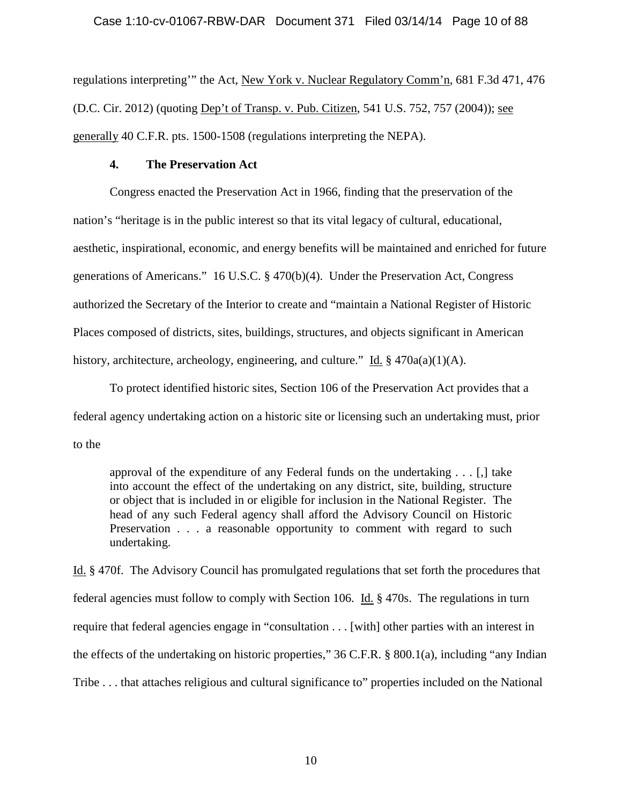### Case 1:10-cv-01067-RBW-DAR Document 371 Filed 03/14/14 Page 10 of 88

regulations interpreting'" the Act, New York v. Nuclear Regulatory Comm'n, 681 F.3d 471, 476 (D.C. Cir. 2012) (quoting Dep't of Transp. v. Pub. Citizen, 541 U.S. 752, 757 (2004)); see generally 40 C.F.R. pts. 1500-1508 (regulations interpreting the NEPA).

### **4. The Preservation Act**

Congress enacted the Preservation Act in 1966, finding that the preservation of the nation's "heritage is in the public interest so that its vital legacy of cultural, educational, aesthetic, inspirational, economic, and energy benefits will be maintained and enriched for future generations of Americans." 16 U.S.C. § 470(b)(4). Under the Preservation Act, Congress authorized the Secretary of the Interior to create and "maintain a National Register of Historic Places composed of districts, sites, buildings, structures, and objects significant in American history, architecture, archeology, engineering, and culture." Id. § 470a(a)(1)(A).

To protect identified historic sites, Section 106 of the Preservation Act provides that a federal agency undertaking action on a historic site or licensing such an undertaking must, prior to the

approval of the expenditure of any Federal funds on the undertaking . . . [,] take into account the effect of the undertaking on any district, site, building, structure or object that is included in or eligible for inclusion in the National Register. The head of any such Federal agency shall afford the Advisory Council on Historic Preservation . . . a reasonable opportunity to comment with regard to such undertaking.

Id. § 470f. The Advisory Council has promulgated regulations that set forth the procedures that federal agencies must follow to comply with Section 106. Id. § 470s. The regulations in turn require that federal agencies engage in "consultation . . . [with] other parties with an interest in the effects of the undertaking on historic properties," 36 C.F.R. § 800.1(a), including "any Indian Tribe . . . that attaches religious and cultural significance to" properties included on the National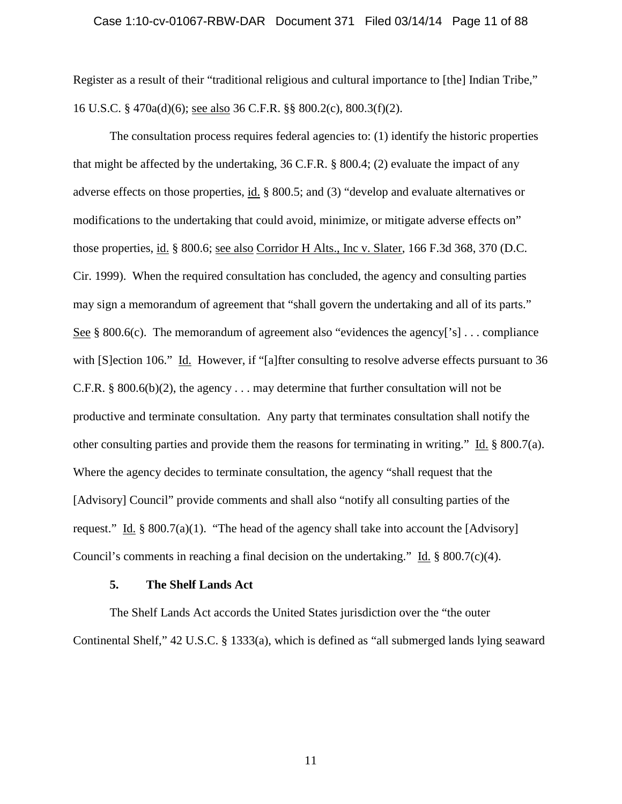#### Case 1:10-cv-01067-RBW-DAR Document 371 Filed 03/14/14 Page 11 of 88

Register as a result of their "traditional religious and cultural importance to [the] Indian Tribe," 16 U.S.C. § 470a(d)(6); see also 36 C.F.R. §§ 800.2(c), 800.3(f)(2).

The consultation process requires federal agencies to: (1) identify the historic properties that might be affected by the undertaking, 36 C.F.R. § 800.4; (2) evaluate the impact of any adverse effects on those properties, id. § 800.5; and (3) "develop and evaluate alternatives or modifications to the undertaking that could avoid, minimize, or mitigate adverse effects on" those properties, id. § 800.6; see also Corridor H Alts., Inc v. Slater, 166 F.3d 368, 370 (D.C. Cir. 1999). When the required consultation has concluded, the agency and consulting parties may sign a memorandum of agreement that "shall govern the undertaking and all of its parts." See § 800.6(c). The memorandum of agreement also "evidences the agency['s]  $\ldots$  compliance with [S]ection 106." Id. However, if "[a]fter consulting to resolve adverse effects pursuant to 36 C.F.R. § 800.6(b)(2), the agency . . . may determine that further consultation will not be productive and terminate consultation. Any party that terminates consultation shall notify the other consulting parties and provide them the reasons for terminating in writing." Id.  $\S$  800.7(a). Where the agency decides to terminate consultation, the agency "shall request that the [Advisory] Council" provide comments and shall also "notify all consulting parties of the request." Id.  $\S 800.7(a)(1)$ . "The head of the agency shall take into account the [Advisory] Council's comments in reaching a final decision on the undertaking." Id.  $\S$  800.7(c)(4).

### **5. The Shelf Lands Act**

The Shelf Lands Act accords the United States jurisdiction over the "the outer Continental Shelf," 42 U.S.C. § 1333(a), which is defined as "all submerged lands lying seaward

11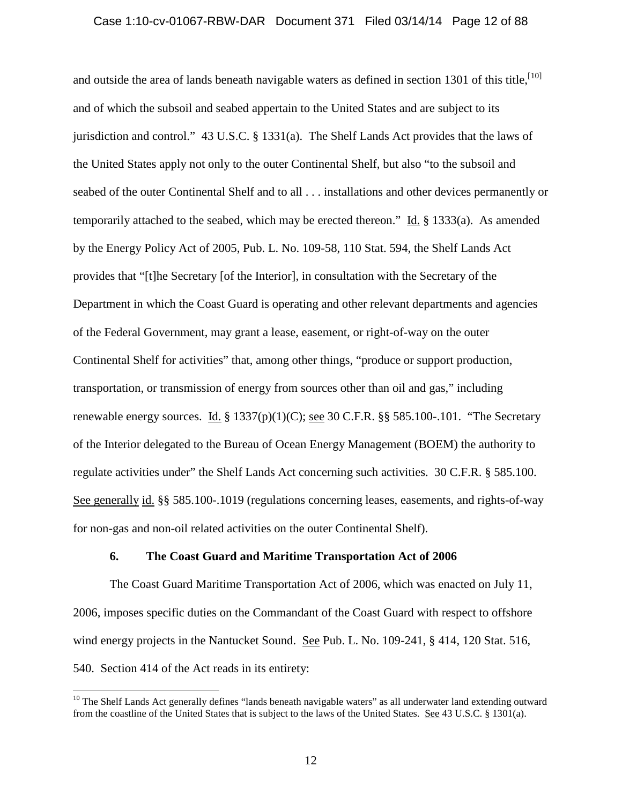### Case 1:10-cv-01067-RBW-DAR Document 371 Filed 03/14/14 Page 12 of 88

and outside the area of lands beneath navigable waters as defined in section 1301 of this title,<sup>[[10\]](#page-11-0)</sup> and of which the subsoil and seabed appertain to the United States and are subject to its jurisdiction and control." 43 U.S.C. § 1331(a). The Shelf Lands Act provides that the laws of the United States apply not only to the outer Continental Shelf, but also "to the subsoil and seabed of the outer Continental Shelf and to all . . . installations and other devices permanently or temporarily attached to the seabed, which may be erected thereon." Id. § 1333(a). As amended by the Energy Policy Act of 2005, Pub. L. No. 109-58, 110 Stat. 594, the Shelf Lands Act provides that "[t]he Secretary [of the Interior], in consultation with the Secretary of the Department in which the Coast Guard is operating and other relevant departments and agencies of the Federal Government, may grant a lease, easement, or right-of-way on the outer Continental Shelf for activities" that, among other things, "produce or support production, transportation, or transmission of energy from sources other than oil and gas," including renewable energy sources. Id.  $\S 1337(p)(1)(C)$ ; see 30 C.F.R.  $\S § 585.100-101$ . "The Secretary of the Interior delegated to the Bureau of Ocean Energy Management (BOEM) the authority to regulate activities under" the Shelf Lands Act concerning such activities. 30 C.F.R. § 585.100. See generally id. §§ 585.100-.1019 (regulations concerning leases, easements, and rights-of-way for non-gas and non-oil related activities on the outer Continental Shelf).

### **6. The Coast Guard and Maritime Transportation Act of 2006**

The Coast Guard Maritime Transportation Act of 2006, which was enacted on July 11, 2006, imposes specific duties on the Commandant of the Coast Guard with respect to offshore wind energy projects in the Nantucket Sound. See Pub. L. No. 109-241, § 414, 120 Stat. 516, 540. Section 414 of the Act reads in its entirety:

<span id="page-11-0"></span><sup>&</sup>lt;sup>10</sup> The Shelf Lands Act generally defines "lands beneath navigable waters" as all underwater land extending outward from the coastline of the United States that is subject to the laws of the United States. See 43 U.S.C. § 1301(a).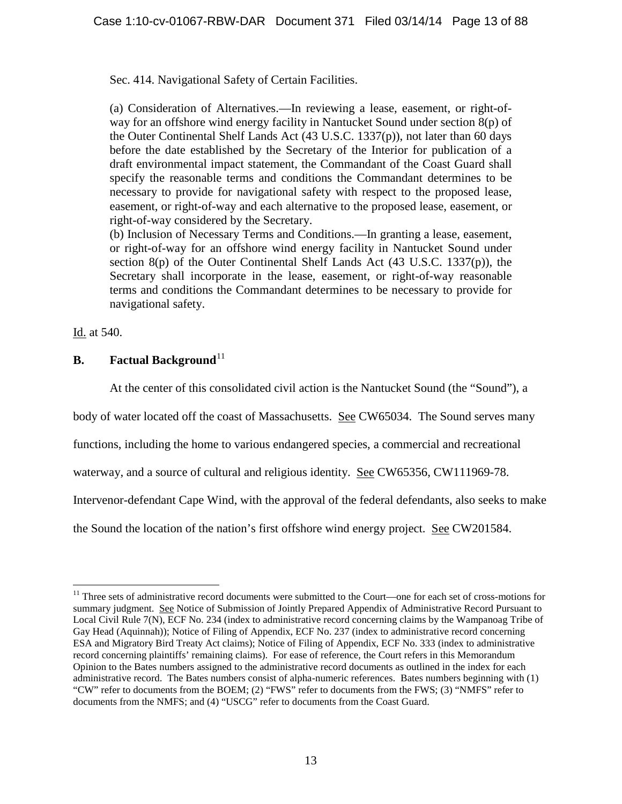Sec. 414. Navigational Safety of Certain Facilities.

(a) Consideration of Alternatives.—In reviewing a lease, easement, or right-ofway for an offshore wind energy facility in Nantucket Sound under section  $8(p)$  of the Outer Continental Shelf Lands Act (43 U.S.C. 1337(p)), not later than 60 days before the date established by the Secretary of the Interior for publication of a draft environmental impact statement, the Commandant of the Coast Guard shall specify the reasonable terms and conditions the Commandant determines to be necessary to provide for navigational safety with respect to the proposed lease, easement, or right-of-way and each alternative to the proposed lease, easement, or right-of-way considered by the Secretary.

(b) Inclusion of Necessary Terms and Conditions.—In granting a lease, easement, or right-of-way for an offshore wind energy facility in Nantucket Sound under section  $8(p)$  of the Outer Continental Shelf Lands Act  $(43 \text{ U.S.C. } 1337(p))$ , the Secretary shall incorporate in the lease, easement, or right-of-way reasonable terms and conditions the Commandant determines to be necessary to provide for navigational safety.

Id. at 540.

# **B. Factual Background**<sup>[11](#page-12-0)</sup>

At the center of this consolidated civil action is the Nantucket Sound (the "Sound"), a

body of water located off the coast of Massachusetts. See CW65034. The Sound serves many

functions, including the home to various endangered species, a commercial and recreational

waterway, and a source of cultural and religious identity. See CW65356, CW111969-78.

Intervenor-defendant Cape Wind, with the approval of the federal defendants, also seeks to make

the Sound the location of the nation's first offshore wind energy project. See CW201584.

<span id="page-12-0"></span><sup>&</sup>lt;sup>11</sup> Three sets of administrative record documents were submitted to the Court—one for each set of cross-motions for summary judgment. See Notice of Submission of Jointly Prepared Appendix of Administrative Record Pursuant to Local Civil Rule 7(N), ECF No. 234 (index to administrative record concerning claims by the Wampanoag Tribe of Gay Head (Aquinnah)); Notice of Filing of Appendix, ECF No. 237 (index to administrative record concerning ESA and Migratory Bird Treaty Act claims); Notice of Filing of Appendix, ECF No. 333 (index to administrative record concerning plaintiffs' remaining claims). For ease of reference, the Court refers in this Memorandum Opinion to the Bates numbers assigned to the administrative record documents as outlined in the index for each administrative record. The Bates numbers consist of alpha-numeric references. Bates numbers beginning with (1) "CW" refer to documents from the BOEM; (2) "FWS" refer to documents from the FWS; (3) "NMFS" refer to documents from the NMFS; and (4) "USCG" refer to documents from the Coast Guard.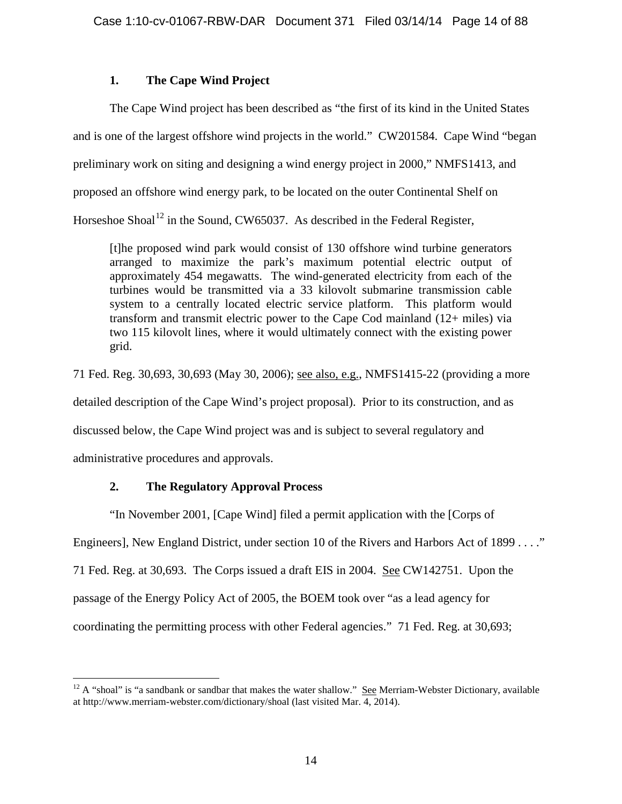# **1. The Cape Wind Project**

The Cape Wind project has been described as "the first of its kind in the United States and is one of the largest offshore wind projects in the world." CW201584. Cape Wind "began preliminary work on siting and designing a wind energy project in 2000," NMFS1413, and proposed an offshore wind energy park, to be located on the outer Continental Shelf on Horseshoe Shoal<sup>[12](#page-13-0)</sup> in the Sound, CW65037. As described in the Federal Register,

[t]he proposed wind park would consist of 130 offshore wind turbine generators arranged to maximize the park's maximum potential electric output of approximately 454 megawatts. The wind-generated electricity from each of the turbines would be transmitted via a 33 kilovolt submarine transmission cable system to a centrally located electric service platform. This platform would transform and transmit electric power to the Cape Cod mainland (12+ miles) via two 115 kilovolt lines, where it would ultimately connect with the existing power grid.

71 Fed. Reg. 30,693, 30,693 (May 30, 2006); see also, e.g., NMFS1415-22 (providing a more

detailed description of the Cape Wind's project proposal). Prior to its construction, and as

discussed below, the Cape Wind project was and is subject to several regulatory and

administrative procedures and approvals.

# **2. The Regulatory Approval Process**

"In November 2001, [Cape Wind] filed a permit application with the [Corps of

Engineers], New England District, under section 10 of the Rivers and Harbors Act of 1899 . . . ."

71 Fed. Reg. at 30,693. The Corps issued a draft EIS in 2004. See CW142751. Upon the

passage of the Energy Policy Act of 2005, the BOEM took over "as a lead agency for

coordinating the permitting process with other Federal agencies." 71 Fed. Reg. at 30,693;

<span id="page-13-0"></span> $12$  A "shoal" is "a sandbank or sandbar that makes the water shallow." See Merriam-Webster Dictionary, available at http://www.merriam-webster.com/dictionary/shoal (last visited Mar. 4, 2014).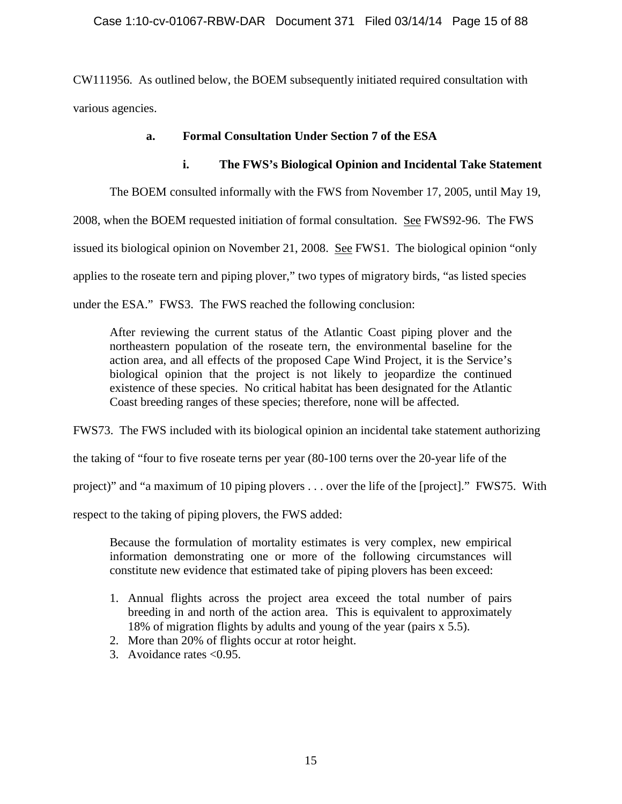### Case 1:10-cv-01067-RBW-DAR Document 371 Filed 03/14/14 Page 15 of 88

CW111956. As outlined below, the BOEM subsequently initiated required consultation with various agencies.

### **a. Formal Consultation Under Section 7 of the ESA**

# **i. The FWS's Biological Opinion and Incidental Take Statement**

The BOEM consulted informally with the FWS from November 17, 2005, until May 19,

2008, when the BOEM requested initiation of formal consultation. See FWS92-96. The FWS

issued its biological opinion on November 21, 2008. See FWS1. The biological opinion "only

applies to the roseate tern and piping plover," two types of migratory birds, "as listed species

under the ESA." FWS3. The FWS reached the following conclusion:

After reviewing the current status of the Atlantic Coast piping plover and the northeastern population of the roseate tern, the environmental baseline for the action area, and all effects of the proposed Cape Wind Project, it is the Service's biological opinion that the project is not likely to jeopardize the continued existence of these species. No critical habitat has been designated for the Atlantic Coast breeding ranges of these species; therefore, none will be affected.

FWS73. The FWS included with its biological opinion an incidental take statement authorizing

the taking of "four to five roseate terns per year (80-100 terns over the 20-year life of the

project)" and "a maximum of 10 piping plovers . . . over the life of the [project]." FWS75. With

respect to the taking of piping plovers, the FWS added:

Because the formulation of mortality estimates is very complex, new empirical information demonstrating one or more of the following circumstances will constitute new evidence that estimated take of piping plovers has been exceed:

- 1. Annual flights across the project area exceed the total number of pairs breeding in and north of the action area. This is equivalent to approximately 18% of migration flights by adults and young of the year (pairs x 5.5).
- 2. More than 20% of flights occur at rotor height.
- 3. Avoidance rates <0.95.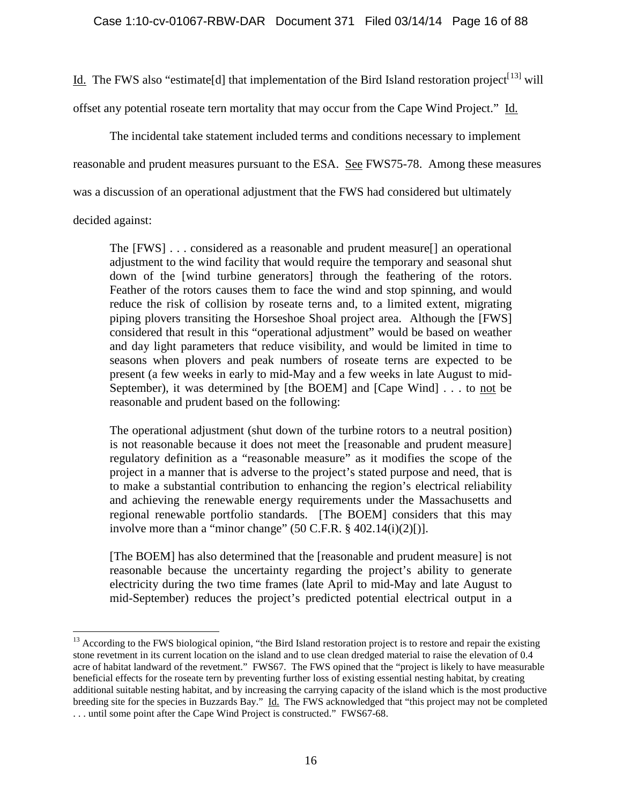Id. The FWS also "estimate [d] that implementation of the Bird Island restoration project<sup>[[13\]](#page-15-0)</sup> will

offset any potential roseate tern mortality that may occur from the Cape Wind Project." Id.

The incidental take statement included terms and conditions necessary to implement reasonable and prudent measures pursuant to the ESA. See FWS75-78. Among these measures was a discussion of an operational adjustment that the FWS had considered but ultimately

## decided against:

The [FWS] . . . considered as a reasonable and prudent measure[] an operational adjustment to the wind facility that would require the temporary and seasonal shut down of the [wind turbine generators] through the feathering of the rotors. Feather of the rotors causes them to face the wind and stop spinning, and would reduce the risk of collision by roseate terns and, to a limited extent, migrating piping plovers transiting the Horseshoe Shoal project area. Although the [FWS] considered that result in this "operational adjustment" would be based on weather and day light parameters that reduce visibility, and would be limited in time to seasons when plovers and peak numbers of roseate terns are expected to be present (a few weeks in early to mid-May and a few weeks in late August to mid-September), it was determined by [the BOEM] and [Cape Wind] . . . to not be reasonable and prudent based on the following:

The operational adjustment (shut down of the turbine rotors to a neutral position) is not reasonable because it does not meet the [reasonable and prudent measure] regulatory definition as a "reasonable measure" as it modifies the scope of the project in a manner that is adverse to the project's stated purpose and need, that is to make a substantial contribution to enhancing the region's electrical reliability and achieving the renewable energy requirements under the Massachusetts and regional renewable portfolio standards. [The BOEM] considers that this may involve more than a "minor change"  $(50 \text{ C.F.R. } § 402.14(i)(2)[).$ 

[The BOEM] has also determined that the [reasonable and prudent measure] is not reasonable because the uncertainty regarding the project's ability to generate electricity during the two time frames (late April to mid-May and late August to mid-September) reduces the project's predicted potential electrical output in a

<span id="page-15-0"></span><sup>&</sup>lt;sup>13</sup> According to the FWS biological opinion, "the Bird Island restoration project is to restore and repair the existing stone revetment in its current location on the island and to use clean dredged material to raise the elevation of 0.4 acre of habitat landward of the revetment." FWS67. The FWS opined that the "project is likely to have measurable beneficial effects for the roseate tern by preventing further loss of existing essential nesting habitat, by creating additional suitable nesting habitat, and by increasing the carrying capacity of the island which is the most productive breeding site for the species in Buzzards Bay." Id. The FWS acknowledged that "this project may not be completed . . . until some point after the Cape Wind Project is constructed." FWS67-68.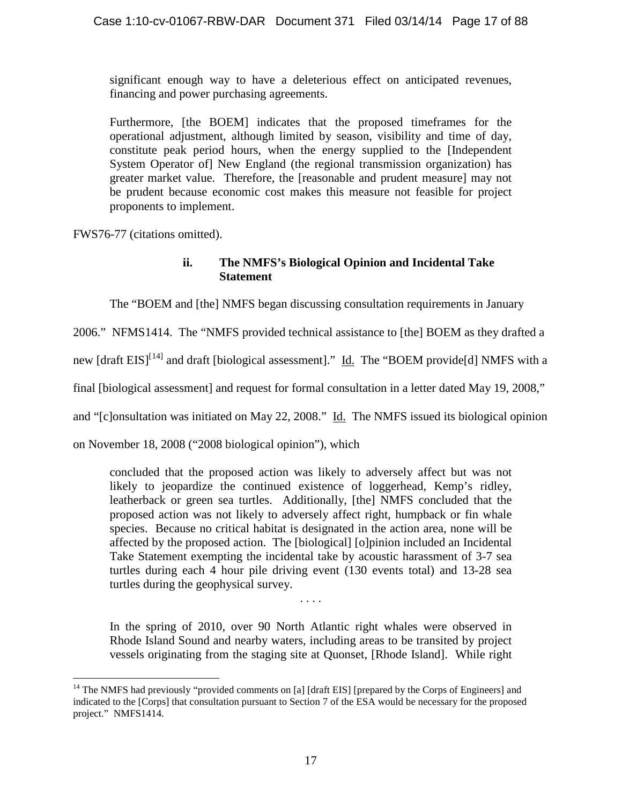significant enough way to have a deleterious effect on anticipated revenues, financing and power purchasing agreements.

Furthermore, [the BOEM] indicates that the proposed timeframes for the operational adjustment, although limited by season, visibility and time of day, constitute peak period hours, when the energy supplied to the [Independent System Operator of] New England (the regional transmission organization) has greater market value. Therefore, the [reasonable and prudent measure] may not be prudent because economic cost makes this measure not feasible for project proponents to implement.

FWS76-77 (citations omitted).

# **ii. The NMFS's Biological Opinion and Incidental Take Statement**

The "BOEM and [the] NMFS began discussing consultation requirements in January

2006." NFMS1414. The "NMFS provided technical assistance to [the] BOEM as they drafted a

new [draft EIS]<sup>[[14\]](#page-16-0)</sup> and draft [biological assessment]." Id. The "BOEM provide[d] NMFS with a

final [biological assessment] and request for formal consultation in a letter dated May 19, 2008,"

and "[c]onsultation was initiated on May 22, 2008." Id. The NMFS issued its biological opinion

on November 18, 2008 ("2008 biological opinion"), which

concluded that the proposed action was likely to adversely affect but was not likely to jeopardize the continued existence of loggerhead, Kemp's ridley, leatherback or green sea turtles. Additionally, [the] NMFS concluded that the proposed action was not likely to adversely affect right, humpback or fin whale species. Because no critical habitat is designated in the action area, none will be affected by the proposed action. The [biological] [o]pinion included an Incidental Take Statement exempting the incidental take by acoustic harassment of 3-7 sea turtles during each 4 hour pile driving event (130 events total) and 13-28 sea turtles during the geophysical survey.

. . . .

In the spring of 2010, over 90 North Atlantic right whales were observed in Rhode Island Sound and nearby waters, including areas to be transited by project vessels originating from the staging site at Quonset, [Rhode Island]. While right

<span id="page-16-0"></span><sup>&</sup>lt;sup>14</sup> The NMFS had previously "provided comments on [a] [draft EIS] [prepared by the Corps of Engineers] and indicated to the [Corps] that consultation pursuant to Section 7 of the ESA would be necessary for the proposed project." NMFS1414.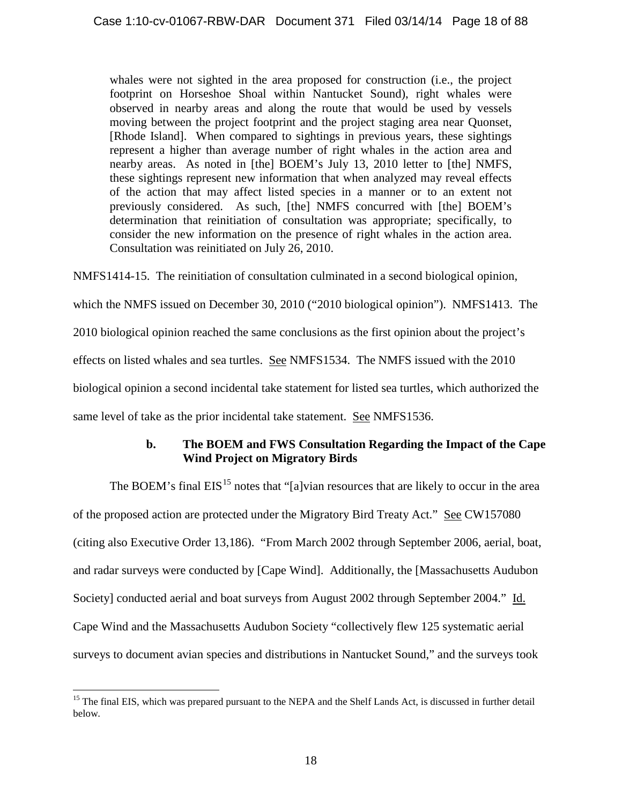whales were not sighted in the area proposed for construction (i.e., the project footprint on Horseshoe Shoal within Nantucket Sound), right whales were observed in nearby areas and along the route that would be used by vessels moving between the project footprint and the project staging area near Quonset, [Rhode Island]. When compared to sightings in previous years, these sightings represent a higher than average number of right whales in the action area and nearby areas. As noted in [the] BOEM's July 13, 2010 letter to [the] NMFS, these sightings represent new information that when analyzed may reveal effects of the action that may affect listed species in a manner or to an extent not previously considered. As such, [the] NMFS concurred with [the] BOEM's determination that reinitiation of consultation was appropriate; specifically, to consider the new information on the presence of right whales in the action area. Consultation was reinitiated on July 26, 2010.

NMFS1414-15. The reinitiation of consultation culminated in a second biological opinion, which the NMFS issued on December 30, 2010 ("2010 biological opinion"). NMFS1413. The 2010 biological opinion reached the same conclusions as the first opinion about the project's effects on listed whales and sea turtles. See NMFS1534. The NMFS issued with the 2010 biological opinion a second incidental take statement for listed sea turtles, which authorized the same level of take as the prior incidental take statement. See NMFS1536.

# **b. The BOEM and FWS Consultation Regarding the Impact of the Cape Wind Project on Migratory Birds**

The BOEM's final  $EIS<sup>15</sup>$  $EIS<sup>15</sup>$  $EIS<sup>15</sup>$  notes that "[a]vian resources that are likely to occur in the area of the proposed action are protected under the Migratory Bird Treaty Act." See CW157080 (citing also Executive Order 13,186). "From March 2002 through September 2006, aerial, boat, and radar surveys were conducted by [Cape Wind]. Additionally, the [Massachusetts Audubon Society] conducted aerial and boat surveys from August 2002 through September 2004." Id. Cape Wind and the Massachusetts Audubon Society "collectively flew 125 systematic aerial surveys to document avian species and distributions in Nantucket Sound," and the surveys took

<span id="page-17-0"></span><sup>&</sup>lt;sup>15</sup> The final EIS, which was prepared pursuant to the NEPA and the Shelf Lands Act, is discussed in further detail below.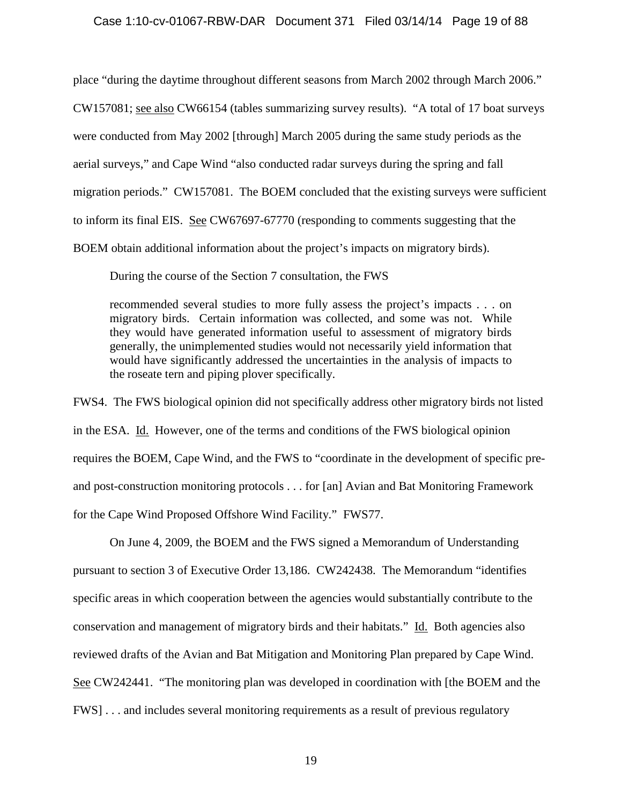### Case 1:10-cv-01067-RBW-DAR Document 371 Filed 03/14/14 Page 19 of 88

place "during the daytime throughout different seasons from March 2002 through March 2006." CW157081; see also CW66154 (tables summarizing survey results). "A total of 17 boat surveys were conducted from May 2002 [through] March 2005 during the same study periods as the aerial surveys," and Cape Wind "also conducted radar surveys during the spring and fall migration periods." CW157081. The BOEM concluded that the existing surveys were sufficient to inform its final EIS. See CW67697-67770 (responding to comments suggesting that the BOEM obtain additional information about the project's impacts on migratory birds).

During the course of the Section 7 consultation, the FWS

recommended several studies to more fully assess the project's impacts . . . on migratory birds. Certain information was collected, and some was not. While they would have generated information useful to assessment of migratory birds generally, the unimplemented studies would not necessarily yield information that would have significantly addressed the uncertainties in the analysis of impacts to the roseate tern and piping plover specifically.

FWS4. The FWS biological opinion did not specifically address other migratory birds not listed in the ESA. Id. However, one of the terms and conditions of the FWS biological opinion requires the BOEM, Cape Wind, and the FWS to "coordinate in the development of specific preand post-construction monitoring protocols . . . for [an] Avian and Bat Monitoring Framework for the Cape Wind Proposed Offshore Wind Facility." FWS77.

On June 4, 2009, the BOEM and the FWS signed a Memorandum of Understanding pursuant to section 3 of Executive Order 13,186. CW242438. The Memorandum "identifies specific areas in which cooperation between the agencies would substantially contribute to the conservation and management of migratory birds and their habitats." Id. Both agencies also reviewed drafts of the Avian and Bat Mitigation and Monitoring Plan prepared by Cape Wind. See CW242441. "The monitoring plan was developed in coordination with [the BOEM and the FWS] . . . and includes several monitoring requirements as a result of previous regulatory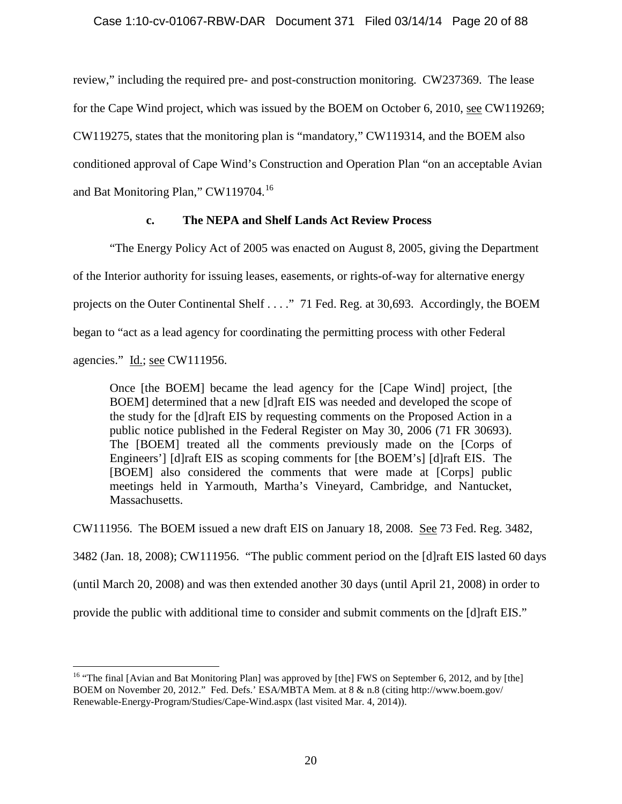review," including the required pre- and post-construction monitoring. CW237369. The lease for the Cape Wind project, which was issued by the BOEM on October 6, 2010, see CW119269; CW119275, states that the monitoring plan is "mandatory," CW119314, and the BOEM also conditioned approval of Cape Wind's Construction and Operation Plan "on an acceptable Avian and Bat Monitoring Plan," CW119704.[16](#page-19-0)

# **c. The NEPA and Shelf Lands Act Review Process**

"The Energy Policy Act of 2005 was enacted on August 8, 2005, giving the Department

of the Interior authority for issuing leases, easements, or rights-of-way for alternative energy projects on the Outer Continental Shelf . . . ." 71 Fed. Reg. at 30,693. Accordingly, the BOEM

began to "act as a lead agency for coordinating the permitting process with other Federal

agencies." Id.; see CW111956.

Once [the BOEM] became the lead agency for the [Cape Wind] project, [the BOEM] determined that a new [d]raft EIS was needed and developed the scope of the study for the [d]raft EIS by requesting comments on the Proposed Action in a public notice published in the Federal Register on May 30, 2006 (71 FR 30693). The [BOEM] treated all the comments previously made on the [Corps of Engineers'] [d]raft EIS as scoping comments for [the BOEM's] [d]raft EIS. The [BOEM] also considered the comments that were made at [Corps] public meetings held in Yarmouth, Martha's Vineyard, Cambridge, and Nantucket, Massachusetts.

CW111956. The BOEM issued a new draft EIS on January 18, 2008. See 73 Fed. Reg. 3482,

3482 (Jan. 18, 2008); CW111956. "The public comment period on the [d]raft EIS lasted 60 days

(until March 20, 2008) and was then extended another 30 days (until April 21, 2008) in order to

provide the public with additional time to consider and submit comments on the [d]raft EIS."

<span id="page-19-0"></span><sup>&</sup>lt;sup>16</sup> "The final [Avian and Bat Monitoring Plan] was approved by [the] FWS on September 6, 2012, and by [the] BOEM on November 20, 2012." Fed. Defs.' ESA/MBTA Mem. at 8 & n.8 (citing http://www.boem.gov/ Renewable-Energy-Program/Studies/Cape-Wind.aspx (last visited Mar. 4, 2014)).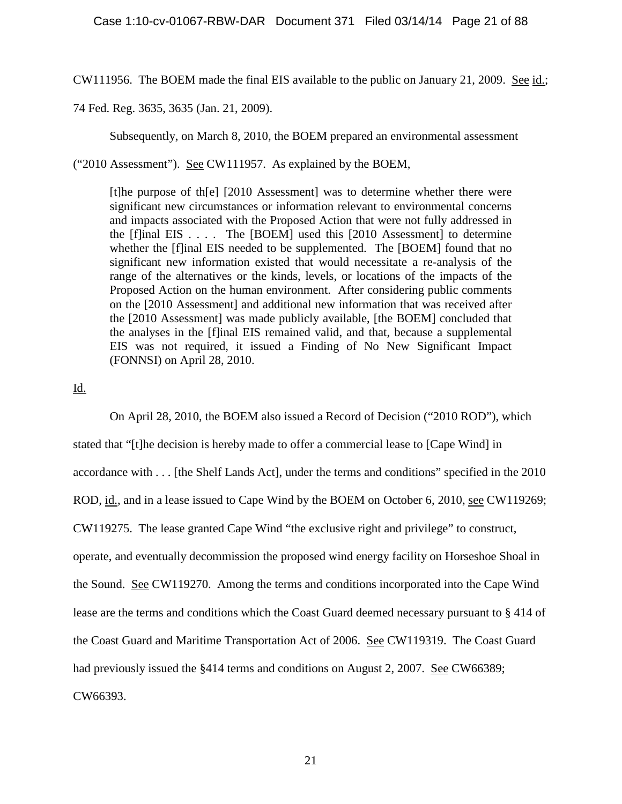CW111956. The BOEM made the final EIS available to the public on January 21, 2009. See id.;

74 Fed. Reg. 3635, 3635 (Jan. 21, 2009).

Subsequently, on March 8, 2010, the BOEM prepared an environmental assessment

("2010 Assessment"). See CW111957. As explained by the BOEM,

[t]he purpose of th[e] [2010 Assessment] was to determine whether there were significant new circumstances or information relevant to environmental concerns and impacts associated with the Proposed Action that were not fully addressed in the  $[f]$ inal EIS . . . . The  $[BOEM]$  used this  $[2010$  Assessment] to determine whether the [f]inal EIS needed to be supplemented. The [BOEM] found that no significant new information existed that would necessitate a re-analysis of the range of the alternatives or the kinds, levels, or locations of the impacts of the Proposed Action on the human environment. After considering public comments on the [2010 Assessment] and additional new information that was received after the [2010 Assessment] was made publicly available, [the BOEM] concluded that the analyses in the [f]inal EIS remained valid, and that, because a supplemental EIS was not required, it issued a Finding of No New Significant Impact (FONNSI) on April 28, 2010.

Id.

On April 28, 2010, the BOEM also issued a Record of Decision ("2010 ROD"), which stated that "[t]he decision is hereby made to offer a commercial lease to [Cape Wind] in accordance with . . . [the Shelf Lands Act], under the terms and conditions" specified in the 2010 ROD, id., and in a lease issued to Cape Wind by the BOEM on October 6, 2010, see CW119269; CW119275. The lease granted Cape Wind "the exclusive right and privilege" to construct, operate, and eventually decommission the proposed wind energy facility on Horseshoe Shoal in the Sound. See CW119270. Among the terms and conditions incorporated into the Cape Wind lease are the terms and conditions which the Coast Guard deemed necessary pursuant to § 414 of the Coast Guard and Maritime Transportation Act of 2006. See CW119319. The Coast Guard had previously issued the §414 terms and conditions on August 2, 2007. See CW66389; CW66393.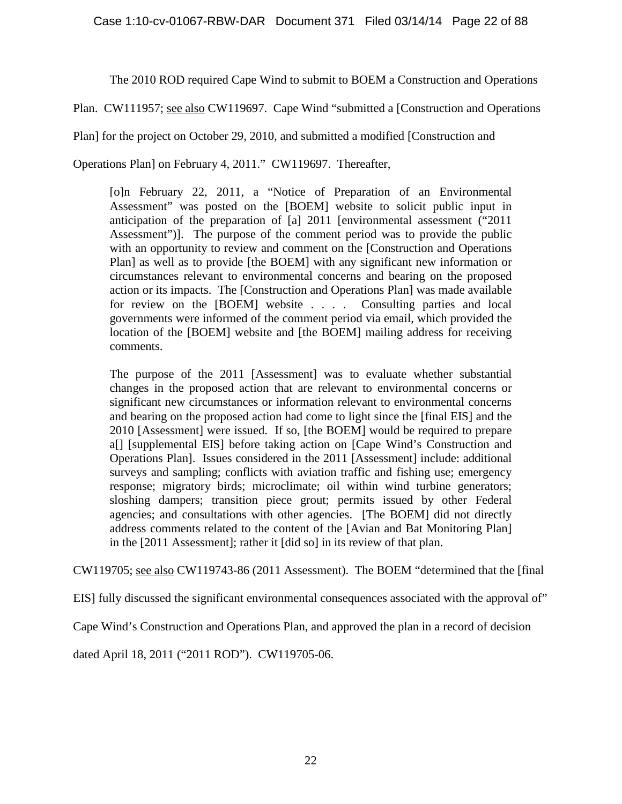The 2010 ROD required Cape Wind to submit to BOEM a Construction and Operations

Plan. CW111957; see also CW119697. Cape Wind "submitted a [Construction and Operations

Plan] for the project on October 29, 2010, and submitted a modified [Construction and

Operations Plan] on February 4, 2011." CW119697. Thereafter,

[o]n February 22, 2011, a "Notice of Preparation of an Environmental Assessment" was posted on the [BOEM] website to solicit public input in anticipation of the preparation of [a] 2011 [environmental assessment ("2011 Assessment")]. The purpose of the comment period was to provide the public with an opportunity to review and comment on the [Construction and Operations Plan] as well as to provide [the BOEM] with any significant new information or circumstances relevant to environmental concerns and bearing on the proposed action or its impacts. The [Construction and Operations Plan] was made available for review on the [BOEM] website . . . . Consulting parties and local governments were informed of the comment period via email, which provided the location of the [BOEM] website and [the BOEM] mailing address for receiving comments.

The purpose of the 2011 [Assessment] was to evaluate whether substantial changes in the proposed action that are relevant to environmental concerns or significant new circumstances or information relevant to environmental concerns and bearing on the proposed action had come to light since the [final EIS] and the 2010 [Assessment] were issued. If so, [the BOEM] would be required to prepare a[] [supplemental EIS] before taking action on [Cape Wind's Construction and Operations Plan]. Issues considered in the 2011 [Assessment] include: additional surveys and sampling; conflicts with aviation traffic and fishing use; emergency response; migratory birds; microclimate; oil within wind turbine generators; sloshing dampers; transition piece grout; permits issued by other Federal agencies; and consultations with other agencies. [The BOEM] did not directly address comments related to the content of the [Avian and Bat Monitoring Plan] in the [2011 Assessment]; rather it [did so] in its review of that plan.

CW119705; see also CW119743-86 (2011 Assessment). The BOEM "determined that the [final

EIS] fully discussed the significant environmental consequences associated with the approval of"

Cape Wind's Construction and Operations Plan, and approved the plan in a record of decision

dated April 18, 2011 ("2011 ROD"). CW119705-06.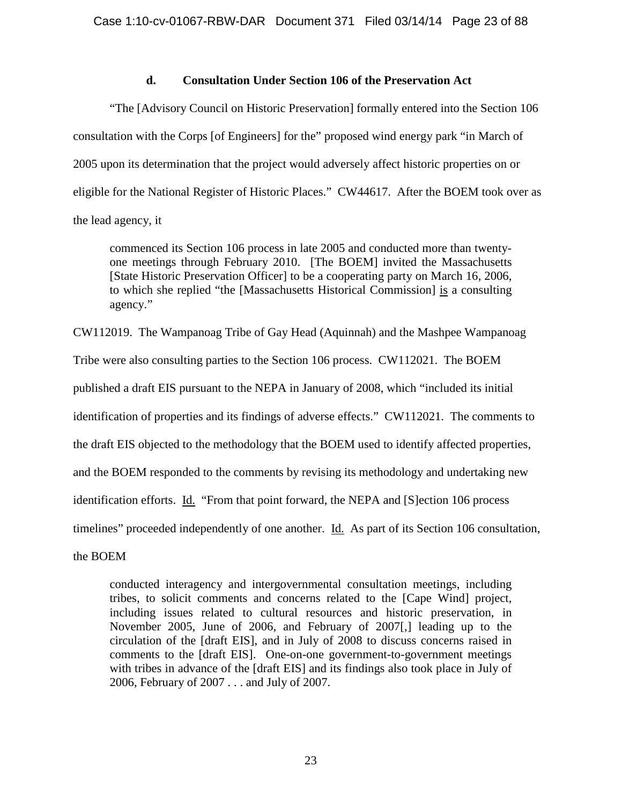# **d. Consultation Under Section 106 of the Preservation Act**

"The [Advisory Council on Historic Preservation] formally entered into the Section 106 consultation with the Corps [of Engineers] for the" proposed wind energy park "in March of 2005 upon its determination that the project would adversely affect historic properties on or eligible for the National Register of Historic Places." CW44617. After the BOEM took over as the lead agency, it

commenced its Section 106 process in late 2005 and conducted more than twentyone meetings through February 2010. [The BOEM] invited the Massachusetts [State Historic Preservation Officer] to be a cooperating party on March 16, 2006, to which she replied "the [Massachusetts Historical Commission] is a consulting agency."

CW112019. The Wampanoag Tribe of Gay Head (Aquinnah) and the Mashpee Wampanoag

Tribe were also consulting parties to the Section 106 process. CW112021. The BOEM

published a draft EIS pursuant to the NEPA in January of 2008, which "included its initial

identification of properties and its findings of adverse effects." CW112021. The comments to

the draft EIS objected to the methodology that the BOEM used to identify affected properties,

and the BOEM responded to the comments by revising its methodology and undertaking new

identification efforts. Id. "From that point forward, the NEPA and [S]ection 106 process

timelines" proceeded independently of one another. Id. As part of its Section 106 consultation,

the BOEM

conducted interagency and intergovernmental consultation meetings, including tribes, to solicit comments and concerns related to the [Cape Wind] project, including issues related to cultural resources and historic preservation, in November 2005, June of 2006, and February of 2007[,] leading up to the circulation of the [draft EIS], and in July of 2008 to discuss concerns raised in comments to the [draft EIS]. One-on-one government-to-government meetings with tribes in advance of the [draft EIS] and its findings also took place in July of 2006, February of 2007 . . . and July of 2007.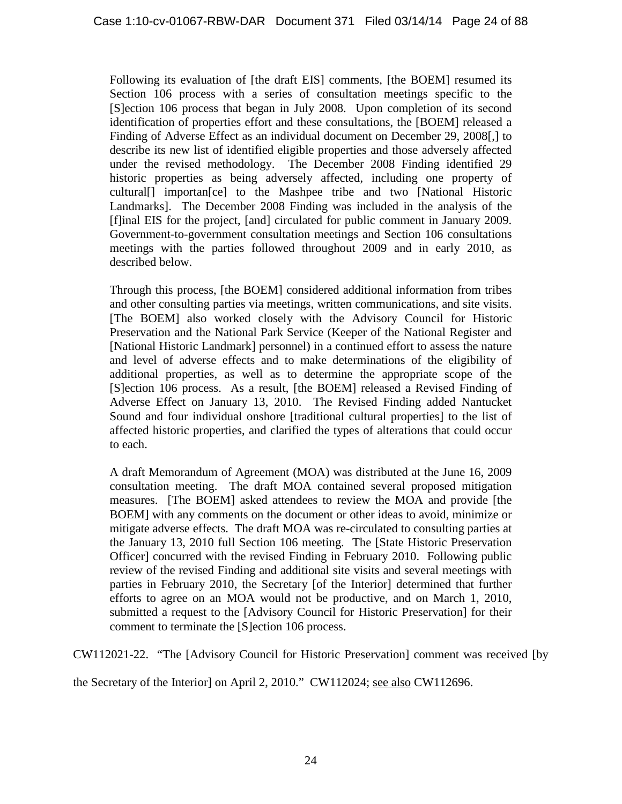Following its evaluation of [the draft EIS] comments, [the BOEM] resumed its Section 106 process with a series of consultation meetings specific to the [S]ection 106 process that began in July 2008. Upon completion of its second identification of properties effort and these consultations, the [BOEM] released a Finding of Adverse Effect as an individual document on December 29, 2008[,] to describe its new list of identified eligible properties and those adversely affected under the revised methodology. The December 2008 Finding identified 29 historic properties as being adversely affected, including one property of cultural[] importan[ce] to the Mashpee tribe and two [National Historic Landmarks]. The December 2008 Finding was included in the analysis of the [f]inal EIS for the project, [and] circulated for public comment in January 2009. Government-to-government consultation meetings and Section 106 consultations meetings with the parties followed throughout 2009 and in early 2010, as described below.

Through this process, [the BOEM] considered additional information from tribes and other consulting parties via meetings, written communications, and site visits. [The BOEM] also worked closely with the Advisory Council for Historic Preservation and the National Park Service (Keeper of the National Register and [National Historic Landmark] personnel) in a continued effort to assess the nature and level of adverse effects and to make determinations of the eligibility of additional properties, as well as to determine the appropriate scope of the [S]ection 106 process. As a result, [the BOEM] released a Revised Finding of Adverse Effect on January 13, 2010. The Revised Finding added Nantucket Sound and four individual onshore [traditional cultural properties] to the list of affected historic properties, and clarified the types of alterations that could occur to each.

A draft Memorandum of Agreement (MOA) was distributed at the June 16, 2009 consultation meeting. The draft MOA contained several proposed mitigation measures. [The BOEM] asked attendees to review the MOA and provide [the BOEM] with any comments on the document or other ideas to avoid, minimize or mitigate adverse effects. The draft MOA was re-circulated to consulting parties at the January 13, 2010 full Section 106 meeting. The [State Historic Preservation Officer] concurred with the revised Finding in February 2010. Following public review of the revised Finding and additional site visits and several meetings with parties in February 2010, the Secretary [of the Interior] determined that further efforts to agree on an MOA would not be productive, and on March 1, 2010, submitted a request to the [Advisory Council for Historic Preservation] for their comment to terminate the [S]ection 106 process.

CW112021-22. "The [Advisory Council for Historic Preservation] comment was received [by

the Secretary of the Interior] on April 2, 2010." CW112024; see also CW112696.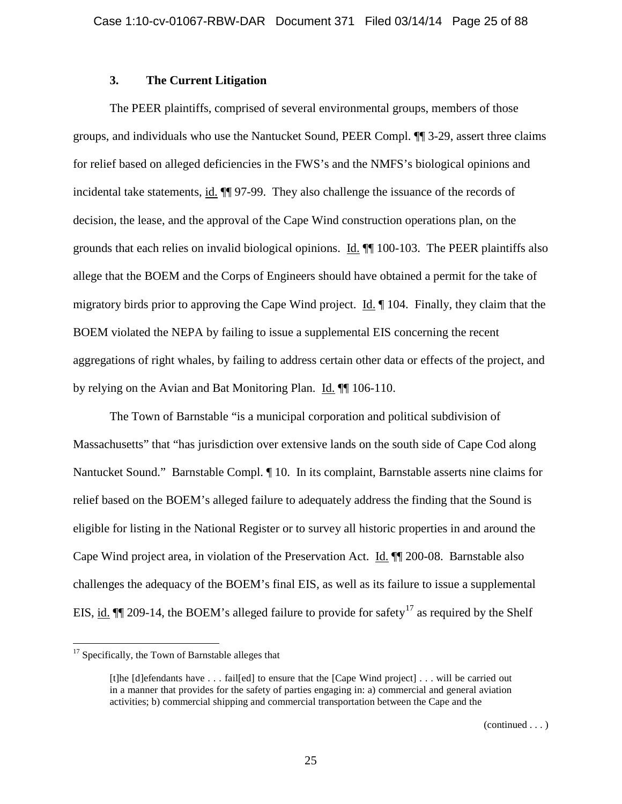## **3. The Current Litigation**

The PEER plaintiffs, comprised of several environmental groups, members of those groups, and individuals who use the Nantucket Sound, PEER Compl. ¶¶ 3-29, assert three claims for relief based on alleged deficiencies in the FWS's and the NMFS's biological opinions and incidental take statements, id. ¶¶ 97-99. They also challenge the issuance of the records of decision, the lease, and the approval of the Cape Wind construction operations plan, on the grounds that each relies on invalid biological opinions. Id. ¶¶ 100-103. The PEER plaintiffs also allege that the BOEM and the Corps of Engineers should have obtained a permit for the take of migratory birds prior to approving the Cape Wind project. Id. ¶ 104. Finally, they claim that the BOEM violated the NEPA by failing to issue a supplemental EIS concerning the recent aggregations of right whales, by failing to address certain other data or effects of the project, and by relying on the Avian and Bat Monitoring Plan. Id. ¶¶ 106-110.

The Town of Barnstable "is a municipal corporation and political subdivision of Massachusetts" that "has jurisdiction over extensive lands on the south side of Cape Cod along Nantucket Sound." Barnstable Compl. ¶ 10. In its complaint, Barnstable asserts nine claims for relief based on the BOEM's alleged failure to adequately address the finding that the Sound is eligible for listing in the National Register or to survey all historic properties in and around the Cape Wind project area, in violation of the Preservation Act. Id. ¶¶ 200-08. Barnstable also challenges the adequacy of the BOEM's final EIS, as well as its failure to issue a supplemental EIS, id.  $\P$  209-14, the BOEM's alleged failure to provide for safety<sup>[17](#page-24-0)</sup> as required by the Shelf

<span id="page-24-0"></span><sup>&</sup>lt;sup>17</sup> Specifically, the Town of Barnstable alleges that

<sup>[</sup>t]he [d]efendants have . . . fail[ed] to ensure that the [Cape Wind project] . . . will be carried out in a manner that provides for the safety of parties engaging in: a) commercial and general aviation activities; b) commercial shipping and commercial transportation between the Cape and the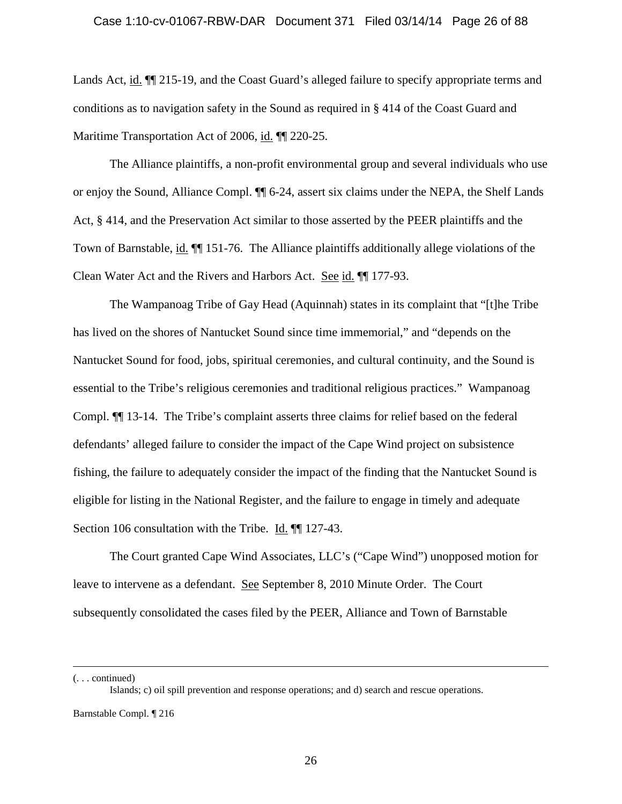### Case 1:10-cv-01067-RBW-DAR Document 371 Filed 03/14/14 Page 26 of 88

Lands Act, id.  $\P$  215-19, and the Coast Guard's alleged failure to specify appropriate terms and conditions as to navigation safety in the Sound as required in § 414 of the Coast Guard and Maritime Transportation Act of 2006, id. ¶¶ 220-25.

The Alliance plaintiffs, a non-profit environmental group and several individuals who use or enjoy the Sound, Alliance Compl. ¶¶ 6-24, assert six claims under the NEPA, the Shelf Lands Act, § 414, and the Preservation Act similar to those asserted by the PEER plaintiffs and the Town of Barnstable, id. ¶¶ 151-76. The Alliance plaintiffs additionally allege violations of the Clean Water Act and the Rivers and Harbors Act. See id. ¶¶ 177-93.

The Wampanoag Tribe of Gay Head (Aquinnah) states in its complaint that "[t]he Tribe has lived on the shores of Nantucket Sound since time immemorial," and "depends on the Nantucket Sound for food, jobs, spiritual ceremonies, and cultural continuity, and the Sound is essential to the Tribe's religious ceremonies and traditional religious practices." Wampanoag Compl. ¶¶ 13-14. The Tribe's complaint asserts three claims for relief based on the federal defendants' alleged failure to consider the impact of the Cape Wind project on subsistence fishing, the failure to adequately consider the impact of the finding that the Nantucket Sound is eligible for listing in the National Register, and the failure to engage in timely and adequate Section 106 consultation with the Tribe. Id.  $\P$  127-43.

The Court granted Cape Wind Associates, LLC's ("Cape Wind") unopposed motion for leave to intervene as a defendant. See September 8, 2010 Minute Order. The Court subsequently consolidated the cases filed by the PEER, Alliance and Town of Barnstable

(. . . continued)

Islands; c) oil spill prevention and response operations; and d) search and rescue operations.

Barnstable Compl. ¶ 216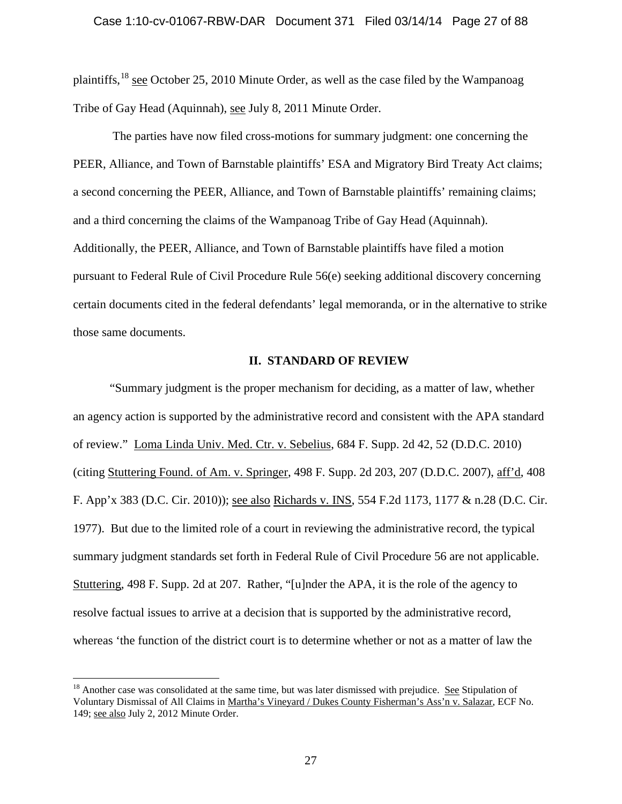### Case 1:10-cv-01067-RBW-DAR Document 371 Filed 03/14/14 Page 27 of 88

plaintiffs,  $^{18}$  $^{18}$  $^{18}$  see October 25, 2010 Minute Order, as well as the case filed by the Wampanoag Tribe of Gay Head (Aquinnah), see July 8, 2011 Minute Order.

The parties have now filed cross-motions for summary judgment: one concerning the PEER, Alliance, and Town of Barnstable plaintiffs' ESA and Migratory Bird Treaty Act claims; a second concerning the PEER, Alliance, and Town of Barnstable plaintiffs' remaining claims; and a third concerning the claims of the Wampanoag Tribe of Gay Head (Aquinnah). Additionally, the PEER, Alliance, and Town of Barnstable plaintiffs have filed a motion pursuant to Federal Rule of Civil Procedure Rule 56(e) seeking additional discovery concerning certain documents cited in the federal defendants' legal memoranda, or in the alternative to strike those same documents.

### **II. STANDARD OF REVIEW**

"Summary judgment is the proper mechanism for deciding, as a matter of law, whether an agency action is supported by the administrative record and consistent with the APA standard of review." Loma Linda Univ. Med. Ctr. v. Sebelius, 684 F. Supp. 2d 42, 52 (D.D.C. 2010) (citing Stuttering Found. of Am. v. Springer, 498 F. Supp. 2d 203, 207 (D.D.C. 2007), aff'd, 408 F. App'x 383 (D.C. Cir. 2010)); see also Richards v. INS, 554 F.2d 1173, 1177 & n.28 (D.C. Cir. 1977). But due to the limited role of a court in reviewing the administrative record, the typical summary judgment standards set forth in Federal Rule of Civil Procedure 56 are not applicable. Stuttering, 498 F. Supp. 2d at 207. Rather, "[u]nder the APA, it is the role of the agency to resolve factual issues to arrive at a decision that is supported by the administrative record, whereas 'the function of the district court is to determine whether or not as a matter of law the

<span id="page-26-0"></span><sup>&</sup>lt;sup>18</sup> Another case was consolidated at the same time, but was later dismissed with prejudice. See Stipulation of Voluntary Dismissal of All Claims in Martha's Vineyard / Dukes County Fisherman's Ass'n v. Salazar, ECF No. 149; see also July 2, 2012 Minute Order.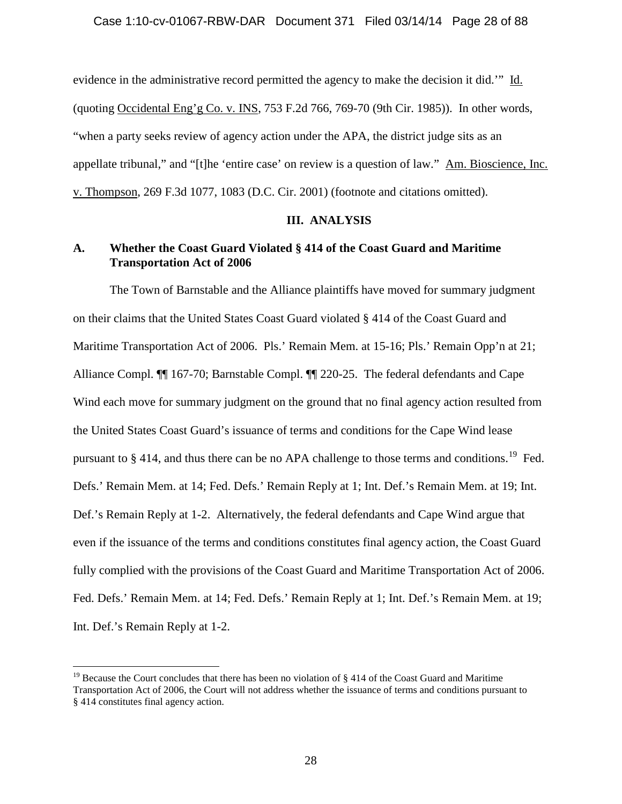### Case 1:10-cv-01067-RBW-DAR Document 371 Filed 03/14/14 Page 28 of 88

evidence in the administrative record permitted the agency to make the decision it did.'" Id. (quoting Occidental Eng'g Co. v. INS, 753 F.2d 766, 769-70 (9th Cir. 1985)). In other words, "when a party seeks review of agency action under the APA, the district judge sits as an appellate tribunal," and "[t]he 'entire case' on review is a question of law." Am. Bioscience, Inc. v. Thompson, 269 F.3d 1077, 1083 (D.C. Cir. 2001) (footnote and citations omitted).

### **III. ANALYSIS**

## **A. Whether the Coast Guard Violated § 414 of the Coast Guard and Maritime Transportation Act of 2006**

The Town of Barnstable and the Alliance plaintiffs have moved for summary judgment on their claims that the United States Coast Guard violated § 414 of the Coast Guard and Maritime Transportation Act of 2006. Pls.' Remain Mem. at 15-16; Pls.' Remain Opp'n at 21; Alliance Compl. ¶¶ 167-70; Barnstable Compl. ¶¶ 220-25. The federal defendants and Cape Wind each move for summary judgment on the ground that no final agency action resulted from the United States Coast Guard's issuance of terms and conditions for the Cape Wind lease pursuant to  $\S$  414, and thus there can be no APA challenge to those terms and conditions.<sup>[19](#page-27-0)</sup> Fed. Defs.' Remain Mem. at 14; Fed. Defs.' Remain Reply at 1; Int. Def.'s Remain Mem. at 19; Int. Def.'s Remain Reply at 1-2. Alternatively, the federal defendants and Cape Wind argue that even if the issuance of the terms and conditions constitutes final agency action, the Coast Guard fully complied with the provisions of the Coast Guard and Maritime Transportation Act of 2006. Fed. Defs.' Remain Mem. at 14; Fed. Defs.' Remain Reply at 1; Int. Def.'s Remain Mem. at 19; Int. Def.'s Remain Reply at 1-2.

<span id="page-27-0"></span><sup>&</sup>lt;sup>19</sup> Because the Court concludes that there has been no violation of  $\S 414$  of the Coast Guard and Maritime Transportation Act of 2006, the Court will not address whether the issuance of terms and conditions pursuant to § 414 constitutes final agency action.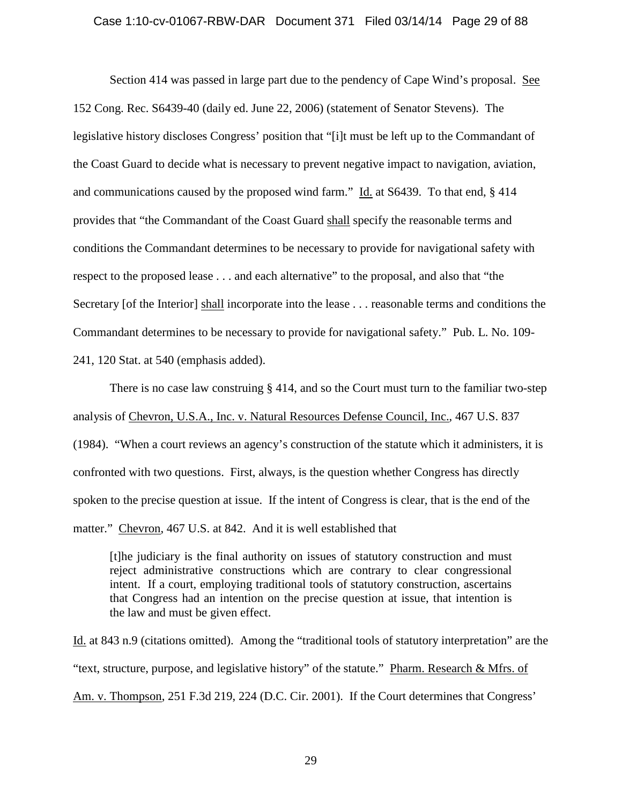#### Case 1:10-cv-01067-RBW-DAR Document 371 Filed 03/14/14 Page 29 of 88

Section 414 was passed in large part due to the pendency of Cape Wind's proposal. See 152 Cong. Rec. S6439-40 (daily ed. June 22, 2006) (statement of Senator Stevens). The legislative history discloses Congress' position that "[i]t must be left up to the Commandant of the Coast Guard to decide what is necessary to prevent negative impact to navigation, aviation, and communications caused by the proposed wind farm." Id. at S6439. To that end, § 414 provides that "the Commandant of the Coast Guard shall specify the reasonable terms and conditions the Commandant determines to be necessary to provide for navigational safety with respect to the proposed lease . . . and each alternative" to the proposal, and also that "the Secretary [of the Interior] shall incorporate into the lease . . . reasonable terms and conditions the Commandant determines to be necessary to provide for navigational safety." Pub. L. No. 109- 241, 120 Stat. at 540 (emphasis added).

There is no case law construing § 414, and so the Court must turn to the familiar two-step analysis of Chevron, U.S.A., Inc. v. Natural Resources Defense Council, Inc., 467 U.S. 837 (1984). "When a court reviews an agency's construction of the statute which it administers, it is confronted with two questions. First, always, is the question whether Congress has directly spoken to the precise question at issue. If the intent of Congress is clear, that is the end of the matter." Chevron, 467 U.S. at 842. And it is well established that

[t]he judiciary is the final authority on issues of statutory construction and must reject administrative constructions which are contrary to clear congressional intent. If a court, employing traditional tools of statutory construction, ascertains that Congress had an intention on the precise question at issue, that intention is the law and must be given effect.

Id. at 843 n.9 (citations omitted). Among the "traditional tools of statutory interpretation" are the "text, structure, purpose, and legislative history" of the statute." Pharm. Research & Mfrs. of Am. v. Thompson, 251 F.3d 219, 224 (D.C. Cir. 2001). If the Court determines that Congress'

29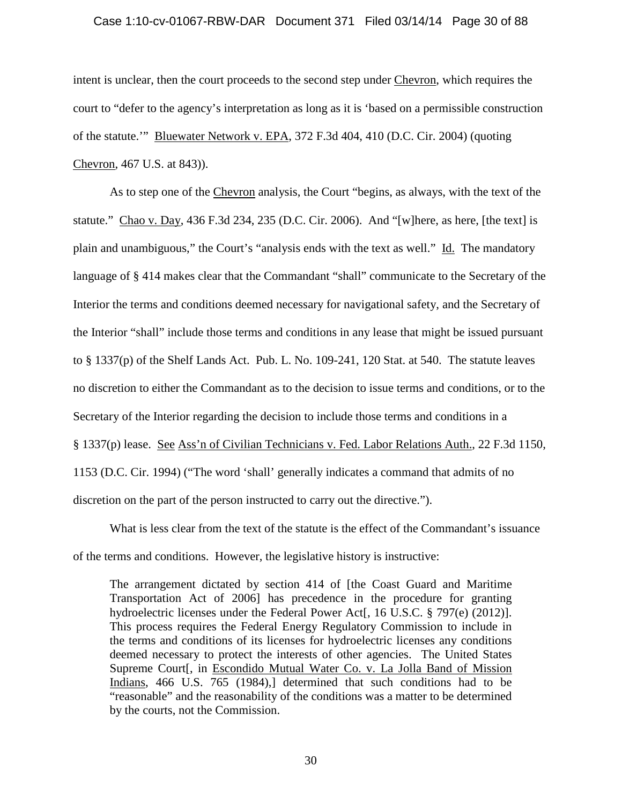### Case 1:10-cv-01067-RBW-DAR Document 371 Filed 03/14/14 Page 30 of 88

intent is unclear, then the court proceeds to the second step under Chevron, which requires the court to "defer to the agency's interpretation as long as it is 'based on a permissible construction of the statute.'" Bluewater Network v. EPA, 372 F.3d 404, 410 (D.C. Cir. 2004) (quoting Chevron, 467 U.S. at 843)).

As to step one of the Chevron analysis, the Court "begins, as always, with the text of the statute." Chao v. Day, 436 F.3d 234, 235 (D.C. Cir. 2006). And "[w]here, as here, [the text] is plain and unambiguous," the Court's "analysis ends with the text as well." Id. The mandatory language of § 414 makes clear that the Commandant "shall" communicate to the Secretary of the Interior the terms and conditions deemed necessary for navigational safety, and the Secretary of the Interior "shall" include those terms and conditions in any lease that might be issued pursuant to § 1337(p) of the Shelf Lands Act. Pub. L. No. 109-241, 120 Stat. at 540. The statute leaves no discretion to either the Commandant as to the decision to issue terms and conditions, or to the Secretary of the Interior regarding the decision to include those terms and conditions in a § 1337(p) lease. See Ass'n of Civilian Technicians v. Fed. Labor Relations Auth., 22 F.3d 1150, 1153 (D.C. Cir. 1994) ("The word 'shall' generally indicates a command that admits of no discretion on the part of the person instructed to carry out the directive.").

What is less clear from the text of the statute is the effect of the Commandant's issuance of the terms and conditions. However, the legislative history is instructive:

The arrangement dictated by section 414 of [the Coast Guard and Maritime Transportation Act of 2006] has precedence in the procedure for granting hydroelectric licenses under the Federal Power Act[, 16 U.S.C. § 797(e) (2012)]. This process requires the Federal Energy Regulatory Commission to include in the terms and conditions of its licenses for hydroelectric licenses any conditions deemed necessary to protect the interests of other agencies. The United States Supreme Court[, in Escondido Mutual Water Co. v. La Jolla Band of Mission Indians, 466 U.S. 765 (1984),] determined that such conditions had to be "reasonable" and the reasonability of the conditions was a matter to be determined by the courts, not the Commission.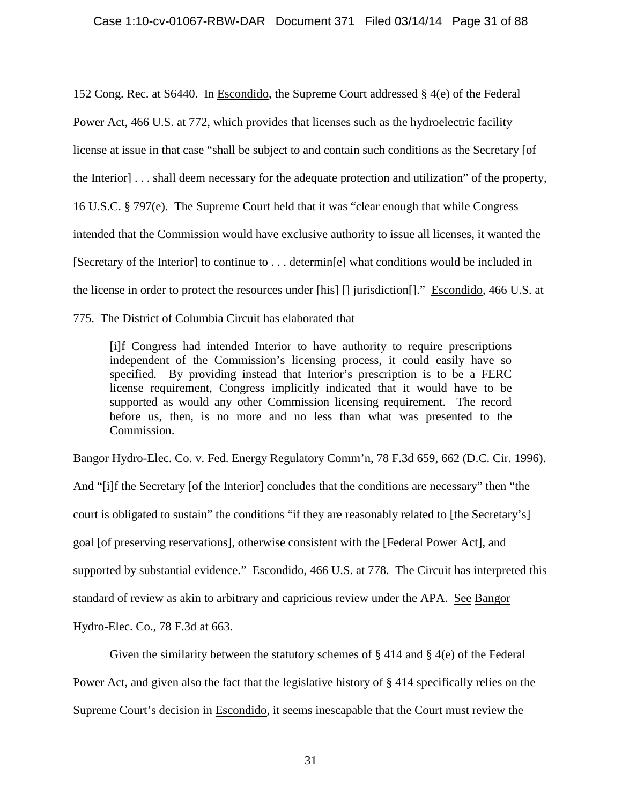### Case 1:10-cv-01067-RBW-DAR Document 371 Filed 03/14/14 Page 31 of 88

152 Cong. Rec. at S6440. In Escondido, the Supreme Court addressed § 4(e) of the Federal Power Act, 466 U.S. at 772, which provides that licenses such as the hydroelectric facility license at issue in that case "shall be subject to and contain such conditions as the Secretary [of the Interior] . . . shall deem necessary for the adequate protection and utilization" of the property, 16 U.S.C. § 797(e). The Supreme Court held that it was "clear enough that while Congress intended that the Commission would have exclusive authority to issue all licenses, it wanted the [Secretary of the Interior] to continue to . . . determin[e] what conditions would be included in the license in order to protect the resources under [his] [] jurisdiction[]." Escondido, 466 U.S. at 775. The District of Columbia Circuit has elaborated that

[i]f Congress had intended Interior to have authority to require prescriptions independent of the Commission's licensing process, it could easily have so specified. By providing instead that Interior's prescription is to be a FERC license requirement, Congress implicitly indicated that it would have to be supported as would any other Commission licensing requirement. The record before us, then, is no more and no less than what was presented to the Commission.

Bangor Hydro-Elec. Co. v. Fed. Energy Regulatory Comm'n, 78 F.3d 659, 662 (D.C. Cir. 1996).

And "[i]f the Secretary [of the Interior] concludes that the conditions are necessary" then "the court is obligated to sustain" the conditions "if they are reasonably related to [the Secretary's] goal [of preserving reservations], otherwise consistent with the [Federal Power Act], and supported by substantial evidence." Escondido, 466 U.S. at 778. The Circuit has interpreted this standard of review as akin to arbitrary and capricious review under the APA. See Bangor

Hydro-Elec. Co., 78 F.3d at 663.

Given the similarity between the statutory schemes of  $\S 414$  and  $\S 4(e)$  of the Federal

Power Act, and given also the fact that the legislative history of § 414 specifically relies on the

Supreme Court's decision in Escondido, it seems inescapable that the Court must review the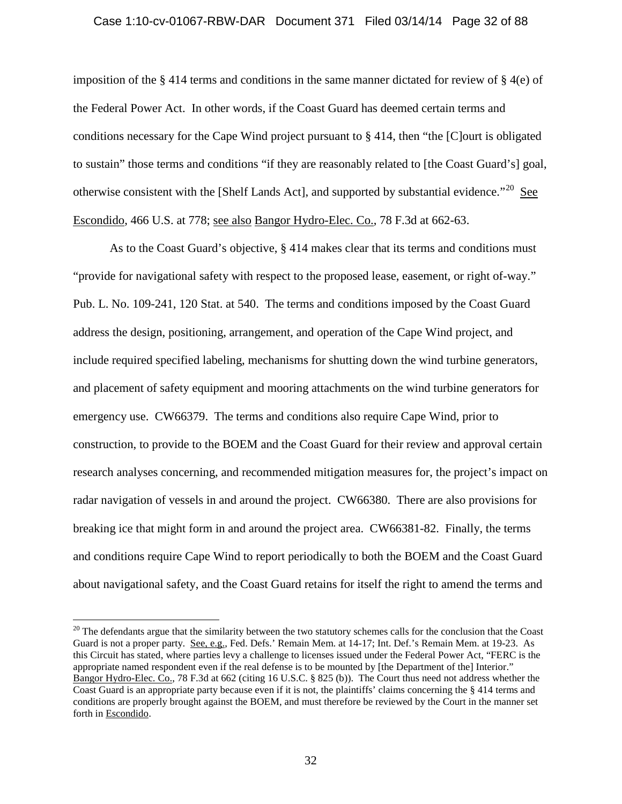#### Case 1:10-cv-01067-RBW-DAR Document 371 Filed 03/14/14 Page 32 of 88

imposition of the § 414 terms and conditions in the same manner dictated for review of § 4(e) of the Federal Power Act. In other words, if the Coast Guard has deemed certain terms and conditions necessary for the Cape Wind project pursuant to § 414, then "the [C]ourt is obligated to sustain" those terms and conditions "if they are reasonably related to [the Coast Guard's] goal, otherwise consistent with the [Shelf Lands Act], and supported by substantial evidence. $120$  $120$  See Escondido, 466 U.S. at 778; see also Bangor Hydro-Elec. Co., 78 F.3d at 662-63.

As to the Coast Guard's objective, § 414 makes clear that its terms and conditions must "provide for navigational safety with respect to the proposed lease, easement, or right of-way." Pub. L. No. 109-241, 120 Stat. at 540. The terms and conditions imposed by the Coast Guard address the design, positioning, arrangement, and operation of the Cape Wind project, and include required specified labeling, mechanisms for shutting down the wind turbine generators, and placement of safety equipment and mooring attachments on the wind turbine generators for emergency use. CW66379. The terms and conditions also require Cape Wind, prior to construction, to provide to the BOEM and the Coast Guard for their review and approval certain research analyses concerning, and recommended mitigation measures for, the project's impact on radar navigation of vessels in and around the project. CW66380. There are also provisions for breaking ice that might form in and around the project area. CW66381-82. Finally, the terms and conditions require Cape Wind to report periodically to both the BOEM and the Coast Guard about navigational safety, and the Coast Guard retains for itself the right to amend the terms and

<span id="page-31-0"></span> $20$  The defendants argue that the similarity between the two statutory schemes calls for the conclusion that the Coast Guard is not a proper party. See, e.g., Fed. Defs.' Remain Mem. at 14-17; Int. Def.'s Remain Mem. at 19-23. As this Circuit has stated, where parties levy a challenge to licenses issued under the Federal Power Act, "FERC is the appropriate named respondent even if the real defense is to be mounted by [the Department of the] Interior." Bangor Hydro-Elec. Co., 78 F.3d at 662 (citing 16 U.S.C. § 825 (b)). The Court thus need not address whether the Coast Guard is an appropriate party because even if it is not, the plaintiffs' claims concerning the § 414 terms and conditions are properly brought against the BOEM, and must therefore be reviewed by the Court in the manner set forth in Escondido.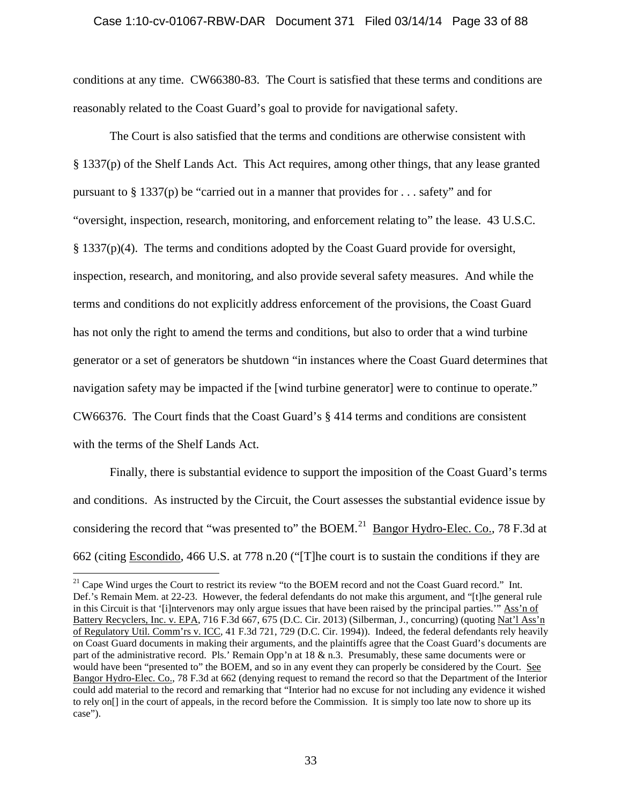### Case 1:10-cv-01067-RBW-DAR Document 371 Filed 03/14/14 Page 33 of 88

conditions at any time. CW66380-83. The Court is satisfied that these terms and conditions are reasonably related to the Coast Guard's goal to provide for navigational safety.

The Court is also satisfied that the terms and conditions are otherwise consistent with § 1337(p) of the Shelf Lands Act. This Act requires, among other things, that any lease granted pursuant to § 1337(p) be "carried out in a manner that provides for . . . safety" and for "oversight, inspection, research, monitoring, and enforcement relating to" the lease. 43 U.S.C. § 1337(p)(4). The terms and conditions adopted by the Coast Guard provide for oversight, inspection, research, and monitoring, and also provide several safety measures. And while the terms and conditions do not explicitly address enforcement of the provisions, the Coast Guard has not only the right to amend the terms and conditions, but also to order that a wind turbine generator or a set of generators be shutdown "in instances where the Coast Guard determines that navigation safety may be impacted if the [wind turbine generator] were to continue to operate." CW66376. The Court finds that the Coast Guard's § 414 terms and conditions are consistent with the terms of the Shelf Lands Act.

Finally, there is substantial evidence to support the imposition of the Coast Guard's terms and conditions. As instructed by the Circuit, the Court assesses the substantial evidence issue by considering the record that "was presented to" the BOEM.<sup>21</sup> Bangor Hydro-Elec. Co., 78 F.3d at 662 (citing Escondido, 466 U.S. at 778 n.20 ("[T]he court is to sustain the conditions if they are

<span id="page-32-0"></span><sup>&</sup>lt;sup>21</sup> Cape Wind urges the Court to restrict its review "to the BOEM record and not the Coast Guard record." Int. Def.'s Remain Mem. at 22-23. However, the federal defendants do not make this argument, and "[t]he general rule in this Circuit is that '[i]ntervenors may only argue issues that have been raised by the principal parties.'" Ass'n of Battery Recyclers, Inc. v. EPA, 716 F.3d 667, 675 (D.C. Cir. 2013) (Silberman, J., concurring) (quoting Nat'l Ass'n of Regulatory Util. Comm'rs v. ICC, 41 F.3d 721, 729 (D.C. Cir. 1994)). Indeed, the federal defendants rely heavily on Coast Guard documents in making their arguments, and the plaintiffs agree that the Coast Guard's documents are part of the administrative record. Pls.' Remain Opp'n at 18 & n.3. Presumably, these same documents were or would have been "presented to" the BOEM, and so in any event they can properly be considered by the Court. See Bangor Hydro-Elec. Co., 78 F.3d at 662 (denying request to remand the record so that the Department of the Interior could add material to the record and remarking that "Interior had no excuse for not including any evidence it wished to rely on[] in the court of appeals, in the record before the Commission. It is simply too late now to shore up its case").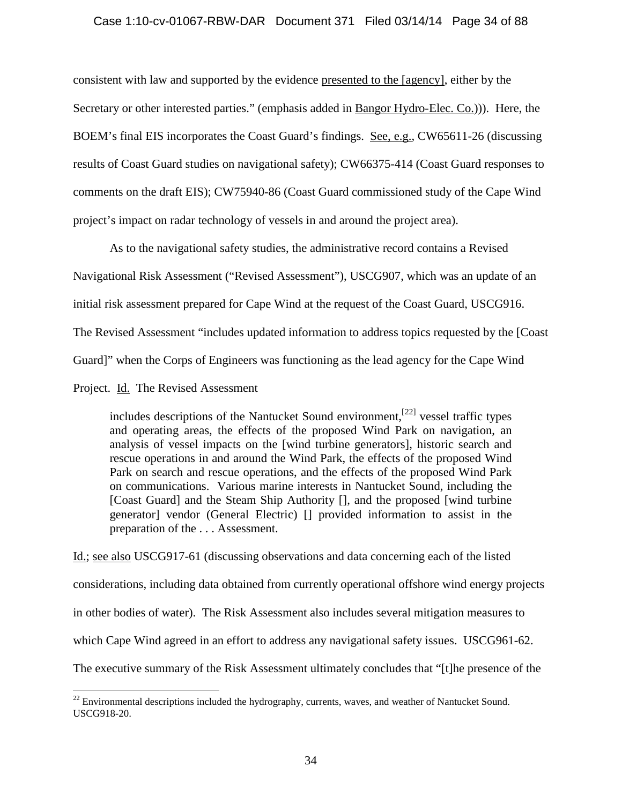### Case 1:10-cv-01067-RBW-DAR Document 371 Filed 03/14/14 Page 34 of 88

consistent with law and supported by the evidence presented to the [agency], either by the Secretary or other interested parties." (emphasis added in Bangor Hydro-Elec. Co.))). Here, the BOEM's final EIS incorporates the Coast Guard's findings. See, e.g., CW65611-26 (discussing results of Coast Guard studies on navigational safety); CW66375-414 (Coast Guard responses to comments on the draft EIS); CW75940-86 (Coast Guard commissioned study of the Cape Wind project's impact on radar technology of vessels in and around the project area).

As to the navigational safety studies, the administrative record contains a Revised Navigational Risk Assessment ("Revised Assessment"), USCG907, which was an update of an initial risk assessment prepared for Cape Wind at the request of the Coast Guard, USCG916. The Revised Assessment "includes updated information to address topics requested by the [Coast Guard]" when the Corps of Engineers was functioning as the lead agency for the Cape Wind

Project. Id. The Revised Assessment

includes descriptions of the Nantucket Sound environment,  $[22]$  $[22]$  vessel traffic types and operating areas, the effects of the proposed Wind Park on navigation, an analysis of vessel impacts on the [wind turbine generators], historic search and rescue operations in and around the Wind Park, the effects of the proposed Wind Park on search and rescue operations, and the effects of the proposed Wind Park on communications. Various marine interests in Nantucket Sound, including the [Coast Guard] and the Steam Ship Authority [], and the proposed [wind turbine] generator] vendor (General Electric) [] provided information to assist in the preparation of the . . . Assessment.

Id.; see also USCG917-61 (discussing observations and data concerning each of the listed considerations, including data obtained from currently operational offshore wind energy projects in other bodies of water). The Risk Assessment also includes several mitigation measures to which Cape Wind agreed in an effort to address any navigational safety issues. USCG961-62. The executive summary of the Risk Assessment ultimately concludes that "[t]he presence of the

<span id="page-33-0"></span> $22$  Environmental descriptions included the hydrography, currents, waves, and weather of Nantucket Sound. USCG918-20.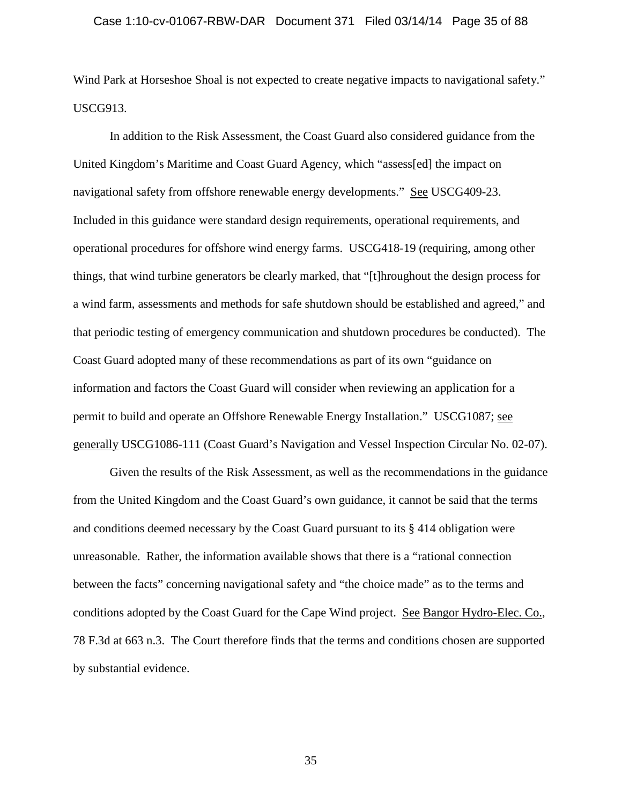#### Case 1:10-cv-01067-RBW-DAR Document 371 Filed 03/14/14 Page 35 of 88

Wind Park at Horseshoe Shoal is not expected to create negative impacts to navigational safety." USCG913.

In addition to the Risk Assessment, the Coast Guard also considered guidance from the United Kingdom's Maritime and Coast Guard Agency, which "assess[ed] the impact on navigational safety from offshore renewable energy developments." See USCG409-23. Included in this guidance were standard design requirements, operational requirements, and operational procedures for offshore wind energy farms. USCG418-19 (requiring, among other things, that wind turbine generators be clearly marked, that "[t]hroughout the design process for a wind farm, assessments and methods for safe shutdown should be established and agreed," and that periodic testing of emergency communication and shutdown procedures be conducted). The Coast Guard adopted many of these recommendations as part of its own "guidance on information and factors the Coast Guard will consider when reviewing an application for a permit to build and operate an Offshore Renewable Energy Installation." USCG1087; see generally USCG1086-111 (Coast Guard's Navigation and Vessel Inspection Circular No. 02-07).

Given the results of the Risk Assessment, as well as the recommendations in the guidance from the United Kingdom and the Coast Guard's own guidance, it cannot be said that the terms and conditions deemed necessary by the Coast Guard pursuant to its § 414 obligation were unreasonable. Rather, the information available shows that there is a "rational connection between the facts" concerning navigational safety and "the choice made" as to the terms and conditions adopted by the Coast Guard for the Cape Wind project. See Bangor Hydro-Elec. Co., 78 F.3d at 663 n.3. The Court therefore finds that the terms and conditions chosen are supported by substantial evidence.

35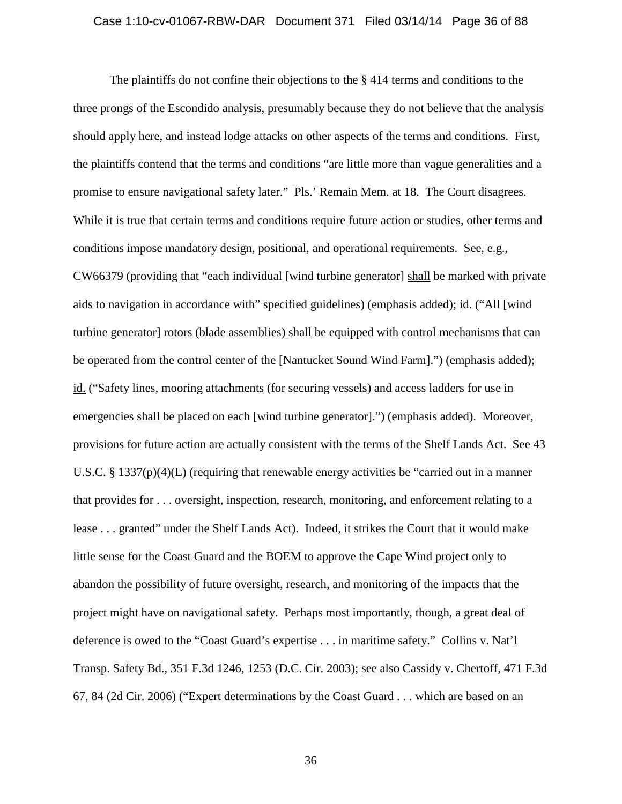### Case 1:10-cv-01067-RBW-DAR Document 371 Filed 03/14/14 Page 36 of 88

The plaintiffs do not confine their objections to the § 414 terms and conditions to the three prongs of the Escondido analysis, presumably because they do not believe that the analysis should apply here, and instead lodge attacks on other aspects of the terms and conditions. First, the plaintiffs contend that the terms and conditions "are little more than vague generalities and a promise to ensure navigational safety later." Pls.' Remain Mem. at 18. The Court disagrees. While it is true that certain terms and conditions require future action or studies, other terms and conditions impose mandatory design, positional, and operational requirements. See, e.g., CW66379 (providing that "each individual [wind turbine generator] shall be marked with private aids to navigation in accordance with" specified guidelines) (emphasis added); id. ("All [wind turbine generator] rotors (blade assemblies) shall be equipped with control mechanisms that can be operated from the control center of the [Nantucket Sound Wind Farm].") (emphasis added); id. ("Safety lines, mooring attachments (for securing vessels) and access ladders for use in emergencies shall be placed on each [wind turbine generator].") (emphasis added). Moreover, provisions for future action are actually consistent with the terms of the Shelf Lands Act. See 43 U.S.C. § 1337(p)(4)(L) (requiring that renewable energy activities be "carried out in a manner that provides for . . . oversight, inspection, research, monitoring, and enforcement relating to a lease . . . granted" under the Shelf Lands Act). Indeed, it strikes the Court that it would make little sense for the Coast Guard and the BOEM to approve the Cape Wind project only to abandon the possibility of future oversight, research, and monitoring of the impacts that the project might have on navigational safety. Perhaps most importantly, though, a great deal of deference is owed to the "Coast Guard's expertise . . . in maritime safety." Collins v. Nat'l Transp. Safety Bd., 351 F.3d 1246, 1253 (D.C. Cir. 2003); see also Cassidy v. Chertoff, 471 F.3d 67, 84 (2d Cir. 2006) ("Expert determinations by the Coast Guard . . . which are based on an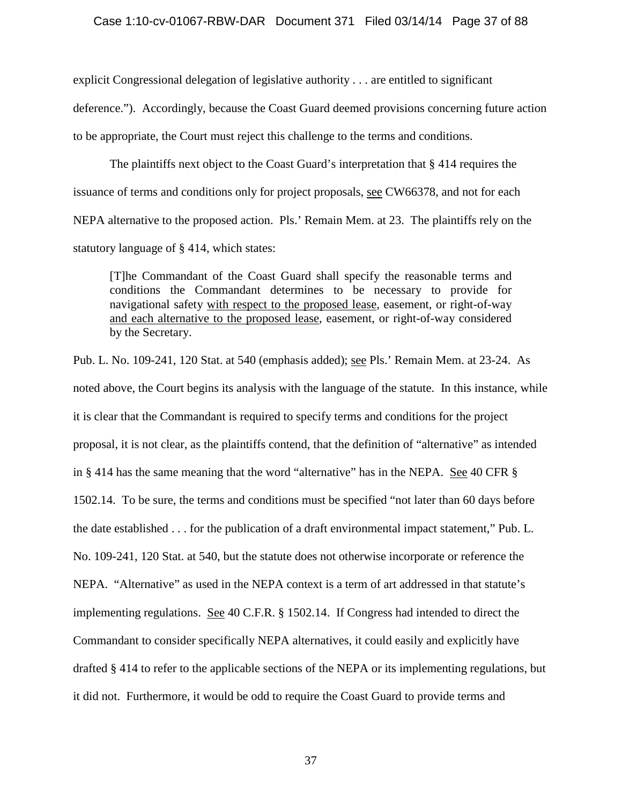### Case 1:10-cv-01067-RBW-DAR Document 371 Filed 03/14/14 Page 37 of 88

explicit Congressional delegation of legislative authority . . . are entitled to significant deference."). Accordingly, because the Coast Guard deemed provisions concerning future action to be appropriate, the Court must reject this challenge to the terms and conditions.

The plaintiffs next object to the Coast Guard's interpretation that § 414 requires the issuance of terms and conditions only for project proposals, see CW66378, and not for each NEPA alternative to the proposed action. Pls.' Remain Mem. at 23. The plaintiffs rely on the statutory language of § 414, which states:

[T]he Commandant of the Coast Guard shall specify the reasonable terms and conditions the Commandant determines to be necessary to provide for navigational safety with respect to the proposed lease, easement, or right-of-way and each alternative to the proposed lease, easement, or right-of-way considered by the Secretary.

Pub. L. No. 109-241, 120 Stat. at 540 (emphasis added); see Pls.' Remain Mem. at 23-24. As noted above, the Court begins its analysis with the language of the statute. In this instance, while it is clear that the Commandant is required to specify terms and conditions for the project proposal, it is not clear, as the plaintiffs contend, that the definition of "alternative" as intended in § 414 has the same meaning that the word "alternative" has in the NEPA. See 40 CFR § 1502.14. To be sure, the terms and conditions must be specified "not later than 60 days before the date established . . . for the publication of a draft environmental impact statement," Pub. L. No. 109-241, 120 Stat. at 540, but the statute does not otherwise incorporate or reference the NEPA. "Alternative" as used in the NEPA context is a term of art addressed in that statute's implementing regulations. See 40 C.F.R. § 1502.14. If Congress had intended to direct the Commandant to consider specifically NEPA alternatives, it could easily and explicitly have drafted § 414 to refer to the applicable sections of the NEPA or its implementing regulations, but it did not. Furthermore, it would be odd to require the Coast Guard to provide terms and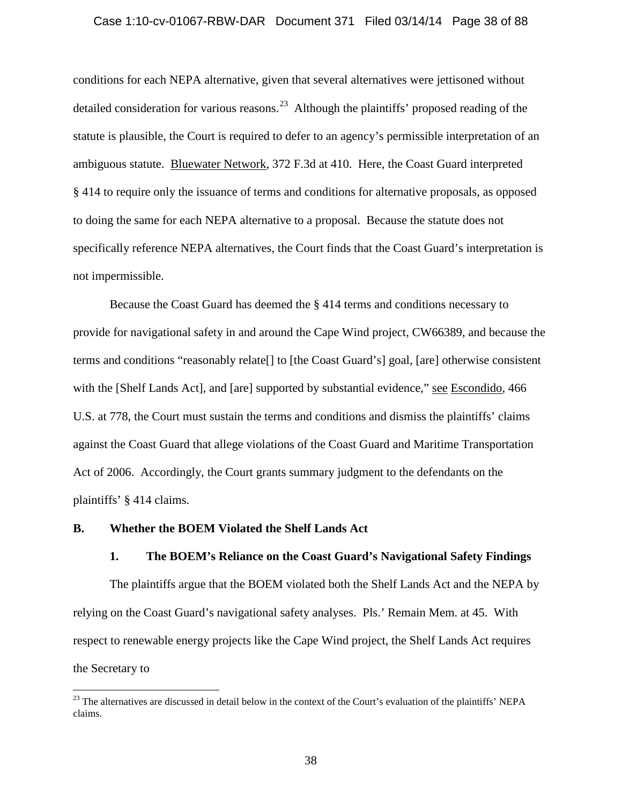### Case 1:10-cv-01067-RBW-DAR Document 371 Filed 03/14/14 Page 38 of 88

conditions for each NEPA alternative, given that several alternatives were jettisoned without detailed consideration for various reasons.<sup>23</sup> Although the plaintiffs' proposed reading of the statute is plausible, the Court is required to defer to an agency's permissible interpretation of an ambiguous statute. Bluewater Network, 372 F.3d at 410. Here, the Coast Guard interpreted § 414 to require only the issuance of terms and conditions for alternative proposals, as opposed to doing the same for each NEPA alternative to a proposal. Because the statute does not specifically reference NEPA alternatives, the Court finds that the Coast Guard's interpretation is not impermissible.

Because the Coast Guard has deemed the § 414 terms and conditions necessary to provide for navigational safety in and around the Cape Wind project, CW66389, and because the terms and conditions "reasonably relate[] to [the Coast Guard's] goal, [are] otherwise consistent with the [Shelf Lands Act], and [are] supported by substantial evidence," see Escondido, 466 U.S. at 778, the Court must sustain the terms and conditions and dismiss the plaintiffs' claims against the Coast Guard that allege violations of the Coast Guard and Maritime Transportation Act of 2006. Accordingly, the Court grants summary judgment to the defendants on the plaintiffs' § 414 claims.

### **B. Whether the BOEM Violated the Shelf Lands Act**

## **1. The BOEM's Reliance on the Coast Guard's Navigational Safety Findings**

The plaintiffs argue that the BOEM violated both the Shelf Lands Act and the NEPA by relying on the Coast Guard's navigational safety analyses. Pls.' Remain Mem. at 45. With respect to renewable energy projects like the Cape Wind project, the Shelf Lands Act requires the Secretary to

<span id="page-37-0"></span> $^{23}$  The alternatives are discussed in detail below in the context of the Court's evaluation of the plaintiffs' NEPA claims.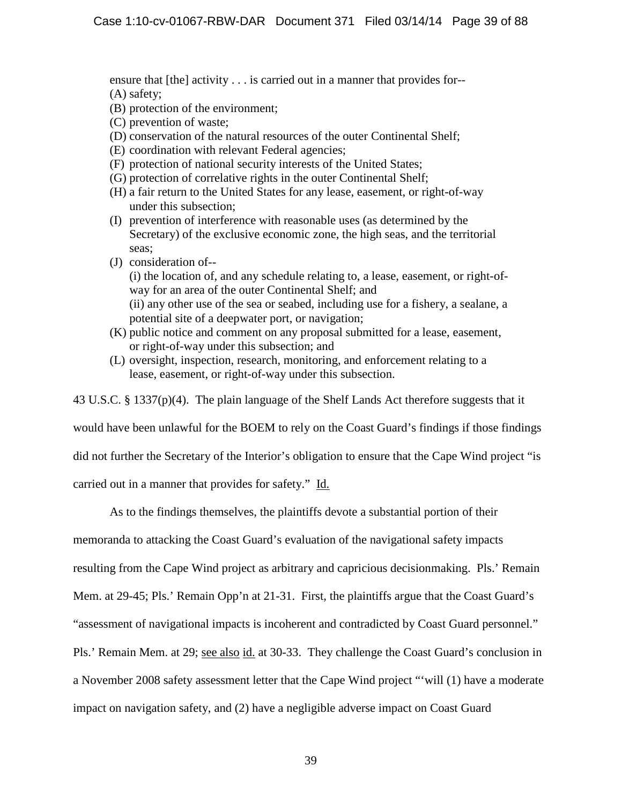ensure that [the] activity . . . is carried out in a manner that provides for-- (A) safety;

- (B) protection of the environment;
- (C) prevention of waste;
- (D) conservation of the natural resources of the outer Continental Shelf;
- (E) coordination with relevant Federal agencies;
- (F) protection of national security interests of the United States;
- (G) protection of correlative rights in the outer Continental Shelf;
- (H) a fair return to the United States for any lease, easement, or right-of-way under this subsection;
- (I) prevention of interference with reasonable uses (as determined by the Secretary) of the exclusive economic zone, the high seas, and the territorial seas;
- (J) consideration of-- (i) the location of, and any schedule relating to, a lease, easement, or right-ofway for an area of the outer Continental Shelf; and (ii) any other use of the sea or seabed, including use for a fishery, a sealane, a potential site of a deepwater port, or navigation;
- (K) public notice and comment on any proposal submitted for a lease, easement, or right-of-way under this subsection; and
- (L) oversight, inspection, research, monitoring, and enforcement relating to a lease, easement, or right-of-way under this subsection.

43 U.S.C. § 1337(p)(4). The plain language of the Shelf Lands Act therefore suggests that it

would have been unlawful for the BOEM to rely on the Coast Guard's findings if those findings

did not further the Secretary of the Interior's obligation to ensure that the Cape Wind project "is

carried out in a manner that provides for safety." Id.

As to the findings themselves, the plaintiffs devote a substantial portion of their

memoranda to attacking the Coast Guard's evaluation of the navigational safety impacts

resulting from the Cape Wind project as arbitrary and capricious decisionmaking. Pls.' Remain

Mem. at 29-45; Pls.' Remain Opp'n at 21-31. First, the plaintiffs argue that the Coast Guard's

"assessment of navigational impacts is incoherent and contradicted by Coast Guard personnel."

Pls.' Remain Mem. at 29; see also id. at 30-33. They challenge the Coast Guard's conclusion in

a November 2008 safety assessment letter that the Cape Wind project "'will (1) have a moderate

impact on navigation safety, and (2) have a negligible adverse impact on Coast Guard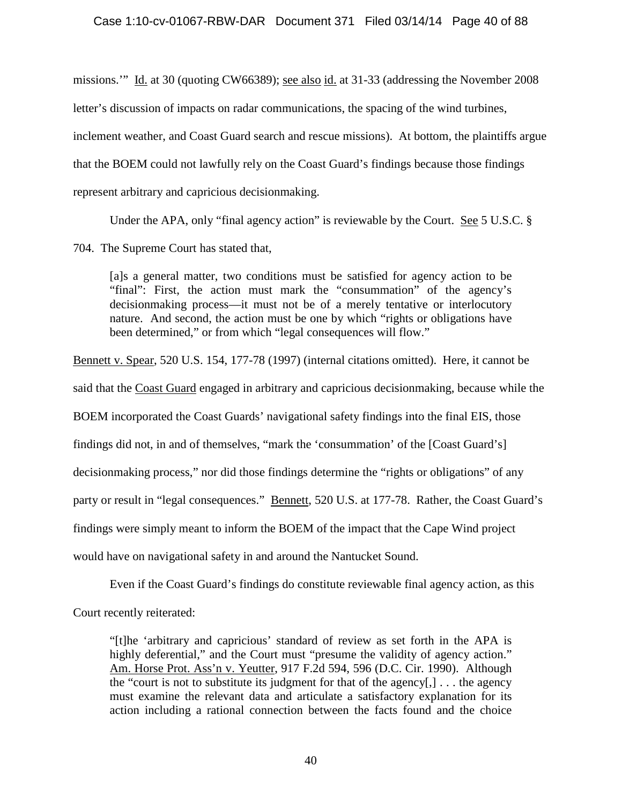# Case 1:10-cv-01067-RBW-DAR Document 371 Filed 03/14/14 Page 40 of 88

missions.'" Id. at 30 (quoting CW66389); see also id. at 31-33 (addressing the November 2008 letter's discussion of impacts on radar communications, the spacing of the wind turbines, inclement weather, and Coast Guard search and rescue missions). At bottom, the plaintiffs argue that the BOEM could not lawfully rely on the Coast Guard's findings because those findings represent arbitrary and capricious decisionmaking.

Under the APA, only "final agency action" is reviewable by the Court. See 5 U.S.C. §

704. The Supreme Court has stated that,

[a]s a general matter, two conditions must be satisfied for agency action to be "final": First, the action must mark the "consummation" of the agency's decisionmaking process—it must not be of a merely tentative or interlocutory nature. And second, the action must be one by which "rights or obligations have been determined," or from which "legal consequences will flow."

Bennett v. Spear, 520 U.S. 154, 177-78 (1997) (internal citations omitted). Here, it cannot be

said that the Coast Guard engaged in arbitrary and capricious decisionmaking, because while the

BOEM incorporated the Coast Guards' navigational safety findings into the final EIS, those

findings did not, in and of themselves, "mark the 'consummation' of the [Coast Guard's]

decisionmaking process," nor did those findings determine the "rights or obligations" of any

party or result in "legal consequences." Bennett, 520 U.S. at 177-78. Rather, the Coast Guard's

findings were simply meant to inform the BOEM of the impact that the Cape Wind project

would have on navigational safety in and around the Nantucket Sound.

Even if the Coast Guard's findings do constitute reviewable final agency action, as this

Court recently reiterated:

"[t]he 'arbitrary and capricious' standard of review as set forth in the APA is highly deferential," and the Court must "presume the validity of agency action." Am. Horse Prot. Ass'n v. Yeutter, 917 F.2d 594, 596 (D.C. Cir. 1990). Although the "court is not to substitute its judgment for that of the agency $[,] \ldots$  the agency must examine the relevant data and articulate a satisfactory explanation for its action including a rational connection between the facts found and the choice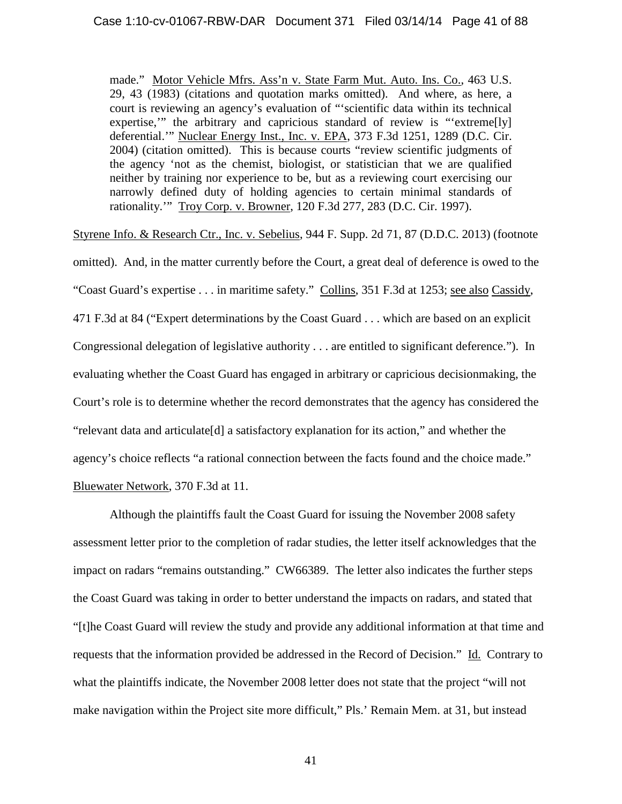made." Motor Vehicle Mfrs. Ass'n v. State Farm Mut. Auto. Ins. Co., 463 U.S. 29, 43 (1983) (citations and quotation marks omitted). And where, as here, a court is reviewing an agency's evaluation of "'scientific data within its technical expertise," the arbitrary and capricious standard of review is "extreme[ly] deferential.'" Nuclear Energy Inst., Inc. v. EPA, 373 F.3d 1251, 1289 (D.C. Cir. 2004) (citation omitted). This is because courts "review scientific judgments of the agency 'not as the chemist, biologist, or statistician that we are qualified neither by training nor experience to be, but as a reviewing court exercising our narrowly defined duty of holding agencies to certain minimal standards of rationality.'" Troy Corp. v. Browner, 120 F.3d 277, 283 (D.C. Cir. 1997).

Styrene Info. & Research Ctr., Inc. v. Sebelius, 944 F. Supp. 2d 71, 87 (D.D.C. 2013) (footnote omitted). And, in the matter currently before the Court, a great deal of deference is owed to the

"Coast Guard's expertise . . . in maritime safety." Collins, 351 F.3d at 1253; see also Cassidy, 471 F.3d at 84 ("Expert determinations by the Coast Guard . . . which are based on an explicit Congressional delegation of legislative authority . . . are entitled to significant deference."). In evaluating whether the Coast Guard has engaged in arbitrary or capricious decisionmaking, the Court's role is to determine whether the record demonstrates that the agency has considered the "relevant data and articulate[d] a satisfactory explanation for its action," and whether the agency's choice reflects "a rational connection between the facts found and the choice made." Bluewater Network, 370 F.3d at 11.

Although the plaintiffs fault the Coast Guard for issuing the November 2008 safety assessment letter prior to the completion of radar studies, the letter itself acknowledges that the impact on radars "remains outstanding." CW66389. The letter also indicates the further steps the Coast Guard was taking in order to better understand the impacts on radars, and stated that "[t]he Coast Guard will review the study and provide any additional information at that time and requests that the information provided be addressed in the Record of Decision." Id. Contrary to what the plaintiffs indicate, the November 2008 letter does not state that the project "will not make navigation within the Project site more difficult," Pls.' Remain Mem. at 31, but instead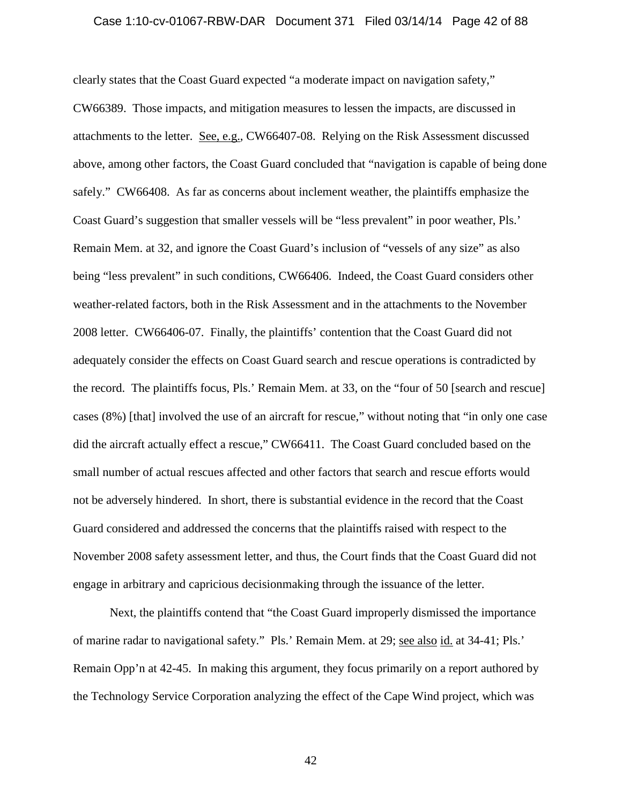### Case 1:10-cv-01067-RBW-DAR Document 371 Filed 03/14/14 Page 42 of 88

clearly states that the Coast Guard expected "a moderate impact on navigation safety," CW66389. Those impacts, and mitigation measures to lessen the impacts, are discussed in attachments to the letter. See, e.g., CW66407-08. Relying on the Risk Assessment discussed above, among other factors, the Coast Guard concluded that "navigation is capable of being done safely." CW66408. As far as concerns about inclement weather, the plaintiffs emphasize the Coast Guard's suggestion that smaller vessels will be "less prevalent" in poor weather, Pls.' Remain Mem. at 32, and ignore the Coast Guard's inclusion of "vessels of any size" as also being "less prevalent" in such conditions, CW66406. Indeed, the Coast Guard considers other weather-related factors, both in the Risk Assessment and in the attachments to the November 2008 letter. CW66406-07. Finally, the plaintiffs' contention that the Coast Guard did not adequately consider the effects on Coast Guard search and rescue operations is contradicted by the record. The plaintiffs focus, Pls.' Remain Mem. at 33, on the "four of 50 [search and rescue] cases (8%) [that] involved the use of an aircraft for rescue," without noting that "in only one case did the aircraft actually effect a rescue," CW66411. The Coast Guard concluded based on the small number of actual rescues affected and other factors that search and rescue efforts would not be adversely hindered. In short, there is substantial evidence in the record that the Coast Guard considered and addressed the concerns that the plaintiffs raised with respect to the November 2008 safety assessment letter, and thus, the Court finds that the Coast Guard did not engage in arbitrary and capricious decisionmaking through the issuance of the letter.

Next, the plaintiffs contend that "the Coast Guard improperly dismissed the importance of marine radar to navigational safety." Pls.' Remain Mem. at 29; see also id. at 34-41; Pls.' Remain Opp'n at 42-45. In making this argument, they focus primarily on a report authored by the Technology Service Corporation analyzing the effect of the Cape Wind project, which was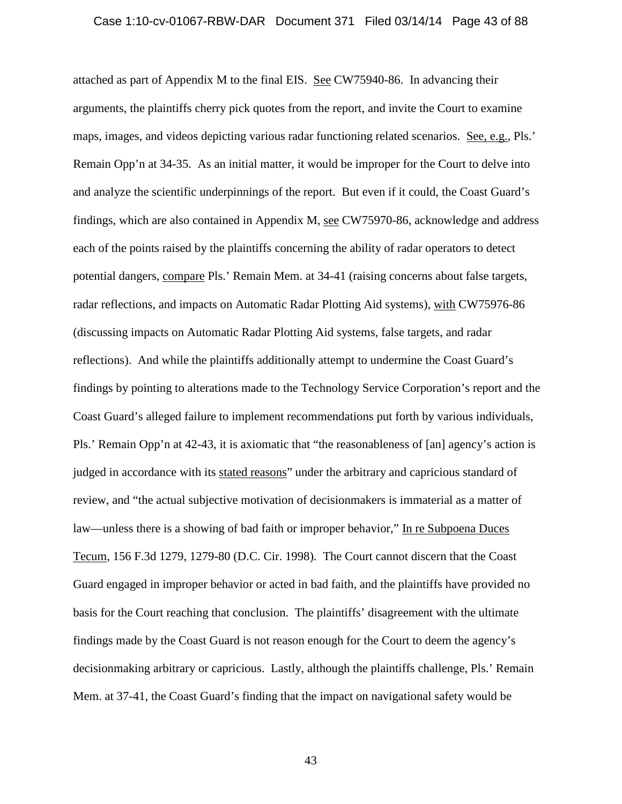### Case 1:10-cv-01067-RBW-DAR Document 371 Filed 03/14/14 Page 43 of 88

attached as part of Appendix M to the final EIS. See CW75940-86. In advancing their arguments, the plaintiffs cherry pick quotes from the report, and invite the Court to examine maps, images, and videos depicting various radar functioning related scenarios. See, e.g., Pls.' Remain Opp'n at 34-35. As an initial matter, it would be improper for the Court to delve into and analyze the scientific underpinnings of the report. But even if it could, the Coast Guard's findings, which are also contained in Appendix M, see CW75970-86, acknowledge and address each of the points raised by the plaintiffs concerning the ability of radar operators to detect potential dangers, compare Pls.' Remain Mem. at 34-41 (raising concerns about false targets, radar reflections, and impacts on Automatic Radar Plotting Aid systems), with CW75976-86 (discussing impacts on Automatic Radar Plotting Aid systems, false targets, and radar reflections). And while the plaintiffs additionally attempt to undermine the Coast Guard's findings by pointing to alterations made to the Technology Service Corporation's report and the Coast Guard's alleged failure to implement recommendations put forth by various individuals, Pls.' Remain Opp'n at 42-43, it is axiomatic that "the reasonableness of [an] agency's action is judged in accordance with its stated reasons" under the arbitrary and capricious standard of review, and "the actual subjective motivation of decisionmakers is immaterial as a matter of law—unless there is a showing of bad faith or improper behavior," In re Subpoena Duces Tecum, 156 F.3d 1279, 1279-80 (D.C. Cir. 1998). The Court cannot discern that the Coast Guard engaged in improper behavior or acted in bad faith, and the plaintiffs have provided no basis for the Court reaching that conclusion. The plaintiffs' disagreement with the ultimate findings made by the Coast Guard is not reason enough for the Court to deem the agency's decisionmaking arbitrary or capricious. Lastly, although the plaintiffs challenge, Pls.' Remain Mem. at 37-41, the Coast Guard's finding that the impact on navigational safety would be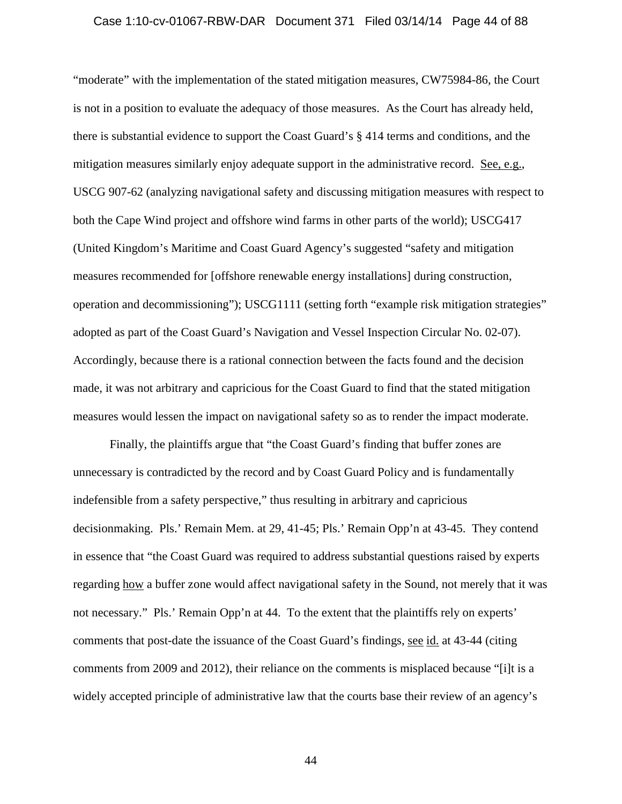### Case 1:10-cv-01067-RBW-DAR Document 371 Filed 03/14/14 Page 44 of 88

"moderate" with the implementation of the stated mitigation measures, CW75984-86, the Court is not in a position to evaluate the adequacy of those measures. As the Court has already held, there is substantial evidence to support the Coast Guard's § 414 terms and conditions, and the mitigation measures similarly enjoy adequate support in the administrative record. See, e.g., USCG 907-62 (analyzing navigational safety and discussing mitigation measures with respect to both the Cape Wind project and offshore wind farms in other parts of the world); USCG417 (United Kingdom's Maritime and Coast Guard Agency's suggested "safety and mitigation measures recommended for [offshore renewable energy installations] during construction, operation and decommissioning"); USCG1111 (setting forth "example risk mitigation strategies" adopted as part of the Coast Guard's Navigation and Vessel Inspection Circular No. 02-07). Accordingly, because there is a rational connection between the facts found and the decision made, it was not arbitrary and capricious for the Coast Guard to find that the stated mitigation measures would lessen the impact on navigational safety so as to render the impact moderate.

Finally, the plaintiffs argue that "the Coast Guard's finding that buffer zones are unnecessary is contradicted by the record and by Coast Guard Policy and is fundamentally indefensible from a safety perspective," thus resulting in arbitrary and capricious decisionmaking. Pls.' Remain Mem. at 29, 41-45; Pls.' Remain Opp'n at 43-45. They contend in essence that "the Coast Guard was required to address substantial questions raised by experts regarding how a buffer zone would affect navigational safety in the Sound, not merely that it was not necessary." Pls.' Remain Opp'n at 44. To the extent that the plaintiffs rely on experts' comments that post-date the issuance of the Coast Guard's findings, see id. at 43-44 (citing comments from 2009 and 2012), their reliance on the comments is misplaced because "[i]t is a widely accepted principle of administrative law that the courts base their review of an agency's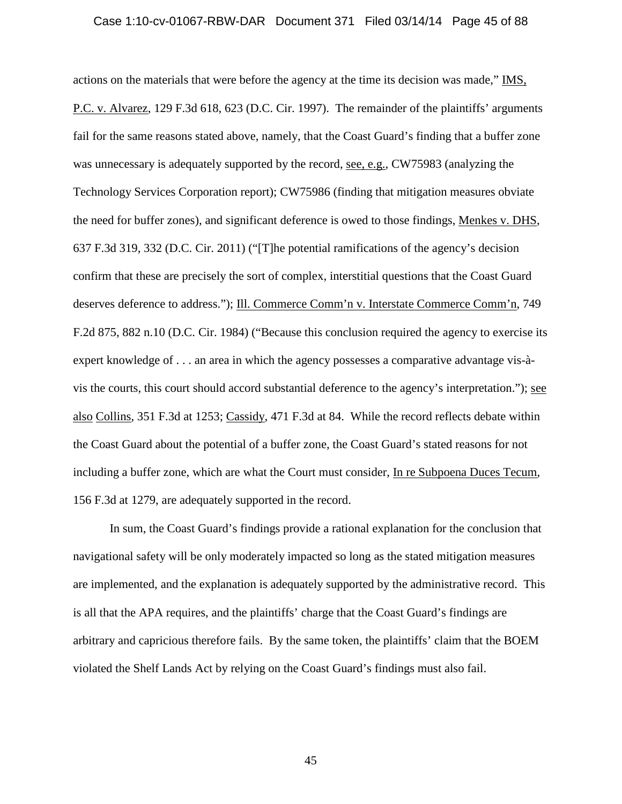### Case 1:10-cv-01067-RBW-DAR Document 371 Filed 03/14/14 Page 45 of 88

actions on the materials that were before the agency at the time its decision was made," IMS, P.C. v. Alvarez, 129 F.3d 618, 623 (D.C. Cir. 1997). The remainder of the plaintiffs' arguments fail for the same reasons stated above, namely, that the Coast Guard's finding that a buffer zone was unnecessary is adequately supported by the record, see, e.g., CW75983 (analyzing the Technology Services Corporation report); CW75986 (finding that mitigation measures obviate the need for buffer zones), and significant deference is owed to those findings, Menkes v. DHS, 637 F.3d 319, 332 (D.C. Cir. 2011) ("[T]he potential ramifications of the agency's decision confirm that these are precisely the sort of complex, interstitial questions that the Coast Guard deserves deference to address."); Ill. Commerce Comm'n v. Interstate Commerce Comm'n, 749 F.2d 875, 882 n.10 (D.C. Cir. 1984) ("Because this conclusion required the agency to exercise its expert knowledge of . . . an area in which the agency possesses a comparative advantage vis-àvis the courts, this court should accord substantial deference to the agency's interpretation."); see also Collins, 351 F.3d at 1253; Cassidy, 471 F.3d at 84. While the record reflects debate within the Coast Guard about the potential of a buffer zone, the Coast Guard's stated reasons for not including a buffer zone, which are what the Court must consider, In re Subpoena Duces Tecum, 156 F.3d at 1279, are adequately supported in the record.

In sum, the Coast Guard's findings provide a rational explanation for the conclusion that navigational safety will be only moderately impacted so long as the stated mitigation measures are implemented, and the explanation is adequately supported by the administrative record. This is all that the APA requires, and the plaintiffs' charge that the Coast Guard's findings are arbitrary and capricious therefore fails. By the same token, the plaintiffs' claim that the BOEM violated the Shelf Lands Act by relying on the Coast Guard's findings must also fail.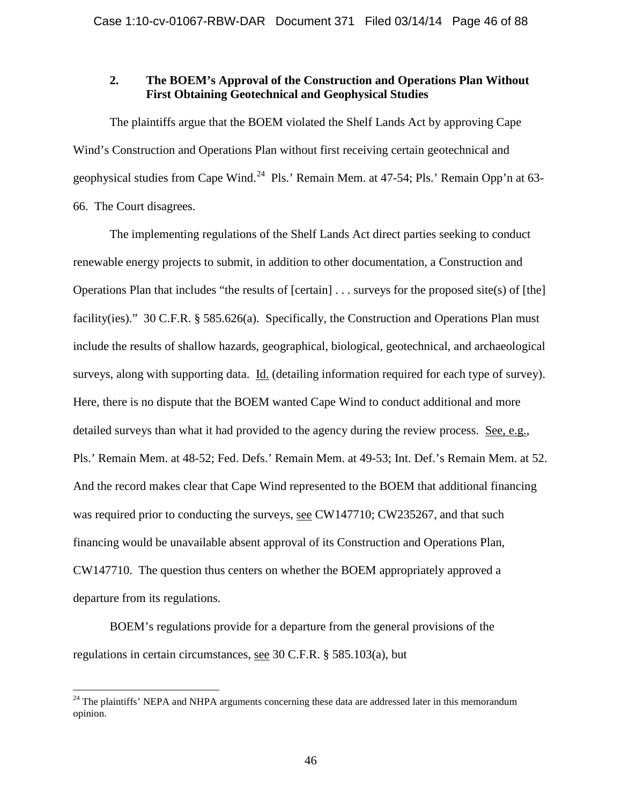# **2. The BOEM's Approval of the Construction and Operations Plan Without First Obtaining Geotechnical and Geophysical Studies**

The plaintiffs argue that the BOEM violated the Shelf Lands Act by approving Cape Wind's Construction and Operations Plan without first receiving certain geotechnical and geophysical studies from Cape Wind.<sup>[24](#page-45-0)</sup> Pls.' Remain Mem. at 47-54; Pls.' Remain Opp'n at 63-66. The Court disagrees.

The implementing regulations of the Shelf Lands Act direct parties seeking to conduct renewable energy projects to submit, in addition to other documentation, a Construction and Operations Plan that includes "the results of [certain] . . . surveys for the proposed site(s) of [the] facility(ies)." 30 C.F.R. § 585.626(a). Specifically, the Construction and Operations Plan must include the results of shallow hazards, geographical, biological, geotechnical, and archaeological surveys, along with supporting data. Id. (detailing information required for each type of survey). Here, there is no dispute that the BOEM wanted Cape Wind to conduct additional and more detailed surveys than what it had provided to the agency during the review process. See, e.g., Pls.' Remain Mem. at 48-52; Fed. Defs.' Remain Mem. at 49-53; Int. Def.'s Remain Mem. at 52. And the record makes clear that Cape Wind represented to the BOEM that additional financing was required prior to conducting the surveys, see CW147710; CW235267, and that such financing would be unavailable absent approval of its Construction and Operations Plan, CW147710. The question thus centers on whether the BOEM appropriately approved a departure from its regulations.

BOEM's regulations provide for a departure from the general provisions of the regulations in certain circumstances, see 30 C.F.R. § 585.103(a), but

<span id="page-45-0"></span><sup>&</sup>lt;sup>24</sup> The plaintiffs' NEPA and NHPA arguments concerning these data are addressed later in this memorandum opinion.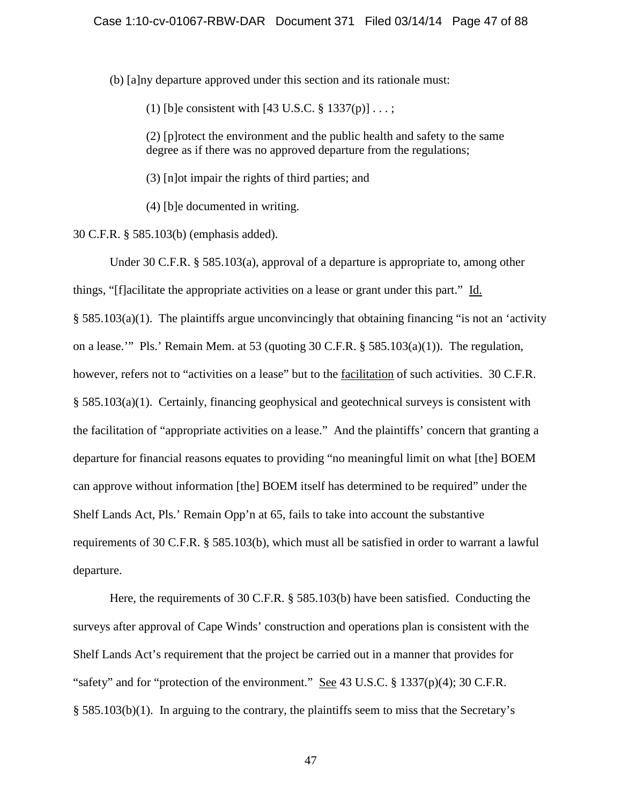(b) [a]ny departure approved under this section and its rationale must:

(1) [b]e consistent with [43 U.S.C.  $\S 1337(p)$ ] ...;

(2) [p]rotect the environment and the public health and safety to the same degree as if there was no approved departure from the regulations;

(3) [n]ot impair the rights of third parties; and

(4) [b]e documented in writing.

30 C.F.R. § 585.103(b) (emphasis added).

Under 30 C.F.R. § 585.103(a), approval of a departure is appropriate to, among other things, "[f]acilitate the appropriate activities on a lease or grant under this part." Id. § 585.103(a)(1). The plaintiffs argue unconvincingly that obtaining financing "is not an 'activity on a lease.'" Pls.' Remain Mem. at 53 (quoting 30 C.F.R. § 585.103(a)(1)). The regulation, however, refers not to "activities on a lease" but to the facilitation of such activities. 30 C.F.R. § 585.103(a)(1). Certainly, financing geophysical and geotechnical surveys is consistent with the facilitation of "appropriate activities on a lease." And the plaintiffs' concern that granting a departure for financial reasons equates to providing "no meaningful limit on what [the] BOEM can approve without information [the] BOEM itself has determined to be required" under the Shelf Lands Act, Pls.' Remain Opp'n at 65, fails to take into account the substantive requirements of 30 C.F.R. § 585.103(b), which must all be satisfied in order to warrant a lawful departure.

Here, the requirements of 30 C.F.R. § 585.103(b) have been satisfied. Conducting the surveys after approval of Cape Winds' construction and operations plan is consistent with the Shelf Lands Act's requirement that the project be carried out in a manner that provides for "safety" and for "protection of the environment." See 43 U.S.C. § 1337(p)(4); 30 C.F.R. § 585.103(b)(1). In arguing to the contrary, the plaintiffs seem to miss that the Secretary's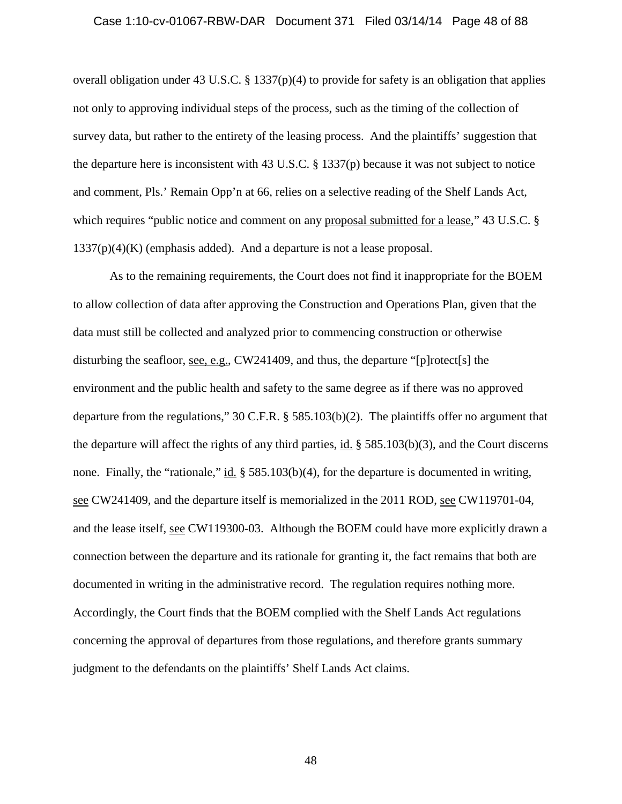### Case 1:10-cv-01067-RBW-DAR Document 371 Filed 03/14/14 Page 48 of 88

overall obligation under 43 U.S.C. § 1337(p)(4) to provide for safety is an obligation that applies not only to approving individual steps of the process, such as the timing of the collection of survey data, but rather to the entirety of the leasing process. And the plaintiffs' suggestion that the departure here is inconsistent with 43 U.S.C. § 1337(p) because it was not subject to notice and comment, Pls.' Remain Opp'n at 66, relies on a selective reading of the Shelf Lands Act, which requires "public notice and comment on any proposal submitted for a lease," 43 U.S.C. §  $1337(p)(4)(K)$  (emphasis added). And a departure is not a lease proposal.

As to the remaining requirements, the Court does not find it inappropriate for the BOEM to allow collection of data after approving the Construction and Operations Plan, given that the data must still be collected and analyzed prior to commencing construction or otherwise disturbing the seafloor, see, e.g., CW241409, and thus, the departure "[p]rotect[s] the environment and the public health and safety to the same degree as if there was no approved departure from the regulations," 30 C.F.R. § 585.103(b)(2). The plaintiffs offer no argument that the departure will affect the rights of any third parties, id. § 585.103(b)(3), and the Court discerns none. Finally, the "rationale," id.  $\S$  585.103(b)(4), for the departure is documented in writing, see CW241409, and the departure itself is memorialized in the 2011 ROD, see CW119701-04, and the lease itself, see CW119300-03. Although the BOEM could have more explicitly drawn a connection between the departure and its rationale for granting it, the fact remains that both are documented in writing in the administrative record. The regulation requires nothing more. Accordingly, the Court finds that the BOEM complied with the Shelf Lands Act regulations concerning the approval of departures from those regulations, and therefore grants summary judgment to the defendants on the plaintiffs' Shelf Lands Act claims.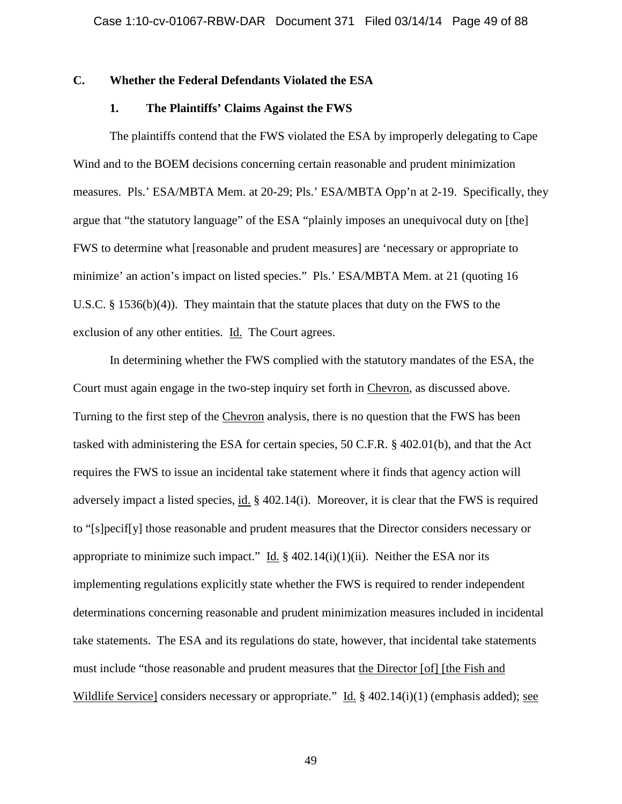# **C. Whether the Federal Defendants Violated the ESA**

## **1. The Plaintiffs' Claims Against the FWS**

The plaintiffs contend that the FWS violated the ESA by improperly delegating to Cape Wind and to the BOEM decisions concerning certain reasonable and prudent minimization measures. Pls.' ESA/MBTA Mem. at 20-29; Pls.' ESA/MBTA Opp'n at 2-19. Specifically, they argue that "the statutory language" of the ESA "plainly imposes an unequivocal duty on [the] FWS to determine what [reasonable and prudent measures] are 'necessary or appropriate to minimize' an action's impact on listed species." Pls.' ESA/MBTA Mem. at 21 (quoting 16 U.S.C.  $\S$  1536(b)(4)). They maintain that the statute places that duty on the FWS to the exclusion of any other entities. Id. The Court agrees.

In determining whether the FWS complied with the statutory mandates of the ESA, the Court must again engage in the two-step inquiry set forth in Chevron, as discussed above. Turning to the first step of the Chevron analysis, there is no question that the FWS has been tasked with administering the ESA for certain species, 50 C.F.R. § 402.01(b), and that the Act requires the FWS to issue an incidental take statement where it finds that agency action will adversely impact a listed species, id. § 402.14(i). Moreover, it is clear that the FWS is required to "[s]pecif[y] those reasonable and prudent measures that the Director considers necessary or appropriate to minimize such impact." Id.  $\S$  402.14(i)(1)(ii). Neither the ESA nor its implementing regulations explicitly state whether the FWS is required to render independent determinations concerning reasonable and prudent minimization measures included in incidental take statements. The ESA and its regulations do state, however, that incidental take statements must include "those reasonable and prudent measures that the Director [of] [the Fish and Wildlife Service] considers necessary or appropriate." Id.  $\S$  402.14(i)(1) (emphasis added); see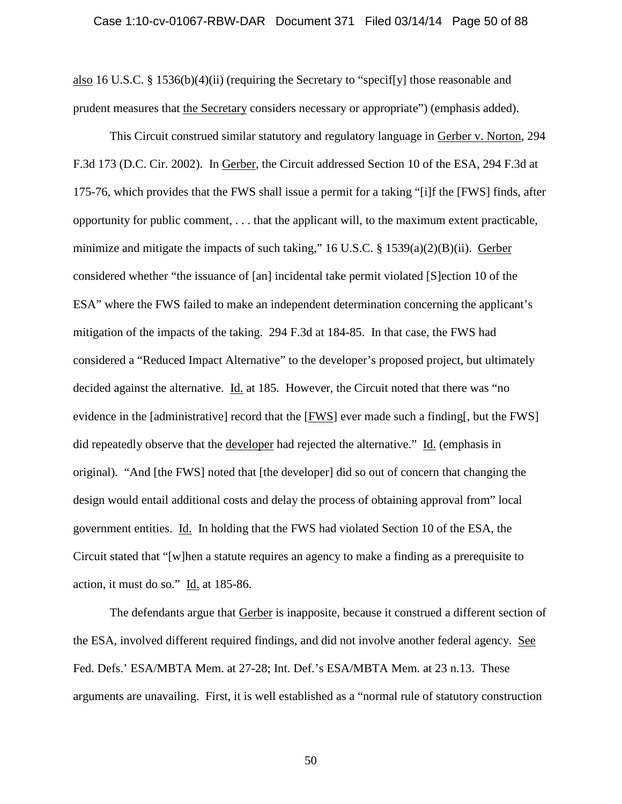### Case 1:10-cv-01067-RBW-DAR Document 371 Filed 03/14/14 Page 50 of 88

also 16 U.S.C. § 1536(b)(4)(ii) (requiring the Secretary to "specif[y] those reasonable and prudent measures that the Secretary considers necessary or appropriate") (emphasis added).

This Circuit construed similar statutory and regulatory language in Gerber v. Norton, 294 F.3d 173 (D.C. Cir. 2002). In Gerber, the Circuit addressed Section 10 of the ESA, 294 F.3d at 175-76, which provides that the FWS shall issue a permit for a taking "[i]f the [FWS] finds, after opportunity for public comment, . . . that the applicant will, to the maximum extent practicable, minimize and mitigate the impacts of such taking," 16 U.S.C. § 1539(a)(2)(B)(ii). Gerber considered whether "the issuance of [an] incidental take permit violated [S]ection 10 of the ESA" where the FWS failed to make an independent determination concerning the applicant's mitigation of the impacts of the taking. 294 F.3d at 184-85. In that case, the FWS had considered a "Reduced Impact Alternative" to the developer's proposed project, but ultimately decided against the alternative. *Id.* at 185. However, the Circuit noted that there was "no evidence in the [administrative] record that the [FWS] ever made such a finding[, but the FWS] did repeatedly observe that the developer had rejected the alternative." Id. (emphasis in original). "And [the FWS] noted that [the developer] did so out of concern that changing the design would entail additional costs and delay the process of obtaining approval from" local government entities. Id. In holding that the FWS had violated Section 10 of the ESA, the Circuit stated that "[w]hen a statute requires an agency to make a finding as a prerequisite to action, it must do so." Id. at 185-86.

The defendants argue that Gerber is inapposite, because it construed a different section of the ESA, involved different required findings, and did not involve another federal agency. See Fed. Defs.' ESA/MBTA Mem. at 27-28; Int. Def.'s ESA/MBTA Mem. at 23 n.13. These arguments are unavailing. First, it is well established as a "normal rule of statutory construction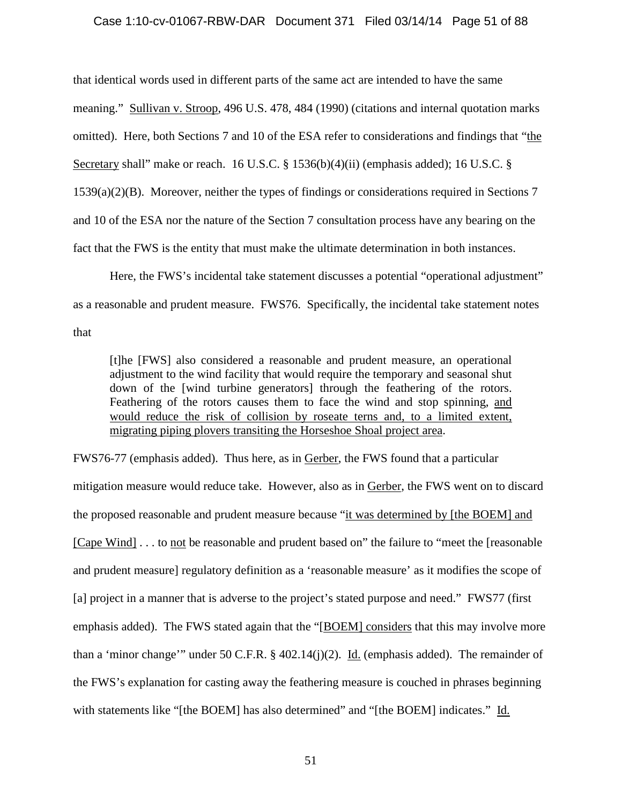## Case 1:10-cv-01067-RBW-DAR Document 371 Filed 03/14/14 Page 51 of 88

that identical words used in different parts of the same act are intended to have the same meaning." Sullivan v. Stroop, 496 U.S. 478, 484 (1990) (citations and internal quotation marks omitted). Here, both Sections 7 and 10 of the ESA refer to considerations and findings that "the Secretary shall" make or reach. 16 U.S.C. § 1536(b)(4)(ii) (emphasis added); 16 U.S.C. § 1539(a)(2)(B). Moreover, neither the types of findings or considerations required in Sections 7 and 10 of the ESA nor the nature of the Section 7 consultation process have any bearing on the fact that the FWS is the entity that must make the ultimate determination in both instances.

Here, the FWS's incidental take statement discusses a potential "operational adjustment" as a reasonable and prudent measure. FWS76. Specifically, the incidental take statement notes that

[t]he [FWS] also considered a reasonable and prudent measure, an operational adjustment to the wind facility that would require the temporary and seasonal shut down of the [wind turbine generators] through the feathering of the rotors. Feathering of the rotors causes them to face the wind and stop spinning, and would reduce the risk of collision by roseate terns and, to a limited extent, migrating piping plovers transiting the Horseshoe Shoal project area.

FWS76-77 (emphasis added). Thus here, as in Gerber, the FWS found that a particular mitigation measure would reduce take. However, also as in Gerber, the FWS went on to discard the proposed reasonable and prudent measure because "it was determined by [the BOEM] and [Cape Wind] . . . to not be reasonable and prudent based on" the failure to "meet the [reasonable and prudent measure] regulatory definition as a 'reasonable measure' as it modifies the scope of [a] project in a manner that is adverse to the project's stated purpose and need." FWS77 (first emphasis added). The FWS stated again that the "[BOEM] considers that this may involve more than a 'minor change'" under 50 C.F.R.  $\S$  402.14(j)(2). Id. (emphasis added). The remainder of the FWS's explanation for casting away the feathering measure is couched in phrases beginning with statements like "[the BOEM] has also determined" and "[the BOEM] indicates." Id.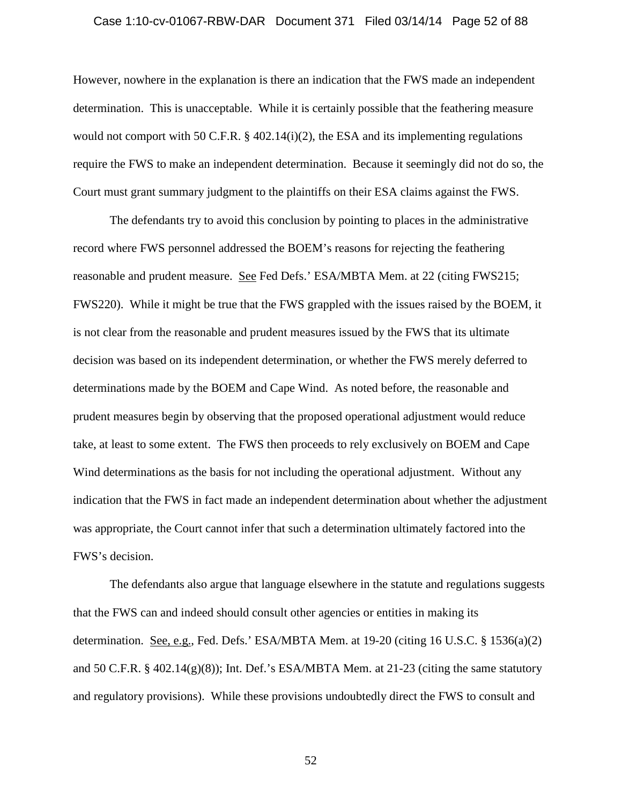### Case 1:10-cv-01067-RBW-DAR Document 371 Filed 03/14/14 Page 52 of 88

However, nowhere in the explanation is there an indication that the FWS made an independent determination. This is unacceptable. While it is certainly possible that the feathering measure would not comport with 50 C.F.R.  $\S$  402.14(i)(2), the ESA and its implementing regulations require the FWS to make an independent determination. Because it seemingly did not do so, the Court must grant summary judgment to the plaintiffs on their ESA claims against the FWS.

The defendants try to avoid this conclusion by pointing to places in the administrative record where FWS personnel addressed the BOEM's reasons for rejecting the feathering reasonable and prudent measure. See Fed Defs.' ESA/MBTA Mem. at 22 (citing FWS215; FWS220). While it might be true that the FWS grappled with the issues raised by the BOEM, it is not clear from the reasonable and prudent measures issued by the FWS that its ultimate decision was based on its independent determination, or whether the FWS merely deferred to determinations made by the BOEM and Cape Wind. As noted before, the reasonable and prudent measures begin by observing that the proposed operational adjustment would reduce take, at least to some extent. The FWS then proceeds to rely exclusively on BOEM and Cape Wind determinations as the basis for not including the operational adjustment. Without any indication that the FWS in fact made an independent determination about whether the adjustment was appropriate, the Court cannot infer that such a determination ultimately factored into the FWS's decision.

The defendants also argue that language elsewhere in the statute and regulations suggests that the FWS can and indeed should consult other agencies or entities in making its determination. See, e.g., Fed. Defs.' ESA/MBTA Mem. at  $19-20$  (citing 16 U.S.C. § 1536(a)(2) and 50 C.F.R.  $\S$  402.14(g)(8)); Int. Def.'s ESA/MBTA Mem. at 21-23 (citing the same statutory and regulatory provisions). While these provisions undoubtedly direct the FWS to consult and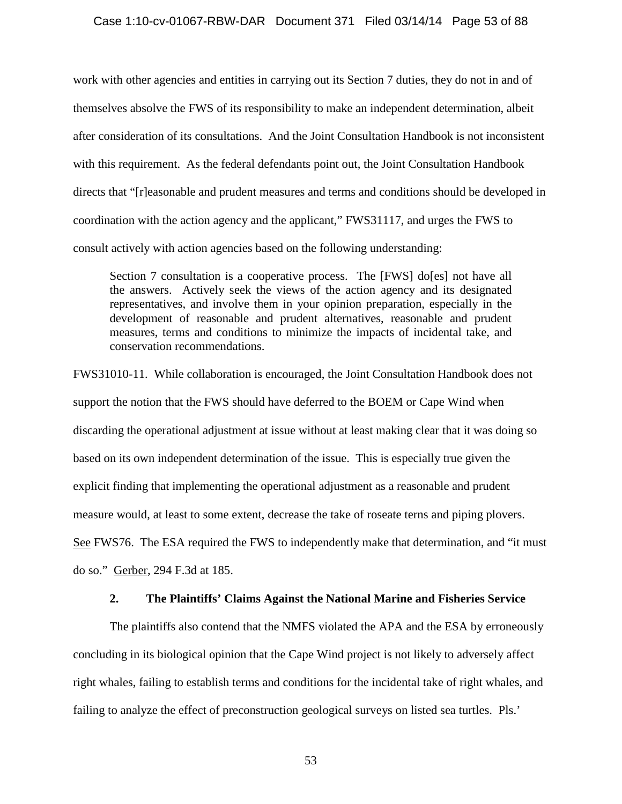## Case 1:10-cv-01067-RBW-DAR Document 371 Filed 03/14/14 Page 53 of 88

work with other agencies and entities in carrying out its Section 7 duties, they do not in and of themselves absolve the FWS of its responsibility to make an independent determination, albeit after consideration of its consultations. And the Joint Consultation Handbook is not inconsistent with this requirement. As the federal defendants point out, the Joint Consultation Handbook directs that "[r]easonable and prudent measures and terms and conditions should be developed in coordination with the action agency and the applicant," FWS31117, and urges the FWS to consult actively with action agencies based on the following understanding:

Section 7 consultation is a cooperative process. The [FWS] do[es] not have all the answers. Actively seek the views of the action agency and its designated representatives, and involve them in your opinion preparation, especially in the development of reasonable and prudent alternatives, reasonable and prudent measures, terms and conditions to minimize the impacts of incidental take, and conservation recommendations.

FWS31010-11. While collaboration is encouraged, the Joint Consultation Handbook does not support the notion that the FWS should have deferred to the BOEM or Cape Wind when discarding the operational adjustment at issue without at least making clear that it was doing so based on its own independent determination of the issue. This is especially true given the explicit finding that implementing the operational adjustment as a reasonable and prudent measure would, at least to some extent, decrease the take of roseate terns and piping plovers. See FWS76. The ESA required the FWS to independently make that determination, and "it must do so." Gerber, 294 F.3d at 185.

# **2. The Plaintiffs' Claims Against the National Marine and Fisheries Service**

The plaintiffs also contend that the NMFS violated the APA and the ESA by erroneously concluding in its biological opinion that the Cape Wind project is not likely to adversely affect right whales, failing to establish terms and conditions for the incidental take of right whales, and failing to analyze the effect of preconstruction geological surveys on listed sea turtles. Pls.'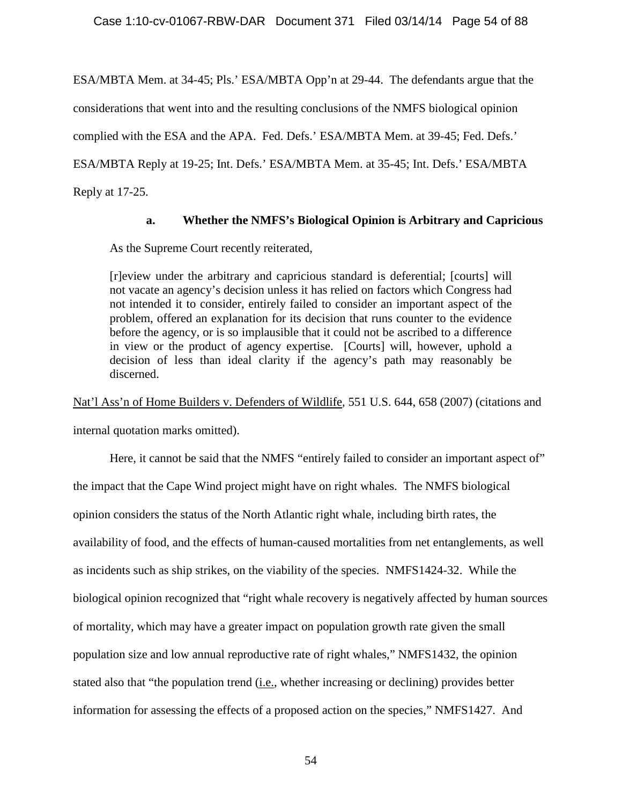ESA/MBTA Mem. at 34-45; Pls.' ESA/MBTA Opp'n at 29-44. The defendants argue that the considerations that went into and the resulting conclusions of the NMFS biological opinion complied with the ESA and the APA. Fed. Defs.' ESA/MBTA Mem. at 39-45; Fed. Defs.' ESA/MBTA Reply at 19-25; Int. Defs.' ESA/MBTA Mem. at 35-45; Int. Defs.' ESA/MBTA Reply at 17-25.

# **a. Whether the NMFS's Biological Opinion is Arbitrary and Capricious**

As the Supreme Court recently reiterated,

[r]eview under the arbitrary and capricious standard is deferential; [courts] will not vacate an agency's decision unless it has relied on factors which Congress had not intended it to consider, entirely failed to consider an important aspect of the problem, offered an explanation for its decision that runs counter to the evidence before the agency, or is so implausible that it could not be ascribed to a difference in view or the product of agency expertise. [Courts] will, however, uphold a decision of less than ideal clarity if the agency's path may reasonably be discerned.

Nat'l Ass'n of Home Builders v. Defenders of Wildlife, 551 U.S. 644, 658 (2007) (citations and internal quotation marks omitted).

Here, it cannot be said that the NMFS "entirely failed to consider an important aspect of" the impact that the Cape Wind project might have on right whales. The NMFS biological opinion considers the status of the North Atlantic right whale, including birth rates, the availability of food, and the effects of human-caused mortalities from net entanglements, as well as incidents such as ship strikes, on the viability of the species. NMFS1424-32. While the biological opinion recognized that "right whale recovery is negatively affected by human sources of mortality, which may have a greater impact on population growth rate given the small population size and low annual reproductive rate of right whales," NMFS1432, the opinion stated also that "the population trend (i.e., whether increasing or declining) provides better information for assessing the effects of a proposed action on the species," NMFS1427. And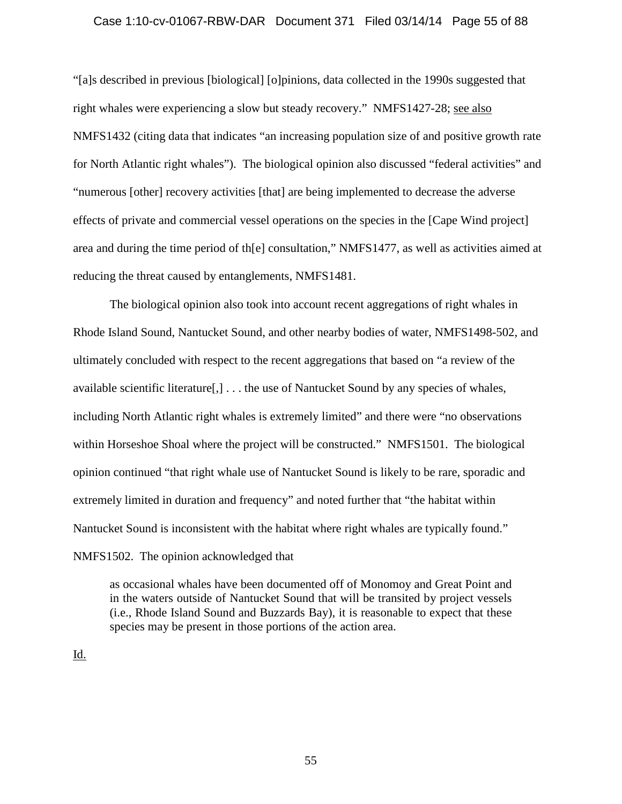## Case 1:10-cv-01067-RBW-DAR Document 371 Filed 03/14/14 Page 55 of 88

"[a]s described in previous [biological] [o]pinions, data collected in the 1990s suggested that right whales were experiencing a slow but steady recovery." NMFS1427-28; see also NMFS1432 (citing data that indicates "an increasing population size of and positive growth rate for North Atlantic right whales"). The biological opinion also discussed "federal activities" and "numerous [other] recovery activities [that] are being implemented to decrease the adverse effects of private and commercial vessel operations on the species in the [Cape Wind project] area and during the time period of th[e] consultation," NMFS1477, as well as activities aimed at reducing the threat caused by entanglements, NMFS1481.

The biological opinion also took into account recent aggregations of right whales in Rhode Island Sound, Nantucket Sound, and other nearby bodies of water, NMFS1498-502, and ultimately concluded with respect to the recent aggregations that based on "a review of the available scientific literature[,] . . . the use of Nantucket Sound by any species of whales, including North Atlantic right whales is extremely limited" and there were "no observations within Horseshoe Shoal where the project will be constructed." NMFS1501. The biological opinion continued "that right whale use of Nantucket Sound is likely to be rare, sporadic and extremely limited in duration and frequency" and noted further that "the habitat within Nantucket Sound is inconsistent with the habitat where right whales are typically found." NMFS1502. The opinion acknowledged that

as occasional whales have been documented off of Monomoy and Great Point and in the waters outside of Nantucket Sound that will be transited by project vessels (i.e., Rhode Island Sound and Buzzards Bay), it is reasonable to expect that these species may be present in those portions of the action area.

Id.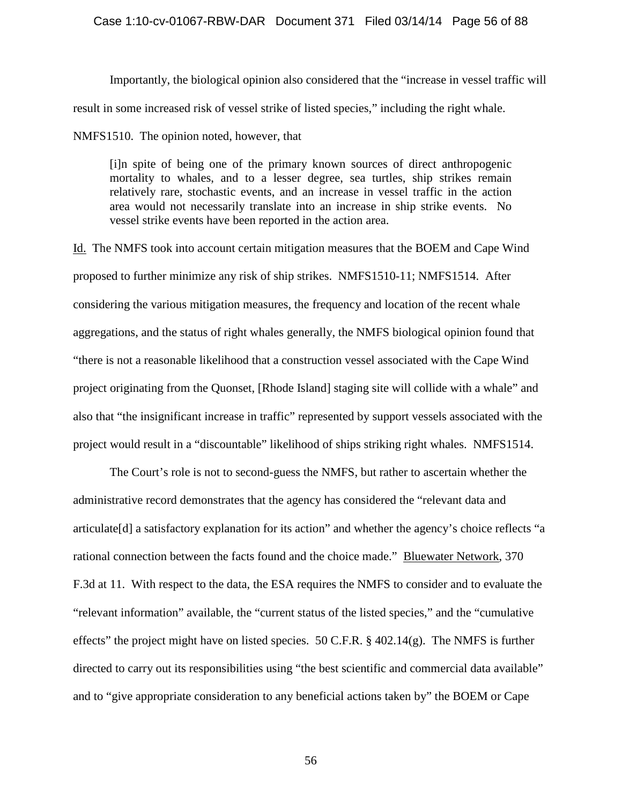### Case 1:10-cv-01067-RBW-DAR Document 371 Filed 03/14/14 Page 56 of 88

Importantly, the biological opinion also considered that the "increase in vessel traffic will result in some increased risk of vessel strike of listed species," including the right whale.

NMFS1510. The opinion noted, however, that

[i]n spite of being one of the primary known sources of direct anthropogenic mortality to whales, and to a lesser degree, sea turtles, ship strikes remain relatively rare, stochastic events, and an increase in vessel traffic in the action area would not necessarily translate into an increase in ship strike events. No vessel strike events have been reported in the action area.

Id. The NMFS took into account certain mitigation measures that the BOEM and Cape Wind proposed to further minimize any risk of ship strikes. NMFS1510-11; NMFS1514. After considering the various mitigation measures, the frequency and location of the recent whale aggregations, and the status of right whales generally, the NMFS biological opinion found that "there is not a reasonable likelihood that a construction vessel associated with the Cape Wind project originating from the Quonset, [Rhode Island] staging site will collide with a whale" and also that "the insignificant increase in traffic" represented by support vessels associated with the project would result in a "discountable" likelihood of ships striking right whales. NMFS1514.

The Court's role is not to second-guess the NMFS, but rather to ascertain whether the administrative record demonstrates that the agency has considered the "relevant data and articulate[d] a satisfactory explanation for its action" and whether the agency's choice reflects "a rational connection between the facts found and the choice made." Bluewater Network, 370 F.3d at 11. With respect to the data, the ESA requires the NMFS to consider and to evaluate the "relevant information" available, the "current status of the listed species," and the "cumulative effects" the project might have on listed species. 50 C.F.R.  $\S$  402.14(g). The NMFS is further directed to carry out its responsibilities using "the best scientific and commercial data available" and to "give appropriate consideration to any beneficial actions taken by" the BOEM or Cape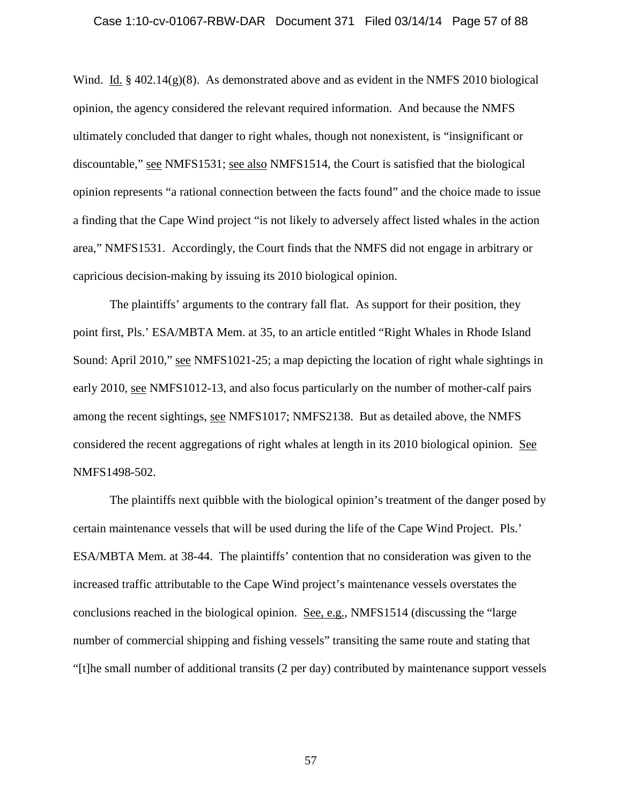### Case 1:10-cv-01067-RBW-DAR Document 371 Filed 03/14/14 Page 57 of 88

Wind. Id.  $\S 402.14(g)(8)$ . As demonstrated above and as evident in the NMFS 2010 biological opinion, the agency considered the relevant required information. And because the NMFS ultimately concluded that danger to right whales, though not nonexistent, is "insignificant or discountable," see NMFS1531; see also NMFS1514, the Court is satisfied that the biological opinion represents "a rational connection between the facts found" and the choice made to issue a finding that the Cape Wind project "is not likely to adversely affect listed whales in the action area," NMFS1531. Accordingly, the Court finds that the NMFS did not engage in arbitrary or capricious decision-making by issuing its 2010 biological opinion.

The plaintiffs' arguments to the contrary fall flat. As support for their position, they point first, Pls.' ESA/MBTA Mem. at 35, to an article entitled "Right Whales in Rhode Island Sound: April 2010," see NMFS1021-25; a map depicting the location of right whale sightings in early 2010, see NMFS1012-13, and also focus particularly on the number of mother-calf pairs among the recent sightings, see NMFS1017; NMFS2138. But as detailed above, the NMFS considered the recent aggregations of right whales at length in its 2010 biological opinion. See NMFS1498-502.

The plaintiffs next quibble with the biological opinion's treatment of the danger posed by certain maintenance vessels that will be used during the life of the Cape Wind Project. Pls.' ESA/MBTA Mem. at 38-44. The plaintiffs' contention that no consideration was given to the increased traffic attributable to the Cape Wind project's maintenance vessels overstates the conclusions reached in the biological opinion. See, e.g., NMFS1514 (discussing the "large number of commercial shipping and fishing vessels" transiting the same route and stating that "[t]he small number of additional transits (2 per day) contributed by maintenance support vessels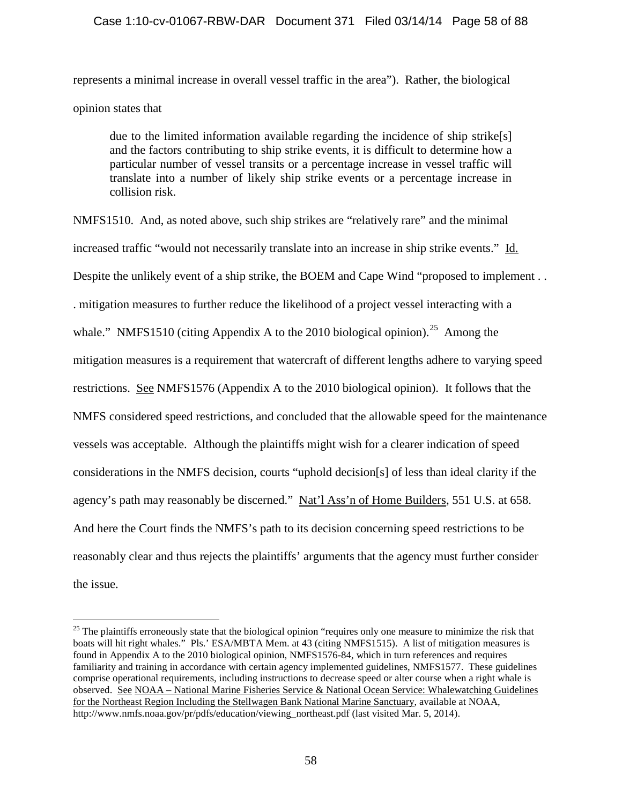# Case 1:10-cv-01067-RBW-DAR Document 371 Filed 03/14/14 Page 58 of 88

represents a minimal increase in overall vessel traffic in the area"). Rather, the biological opinion states that

due to the limited information available regarding the incidence of ship strike[s] and the factors contributing to ship strike events, it is difficult to determine how a particular number of vessel transits or a percentage increase in vessel traffic will translate into a number of likely ship strike events or a percentage increase in collision risk.

NMFS1510. And, as noted above, such ship strikes are "relatively rare" and the minimal increased traffic "would not necessarily translate into an increase in ship strike events." Id. Despite the unlikely event of a ship strike, the BOEM and Cape Wind "proposed to implement . . . mitigation measures to further reduce the likelihood of a project vessel interacting with a whale." NMFS1510 (citing Appendix A to the 2010 biological opinion).<sup>[25](#page-57-0)</sup> Among the mitigation measures is a requirement that watercraft of different lengths adhere to varying speed restrictions. See NMFS1576 (Appendix A to the 2010 biological opinion). It follows that the NMFS considered speed restrictions, and concluded that the allowable speed for the maintenance vessels was acceptable. Although the plaintiffs might wish for a clearer indication of speed considerations in the NMFS decision, courts "uphold decision[s] of less than ideal clarity if the agency's path may reasonably be discerned." Nat'l Ass'n of Home Builders, 551 U.S. at 658. And here the Court finds the NMFS's path to its decision concerning speed restrictions to be reasonably clear and thus rejects the plaintiffs' arguments that the agency must further consider the issue.

<span id="page-57-0"></span> $25$  The plaintiffs erroneously state that the biological opinion "requires only one measure to minimize the risk that boats will hit right whales." Pls.' ESA/MBTA Mem. at 43 (citing NMFS1515). A list of mitigation measures is found in Appendix A to the 2010 biological opinion, NMFS1576-84, which in turn references and requires familiarity and training in accordance with certain agency implemented guidelines, NMFS1577. These guidelines comprise operational requirements, including instructions to decrease speed or alter course when a right whale is observed. See NOAA – National Marine Fisheries Service & National Ocean Service: Whalewatching Guidelines for the Northeast Region Including the Stellwagen Bank National Marine Sanctuary, available at NOAA, http://www.nmfs.noaa.gov/pr/pdfs/education/viewing\_northeast.pdf (last visited Mar. 5, 2014).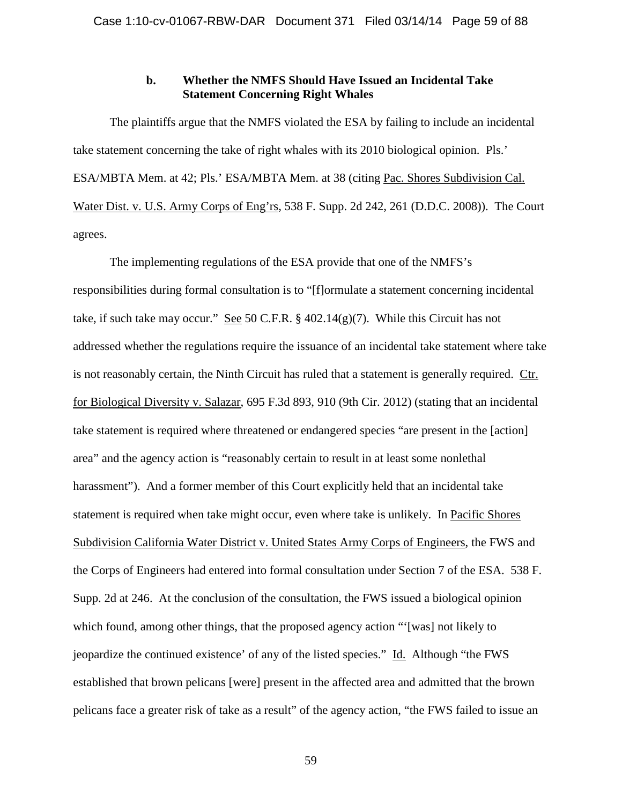# **b. Whether the NMFS Should Have Issued an Incidental Take Statement Concerning Right Whales**

The plaintiffs argue that the NMFS violated the ESA by failing to include an incidental take statement concerning the take of right whales with its 2010 biological opinion. Pls.' ESA/MBTA Mem. at 42; Pls.' ESA/MBTA Mem. at 38 (citing Pac. Shores Subdivision Cal. Water Dist. v. U.S. Army Corps of Eng'rs, 538 F. Supp. 2d 242, 261 (D.D.C. 2008)). The Court agrees.

The implementing regulations of the ESA provide that one of the NMFS's responsibilities during formal consultation is to "[f]ormulate a statement concerning incidental take, if such take may occur." See 50 C.F.R.  $\S$  402.14(g)(7). While this Circuit has not addressed whether the regulations require the issuance of an incidental take statement where take is not reasonably certain, the Ninth Circuit has ruled that a statement is generally required. Ctr. for Biological Diversity v. Salazar, 695 F.3d 893, 910 (9th Cir. 2012) (stating that an incidental take statement is required where threatened or endangered species "are present in the [action] area" and the agency action is "reasonably certain to result in at least some nonlethal harassment"). And a former member of this Court explicitly held that an incidental take statement is required when take might occur, even where take is unlikely. In Pacific Shores Subdivision California Water District v. United States Army Corps of Engineers, the FWS and the Corps of Engineers had entered into formal consultation under Section 7 of the ESA. 538 F. Supp. 2d at 246. At the conclusion of the consultation, the FWS issued a biological opinion which found, among other things, that the proposed agency action "'[was] not likely to jeopardize the continued existence' of any of the listed species." Id. Although "the FWS established that brown pelicans [were] present in the affected area and admitted that the brown pelicans face a greater risk of take as a result" of the agency action, "the FWS failed to issue an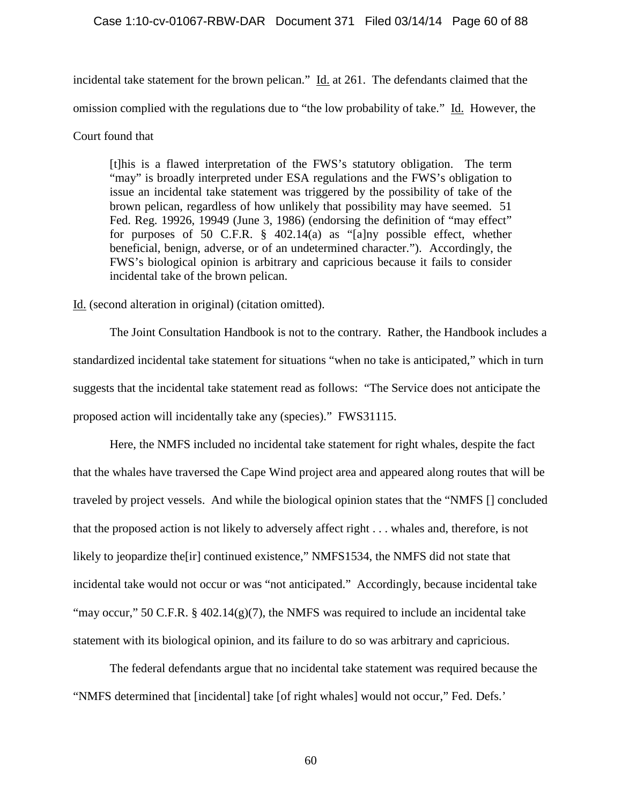## Case 1:10-cv-01067-RBW-DAR Document 371 Filed 03/14/14 Page 60 of 88

incidental take statement for the brown pelican."  $\underline{Id}$  at 261. The defendants claimed that the omission complied with the regulations due to "the low probability of take." Id. However, the Court found that

[t]his is a flawed interpretation of the FWS's statutory obligation. The term "may" is broadly interpreted under ESA regulations and the FWS's obligation to issue an incidental take statement was triggered by the possibility of take of the brown pelican, regardless of how unlikely that possibility may have seemed. 51 Fed. Reg. 19926, 19949 (June 3, 1986) (endorsing the definition of "may effect" for purposes of 50 C.F.R. § 402.14(a) as "[a]ny possible effect, whether beneficial, benign, adverse, or of an undetermined character."). Accordingly, the FWS's biological opinion is arbitrary and capricious because it fails to consider incidental take of the brown pelican.

Id. (second alteration in original) (citation omitted).

The Joint Consultation Handbook is not to the contrary. Rather, the Handbook includes a standardized incidental take statement for situations "when no take is anticipated," which in turn suggests that the incidental take statement read as follows: "The Service does not anticipate the proposed action will incidentally take any (species)." FWS31115.

Here, the NMFS included no incidental take statement for right whales, despite the fact that the whales have traversed the Cape Wind project area and appeared along routes that will be traveled by project vessels. And while the biological opinion states that the "NMFS [] concluded that the proposed action is not likely to adversely affect right . . . whales and, therefore, is not likely to jeopardize the[ir] continued existence," NMFS1534, the NMFS did not state that incidental take would not occur or was "not anticipated." Accordingly, because incidental take "may occur," 50 C.F.R. § 402.14(g)(7), the NMFS was required to include an incidental take statement with its biological opinion, and its failure to do so was arbitrary and capricious.

The federal defendants argue that no incidental take statement was required because the "NMFS determined that [incidental] take [of right whales] would not occur," Fed. Defs.'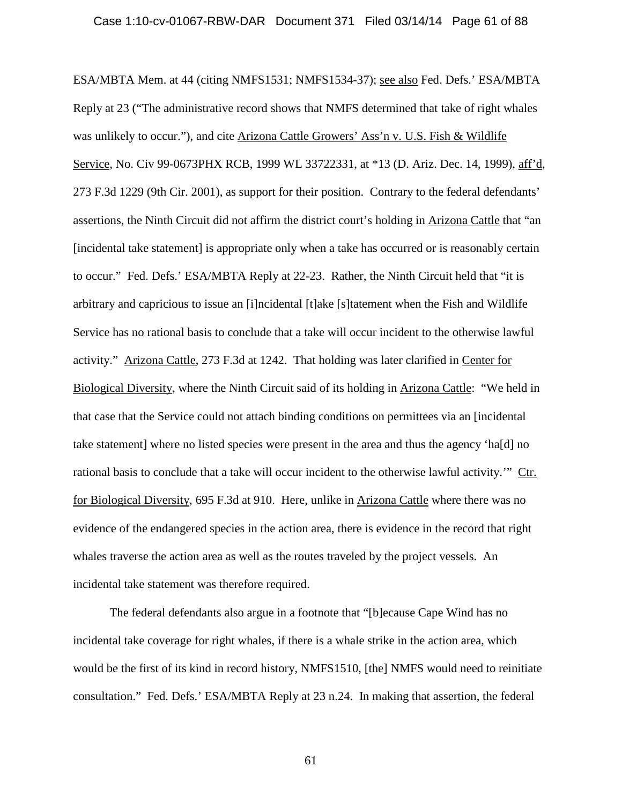### Case 1:10-cv-01067-RBW-DAR Document 371 Filed 03/14/14 Page 61 of 88

ESA/MBTA Mem. at 44 (citing NMFS1531; NMFS1534-37); see also Fed. Defs.' ESA/MBTA Reply at 23 ("The administrative record shows that NMFS determined that take of right whales was unlikely to occur."), and cite Arizona Cattle Growers' Ass'n v. U.S. Fish & Wildlife Service, No. Civ 99-0673PHX RCB, 1999 WL 33722331, at \*13 (D. Ariz. Dec. 14, 1999), aff'd, 273 F.3d 1229 (9th Cir. 2001), as support for their position. Contrary to the federal defendants' assertions, the Ninth Circuit did not affirm the district court's holding in Arizona Cattle that "an [incidental take statement] is appropriate only when a take has occurred or is reasonably certain to occur." Fed. Defs.' ESA/MBTA Reply at 22-23. Rather, the Ninth Circuit held that "it is arbitrary and capricious to issue an [i]ncidental [t]ake [s]tatement when the Fish and Wildlife Service has no rational basis to conclude that a take will occur incident to the otherwise lawful activity." Arizona Cattle, 273 F.3d at 1242. That holding was later clarified in Center for Biological Diversity, where the Ninth Circuit said of its holding in Arizona Cattle: "We held in that case that the Service could not attach binding conditions on permittees via an [incidental take statement] where no listed species were present in the area and thus the agency 'ha[d] no rational basis to conclude that a take will occur incident to the otherwise lawful activity.'" Ctr. for Biological Diversity, 695 F.3d at 910. Here, unlike in Arizona Cattle where there was no evidence of the endangered species in the action area, there is evidence in the record that right whales traverse the action area as well as the routes traveled by the project vessels. An incidental take statement was therefore required.

The federal defendants also argue in a footnote that "[b]ecause Cape Wind has no incidental take coverage for right whales, if there is a whale strike in the action area, which would be the first of its kind in record history, NMFS1510, [the] NMFS would need to reinitiate consultation." Fed. Defs.' ESA/MBTA Reply at 23 n.24. In making that assertion, the federal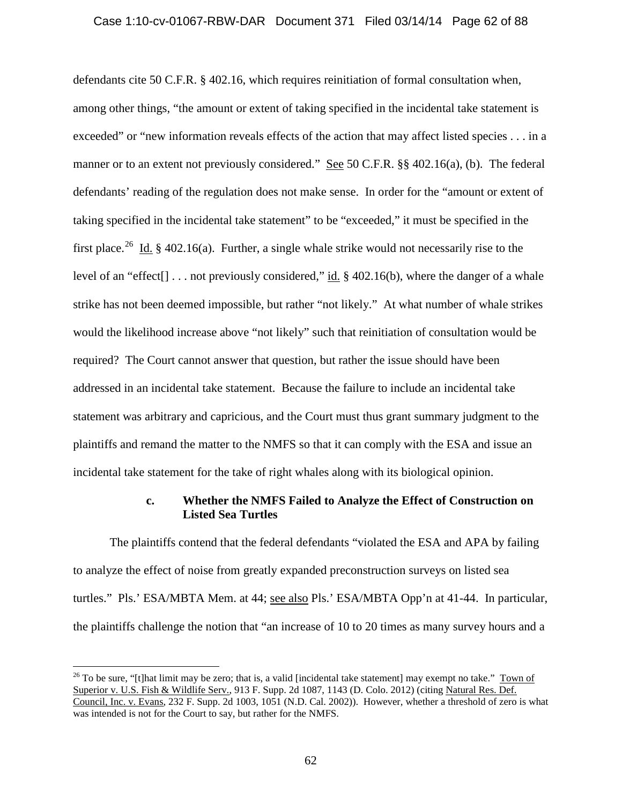### Case 1:10-cv-01067-RBW-DAR Document 371 Filed 03/14/14 Page 62 of 88

defendants cite 50 C.F.R. § 402.16, which requires reinitiation of formal consultation when, among other things, "the amount or extent of taking specified in the incidental take statement is exceeded" or "new information reveals effects of the action that may affect listed species . . . in a manner or to an extent not previously considered." See 50 C.F.R. §§ 402.16(a), (b). The federal defendants' reading of the regulation does not make sense. In order for the "amount or extent of taking specified in the incidental take statement" to be "exceeded," it must be specified in the first place.<sup>[26](#page-61-0)</sup> Id. § 402.16(a). Further, a single whale strike would not necessarily rise to the level of an "effect[] . . . not previously considered," id. § 402.16(b), where the danger of a whale strike has not been deemed impossible, but rather "not likely." At what number of whale strikes would the likelihood increase above "not likely" such that reinitiation of consultation would be required? The Court cannot answer that question, but rather the issue should have been addressed in an incidental take statement. Because the failure to include an incidental take statement was arbitrary and capricious, and the Court must thus grant summary judgment to the plaintiffs and remand the matter to the NMFS so that it can comply with the ESA and issue an incidental take statement for the take of right whales along with its biological opinion.

# **c. Whether the NMFS Failed to Analyze the Effect of Construction on Listed Sea Turtles**

The plaintiffs contend that the federal defendants "violated the ESA and APA by failing to analyze the effect of noise from greatly expanded preconstruction surveys on listed sea turtles." Pls.' ESA/MBTA Mem. at 44; see also Pls.' ESA/MBTA Opp'n at 41-44. In particular, the plaintiffs challenge the notion that "an increase of 10 to 20 times as many survey hours and a

<span id="page-61-0"></span> $26$  To be sure, "[t]hat limit may be zero; that is, a valid [incidental take statement] may exempt no take." Town of Superior v. U.S. Fish & Wildlife Serv., 913 F. Supp. 2d 1087, 1143 (D. Colo. 2012) (citing Natural Res. Def. Council, Inc. v. Evans, 232 F. Supp. 2d 1003, 1051 (N.D. Cal. 2002)). However, whether a threshold of zero is what was intended is not for the Court to say, but rather for the NMFS.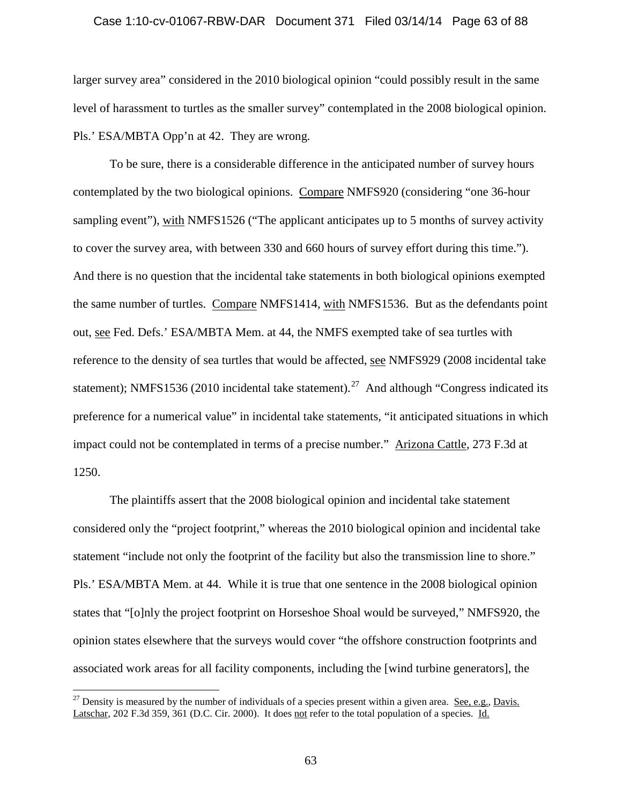### Case 1:10-cv-01067-RBW-DAR Document 371 Filed 03/14/14 Page 63 of 88

larger survey area" considered in the 2010 biological opinion "could possibly result in the same level of harassment to turtles as the smaller survey" contemplated in the 2008 biological opinion. Pls.' ESA/MBTA Opp'n at 42. They are wrong.

To be sure, there is a considerable difference in the anticipated number of survey hours contemplated by the two biological opinions. Compare NMFS920 (considering "one 36-hour sampling event"), with NMFS1526 ("The applicant anticipates up to 5 months of survey activity to cover the survey area, with between 330 and 660 hours of survey effort during this time."). And there is no question that the incidental take statements in both biological opinions exempted the same number of turtles. Compare NMFS1414, with NMFS1536. But as the defendants point out, see Fed. Defs.' ESA/MBTA Mem. at 44, the NMFS exempted take of sea turtles with reference to the density of sea turtles that would be affected, see NMFS929 (2008 incidental take statement); NMFS1536 (2010 incidental take statement).<sup>[27](#page-62-0)</sup> And although "Congress indicated its preference for a numerical value" in incidental take statements, "it anticipated situations in which impact could not be contemplated in terms of a precise number." Arizona Cattle, 273 F.3d at 1250.

The plaintiffs assert that the 2008 biological opinion and incidental take statement considered only the "project footprint," whereas the 2010 biological opinion and incidental take statement "include not only the footprint of the facility but also the transmission line to shore." Pls.' ESA/MBTA Mem. at 44. While it is true that one sentence in the 2008 biological opinion states that "[o]nly the project footprint on Horseshoe Shoal would be surveyed," NMFS920, the opinion states elsewhere that the surveys would cover "the offshore construction footprints and associated work areas for all facility components, including the [wind turbine generators], the

<span id="page-62-0"></span><sup>&</sup>lt;sup>27</sup> Density is measured by the number of individuals of a species present within a given area. See, e.g., Davis. Latschar, 202 F.3d 359, 361 (D.C. Cir. 2000). It does not refer to the total population of a species. Id.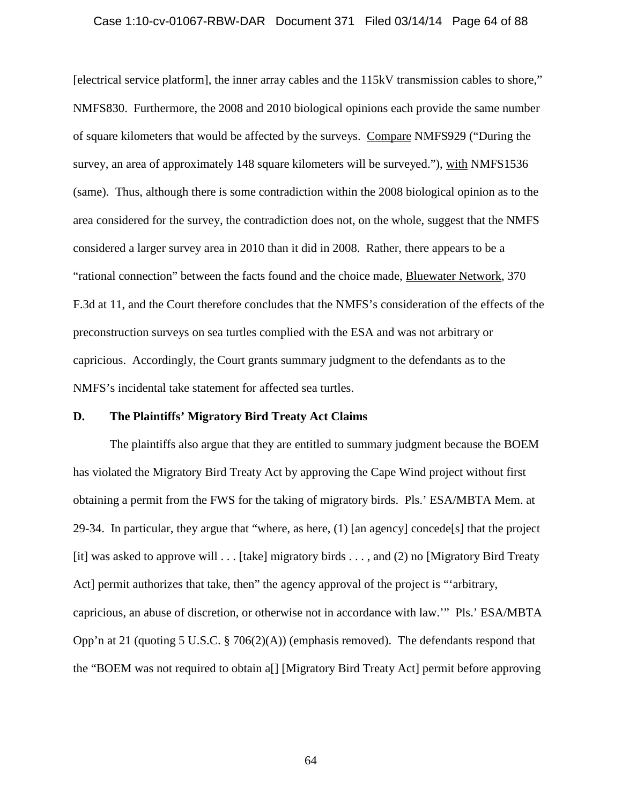### Case 1:10-cv-01067-RBW-DAR Document 371 Filed 03/14/14 Page 64 of 88

[electrical service platform], the inner array cables and the 115kV transmission cables to shore," NMFS830. Furthermore, the 2008 and 2010 biological opinions each provide the same number of square kilometers that would be affected by the surveys. Compare NMFS929 ("During the survey, an area of approximately 148 square kilometers will be surveyed."), with NMFS1536 (same). Thus, although there is some contradiction within the 2008 biological opinion as to the area considered for the survey, the contradiction does not, on the whole, suggest that the NMFS considered a larger survey area in 2010 than it did in 2008. Rather, there appears to be a "rational connection" between the facts found and the choice made, Bluewater Network, 370 F.3d at 11, and the Court therefore concludes that the NMFS's consideration of the effects of the preconstruction surveys on sea turtles complied with the ESA and was not arbitrary or capricious. Accordingly, the Court grants summary judgment to the defendants as to the NMFS's incidental take statement for affected sea turtles.

### **D. The Plaintiffs' Migratory Bird Treaty Act Claims**

The plaintiffs also argue that they are entitled to summary judgment because the BOEM has violated the Migratory Bird Treaty Act by approving the Cape Wind project without first obtaining a permit from the FWS for the taking of migratory birds. Pls.' ESA/MBTA Mem. at 29-34. In particular, they argue that "where, as here,  $(1)$  [an agency] concede[s] that the project [it] was asked to approve will . . . [take] migratory birds . . . , and (2) no [Migratory Bird Treaty Act] permit authorizes that take, then" the agency approval of the project is "'arbitrary, capricious, an abuse of discretion, or otherwise not in accordance with law.'" Pls.' ESA/MBTA Opp'n at 21 (quoting 5 U.S.C. § 706(2)(A)) (emphasis removed). The defendants respond that the "BOEM was not required to obtain a[] [Migratory Bird Treaty Act] permit before approving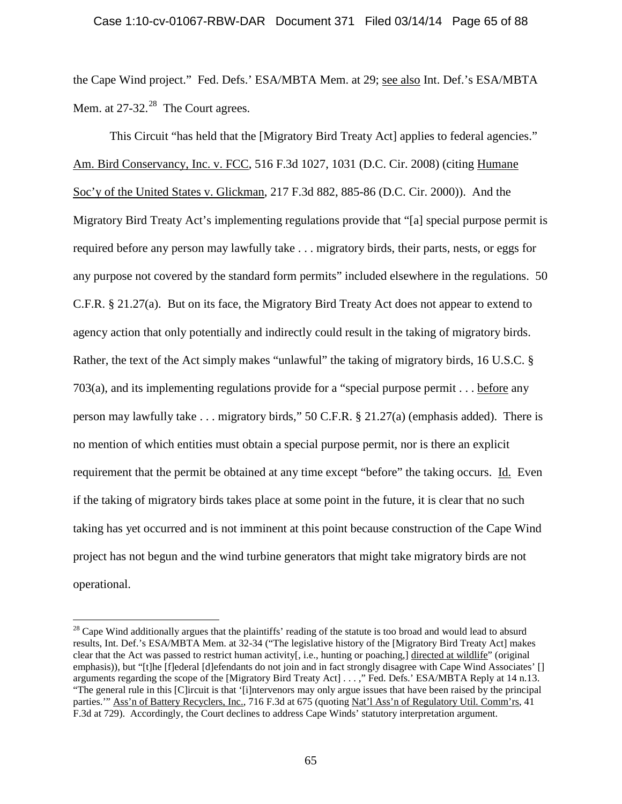### Case 1:10-cv-01067-RBW-DAR Document 371 Filed 03/14/14 Page 65 of 88

the Cape Wind project." Fed. Defs.' ESA/MBTA Mem. at 29; see also Int. Def.'s ESA/MBTA Mem. at  $27-32.^{28}$  The Court agrees.

This Circuit "has held that the [Migratory Bird Treaty Act] applies to federal agencies." Am. Bird Conservancy, Inc. v. FCC, 516 F.3d 1027, 1031 (D.C. Cir. 2008) (citing Humane Soc'y of the United States v. Glickman, 217 F.3d 882, 885-86 (D.C. Cir. 2000)). And the Migratory Bird Treaty Act's implementing regulations provide that "[a] special purpose permit is required before any person may lawfully take . . . migratory birds, their parts, nests, or eggs for any purpose not covered by the standard form permits" included elsewhere in the regulations. 50 C.F.R. § 21.27(a). But on its face, the Migratory Bird Treaty Act does not appear to extend to agency action that only potentially and indirectly could result in the taking of migratory birds. Rather, the text of the Act simply makes "unlawful" the taking of migratory birds, 16 U.S.C. § 703(a), and its implementing regulations provide for a "special purpose permit . . . before any person may lawfully take . . . migratory birds," 50 C.F.R. § 21.27(a) (emphasis added). There is no mention of which entities must obtain a special purpose permit, nor is there an explicit requirement that the permit be obtained at any time except "before" the taking occurs. Id. Even if the taking of migratory birds takes place at some point in the future, it is clear that no such taking has yet occurred and is not imminent at this point because construction of the Cape Wind project has not begun and the wind turbine generators that might take migratory birds are not operational.

<span id="page-64-0"></span> $^{28}$  Cape Wind additionally argues that the plaintiffs' reading of the statute is too broad and would lead to absurd results, Int. Def.'s ESA/MBTA Mem. at 32-34 ("The legislative history of the [Migratory Bird Treaty Act] makes clear that the Act was passed to restrict human activity[, i.e., hunting or poaching,] directed at wildlife" (original emphasis)), but "[t]he [f]ederal [d]efendants do not join and in fact strongly disagree with Cape Wind Associates' [] arguments regarding the scope of the [Migratory Bird Treaty Act] . . . ," Fed. Defs.' ESA/MBTA Reply at 14 n.13. "The general rule in this [C]ircuit is that '[i]ntervenors may only argue issues that have been raised by the principal parties.'" Ass'n of Battery Recyclers, Inc., 716 F.3d at 675 (quoting Nat'l Ass'n of Regulatory Util. Comm'rs, 41 F.3d at 729). Accordingly, the Court declines to address Cape Winds' statutory interpretation argument.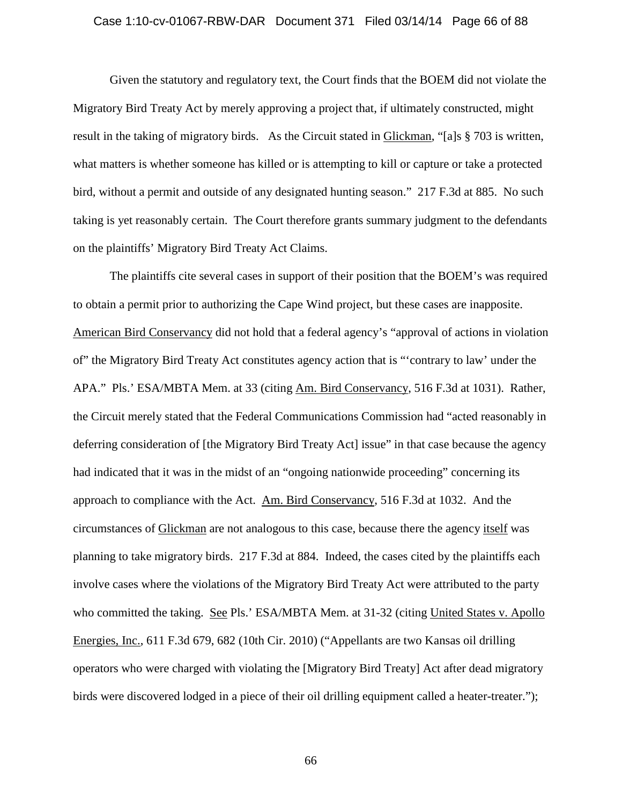### Case 1:10-cv-01067-RBW-DAR Document 371 Filed 03/14/14 Page 66 of 88

Given the statutory and regulatory text, the Court finds that the BOEM did not violate the Migratory Bird Treaty Act by merely approving a project that, if ultimately constructed, might result in the taking of migratory birds. As the Circuit stated in Glickman, "[a]s § 703 is written, what matters is whether someone has killed or is attempting to kill or capture or take a protected bird, without a permit and outside of any designated hunting season." 217 F.3d at 885. No such taking is yet reasonably certain. The Court therefore grants summary judgment to the defendants on the plaintiffs' Migratory Bird Treaty Act Claims.

The plaintiffs cite several cases in support of their position that the BOEM's was required to obtain a permit prior to authorizing the Cape Wind project, but these cases are inapposite. American Bird Conservancy did not hold that a federal agency's "approval of actions in violation of" the Migratory Bird Treaty Act constitutes agency action that is "'contrary to law' under the APA." Pls.' ESA/MBTA Mem. at 33 (citing Am. Bird Conservancy, 516 F.3d at 1031). Rather, the Circuit merely stated that the Federal Communications Commission had "acted reasonably in deferring consideration of [the Migratory Bird Treaty Act] issue" in that case because the agency had indicated that it was in the midst of an "ongoing nationwide proceeding" concerning its approach to compliance with the Act. Am. Bird Conservancy, 516 F.3d at 1032. And the circumstances of Glickman are not analogous to this case, because there the agency itself was planning to take migratory birds. 217 F.3d at 884. Indeed, the cases cited by the plaintiffs each involve cases where the violations of the Migratory Bird Treaty Act were attributed to the party who committed the taking. See Pls.' ESA/MBTA Mem. at 31-32 (citing United States v. Apollo Energies, Inc., 611 F.3d 679, 682 (10th Cir. 2010) ("Appellants are two Kansas oil drilling operators who were charged with violating the [Migratory Bird Treaty] Act after dead migratory birds were discovered lodged in a piece of their oil drilling equipment called a heater-treater.");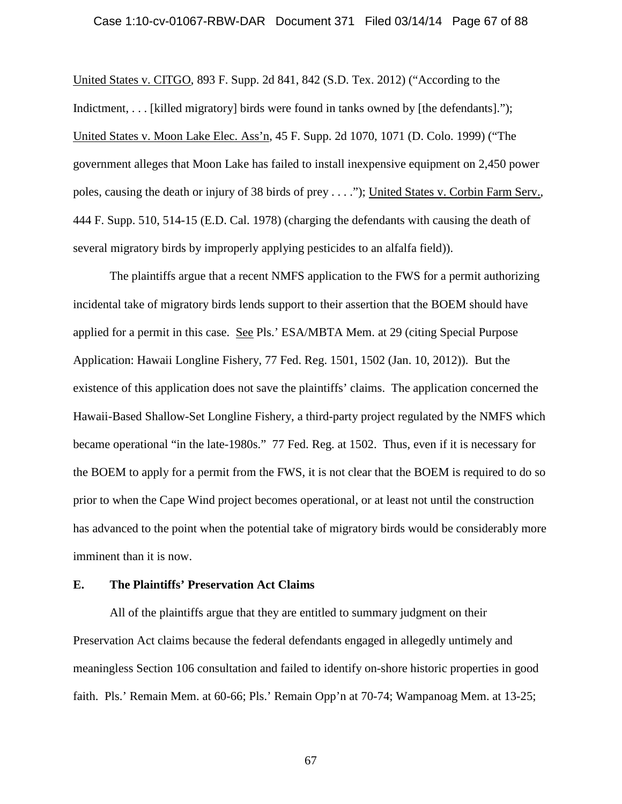### Case 1:10-cv-01067-RBW-DAR Document 371 Filed 03/14/14 Page 67 of 88

United States v. CITGO, 893 F. Supp. 2d 841, 842 (S.D. Tex. 2012) ("According to the Indictment, . . . [killed migratory] birds were found in tanks owned by [the defendants]."); United States v. Moon Lake Elec. Ass'n, 45 F. Supp. 2d 1070, 1071 (D. Colo. 1999) ("The government alleges that Moon Lake has failed to install inexpensive equipment on 2,450 power poles, causing the death or injury of 38 birds of prey . . . ."); United States v. Corbin Farm Serv., 444 F. Supp. 510, 514-15 (E.D. Cal. 1978) (charging the defendants with causing the death of several migratory birds by improperly applying pesticides to an alfalfa field)).

The plaintiffs argue that a recent NMFS application to the FWS for a permit authorizing incidental take of migratory birds lends support to their assertion that the BOEM should have applied for a permit in this case. See Pls.' ESA/MBTA Mem. at 29 (citing Special Purpose Application: Hawaii Longline Fishery, 77 Fed. Reg. 1501, 1502 (Jan. 10, 2012)). But the existence of this application does not save the plaintiffs' claims. The application concerned the Hawaii-Based Shallow-Set Longline Fishery, a third-party project regulated by the NMFS which became operational "in the late-1980s." 77 Fed. Reg. at 1502. Thus, even if it is necessary for the BOEM to apply for a permit from the FWS, it is not clear that the BOEM is required to do so prior to when the Cape Wind project becomes operational, or at least not until the construction has advanced to the point when the potential take of migratory birds would be considerably more imminent than it is now.

# **E. The Plaintiffs' Preservation Act Claims**

All of the plaintiffs argue that they are entitled to summary judgment on their Preservation Act claims because the federal defendants engaged in allegedly untimely and meaningless Section 106 consultation and failed to identify on-shore historic properties in good faith. Pls.' Remain Mem. at 60-66; Pls.' Remain Opp'n at 70-74; Wampanoag Mem. at 13-25;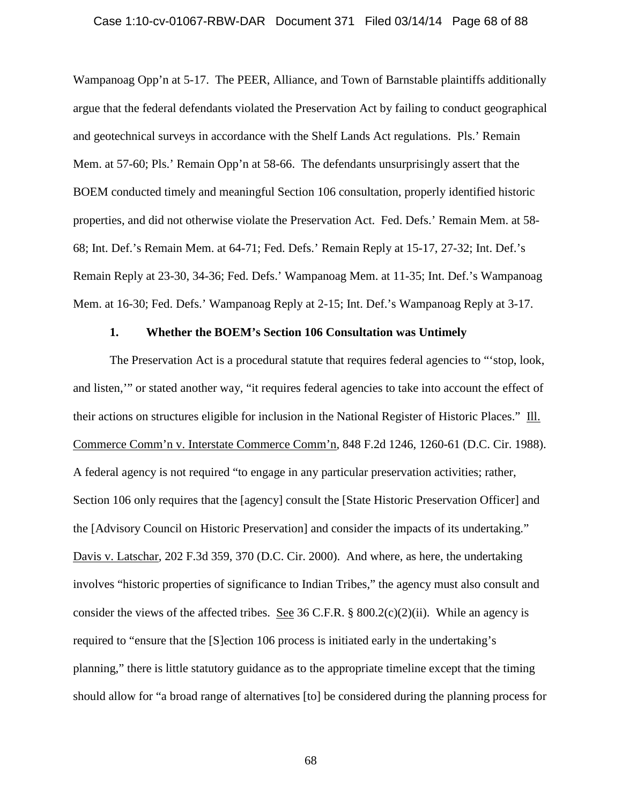### Case 1:10-cv-01067-RBW-DAR Document 371 Filed 03/14/14 Page 68 of 88

Wampanoag Opp'n at 5-17. The PEER, Alliance, and Town of Barnstable plaintiffs additionally argue that the federal defendants violated the Preservation Act by failing to conduct geographical and geotechnical surveys in accordance with the Shelf Lands Act regulations. Pls.' Remain Mem. at 57-60; Pls.' Remain Opp'n at 58-66. The defendants unsurprisingly assert that the BOEM conducted timely and meaningful Section 106 consultation, properly identified historic properties, and did not otherwise violate the Preservation Act. Fed. Defs.' Remain Mem. at 58- 68; Int. Def.'s Remain Mem. at 64-71; Fed. Defs.' Remain Reply at 15-17, 27-32; Int. Def.'s Remain Reply at 23-30, 34-36; Fed. Defs.' Wampanoag Mem. at 11-35; Int. Def.'s Wampanoag Mem. at 16-30; Fed. Defs.' Wampanoag Reply at 2-15; Int. Def.'s Wampanoag Reply at 3-17.

## **1. Whether the BOEM's Section 106 Consultation was Untimely**

The Preservation Act is a procedural statute that requires federal agencies to "'stop, look, and listen,'" or stated another way, "it requires federal agencies to take into account the effect of their actions on structures eligible for inclusion in the National Register of Historic Places." Ill. Commerce Comm'n v. Interstate Commerce Comm'n, 848 F.2d 1246, 1260-61 (D.C. Cir. 1988). A federal agency is not required "to engage in any particular preservation activities; rather, Section 106 only requires that the [agency] consult the [State Historic Preservation Officer] and the [Advisory Council on Historic Preservation] and consider the impacts of its undertaking." Davis v. Latschar, 202 F.3d 359, 370 (D.C. Cir. 2000). And where, as here, the undertaking involves "historic properties of significance to Indian Tribes," the agency must also consult and consider the views of the affected tribes. See 36 C.F.R. §  $800.2(c)(2)(ii)$ . While an agency is required to "ensure that the [S]ection 106 process is initiated early in the undertaking's planning," there is little statutory guidance as to the appropriate timeline except that the timing should allow for "a broad range of alternatives [to] be considered during the planning process for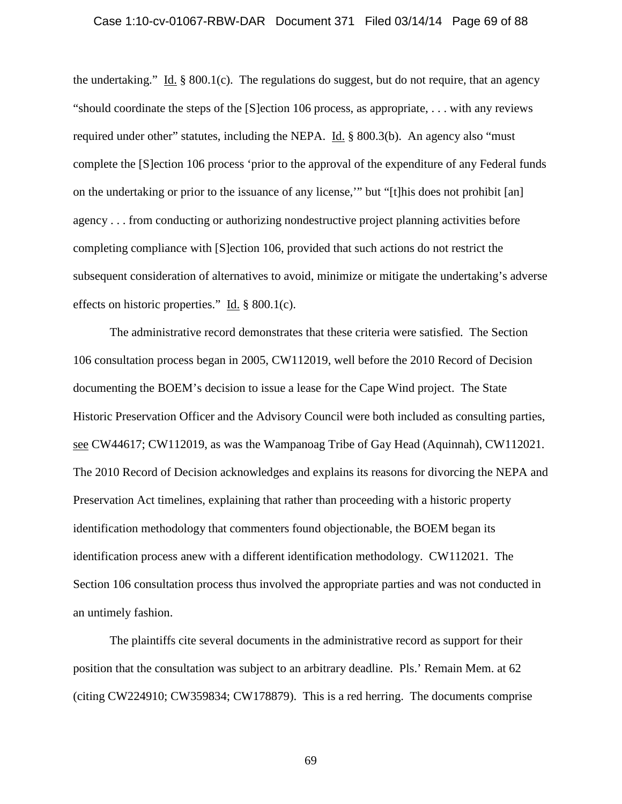### Case 1:10-cv-01067-RBW-DAR Document 371 Filed 03/14/14 Page 69 of 88

the undertaking." Id.  $\S$  800.1(c). The regulations do suggest, but do not require, that an agency "should coordinate the steps of the [S]ection 106 process, as appropriate, . . . with any reviews required under other" statutes, including the NEPA. Id. § 800.3(b). An agency also "must complete the [S]ection 106 process 'prior to the approval of the expenditure of any Federal funds on the undertaking or prior to the issuance of any license,'" but "[t]his does not prohibit [an] agency . . . from conducting or authorizing nondestructive project planning activities before completing compliance with [S]ection 106, provided that such actions do not restrict the subsequent consideration of alternatives to avoid, minimize or mitigate the undertaking's adverse effects on historic properties." Id. § 800.1(c).

The administrative record demonstrates that these criteria were satisfied. The Section 106 consultation process began in 2005, CW112019, well before the 2010 Record of Decision documenting the BOEM's decision to issue a lease for the Cape Wind project. The State Historic Preservation Officer and the Advisory Council were both included as consulting parties, see CW44617; CW112019, as was the Wampanoag Tribe of Gay Head (Aquinnah), CW112021. The 2010 Record of Decision acknowledges and explains its reasons for divorcing the NEPA and Preservation Act timelines, explaining that rather than proceeding with a historic property identification methodology that commenters found objectionable, the BOEM began its identification process anew with a different identification methodology. CW112021. The Section 106 consultation process thus involved the appropriate parties and was not conducted in an untimely fashion.

The plaintiffs cite several documents in the administrative record as support for their position that the consultation was subject to an arbitrary deadline. Pls.' Remain Mem. at 62 (citing CW224910; CW359834; CW178879). This is a red herring. The documents comprise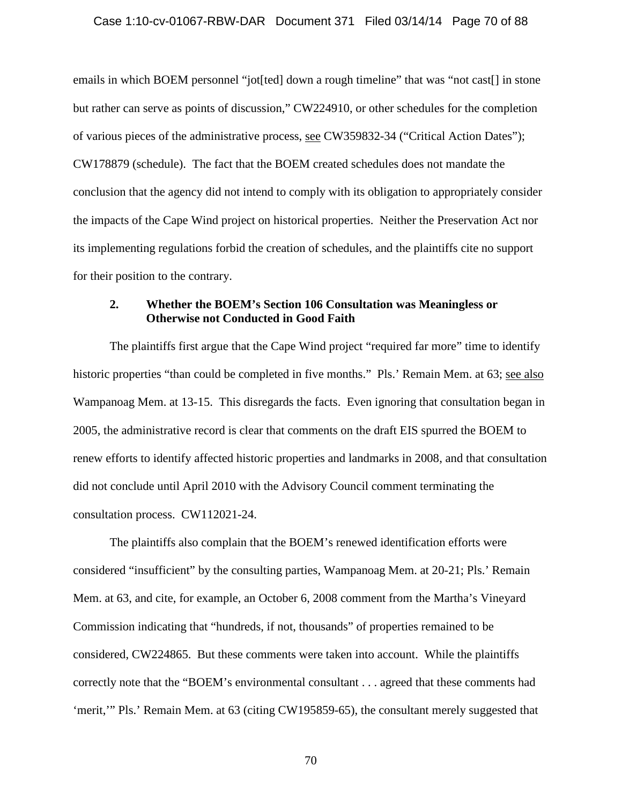### Case 1:10-cv-01067-RBW-DAR Document 371 Filed 03/14/14 Page 70 of 88

emails in which BOEM personnel "jot[ted] down a rough timeline" that was "not cast[] in stone but rather can serve as points of discussion," CW224910, or other schedules for the completion of various pieces of the administrative process, see CW359832-34 ("Critical Action Dates"); CW178879 (schedule). The fact that the BOEM created schedules does not mandate the conclusion that the agency did not intend to comply with its obligation to appropriately consider the impacts of the Cape Wind project on historical properties. Neither the Preservation Act nor its implementing regulations forbid the creation of schedules, and the plaintiffs cite no support for their position to the contrary.

# **2. Whether the BOEM's Section 106 Consultation was Meaningless or Otherwise not Conducted in Good Faith**

The plaintiffs first argue that the Cape Wind project "required far more" time to identify historic properties "than could be completed in five months." Pls.' Remain Mem. at 63; see also Wampanoag Mem. at 13-15. This disregards the facts. Even ignoring that consultation began in 2005, the administrative record is clear that comments on the draft EIS spurred the BOEM to renew efforts to identify affected historic properties and landmarks in 2008, and that consultation did not conclude until April 2010 with the Advisory Council comment terminating the consultation process. CW112021-24.

The plaintiffs also complain that the BOEM's renewed identification efforts were considered "insufficient" by the consulting parties, Wampanoag Mem. at 20-21; Pls.' Remain Mem. at 63, and cite, for example, an October 6, 2008 comment from the Martha's Vineyard Commission indicating that "hundreds, if not, thousands" of properties remained to be considered, CW224865. But these comments were taken into account. While the plaintiffs correctly note that the "BOEM's environmental consultant . . . agreed that these comments had 'merit,'" Pls.' Remain Mem. at 63 (citing CW195859-65), the consultant merely suggested that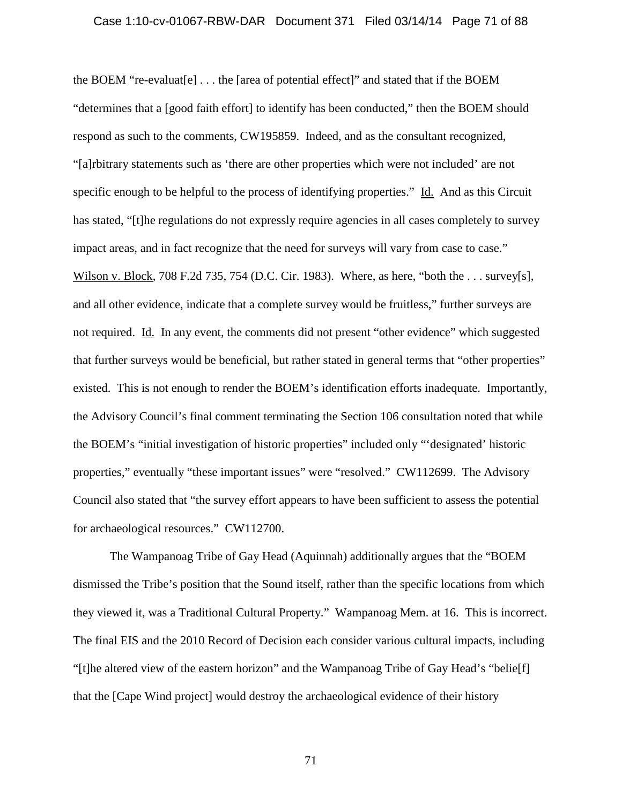### Case 1:10-cv-01067-RBW-DAR Document 371 Filed 03/14/14 Page 71 of 88

the BOEM "re-evaluat[e] . . . the [area of potential effect]" and stated that if the BOEM "determines that a [good faith effort] to identify has been conducted," then the BOEM should respond as such to the comments, CW195859. Indeed, and as the consultant recognized, "[a]rbitrary statements such as 'there are other properties which were not included' are not specific enough to be helpful to the process of identifying properties." Id. And as this Circuit has stated, "[t]he regulations do not expressly require agencies in all cases completely to survey impact areas, and in fact recognize that the need for surveys will vary from case to case." Wilson v. Block, 708 F.2d 735, 754 (D.C. Cir. 1983). Where, as here, "both the . . . survey[s], and all other evidence, indicate that a complete survey would be fruitless," further surveys are not required. Id. In any event, the comments did not present "other evidence" which suggested that further surveys would be beneficial, but rather stated in general terms that "other properties" existed. This is not enough to render the BOEM's identification efforts inadequate. Importantly, the Advisory Council's final comment terminating the Section 106 consultation noted that while the BOEM's "initial investigation of historic properties" included only "'designated' historic properties," eventually "these important issues" were "resolved." CW112699. The Advisory Council also stated that "the survey effort appears to have been sufficient to assess the potential for archaeological resources." CW112700.

The Wampanoag Tribe of Gay Head (Aquinnah) additionally argues that the "BOEM dismissed the Tribe's position that the Sound itself, rather than the specific locations from which they viewed it, was a Traditional Cultural Property." Wampanoag Mem. at 16. This is incorrect. The final EIS and the 2010 Record of Decision each consider various cultural impacts, including "[t]he altered view of the eastern horizon" and the Wampanoag Tribe of Gay Head's "belie[f] that the [Cape Wind project] would destroy the archaeological evidence of their history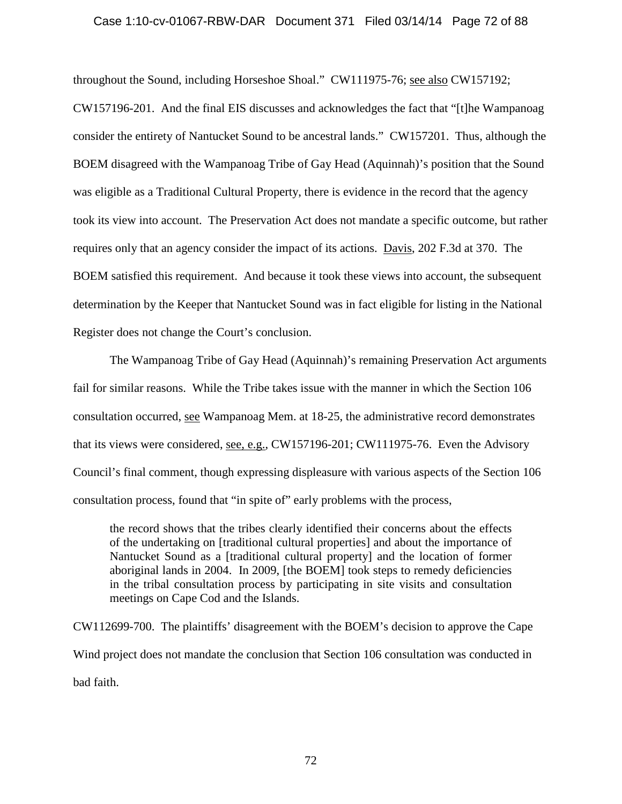## Case 1:10-cv-01067-RBW-DAR Document 371 Filed 03/14/14 Page 72 of 88

throughout the Sound, including Horseshoe Shoal." CW111975-76; see also CW157192;

CW157196-201. And the final EIS discusses and acknowledges the fact that "[t]he Wampanoag consider the entirety of Nantucket Sound to be ancestral lands." CW157201. Thus, although the BOEM disagreed with the Wampanoag Tribe of Gay Head (Aquinnah)'s position that the Sound was eligible as a Traditional Cultural Property, there is evidence in the record that the agency took its view into account. The Preservation Act does not mandate a specific outcome, but rather requires only that an agency consider the impact of its actions. Davis, 202 F.3d at 370. The BOEM satisfied this requirement. And because it took these views into account, the subsequent determination by the Keeper that Nantucket Sound was in fact eligible for listing in the National Register does not change the Court's conclusion.

The Wampanoag Tribe of Gay Head (Aquinnah)'s remaining Preservation Act arguments fail for similar reasons. While the Tribe takes issue with the manner in which the Section 106 consultation occurred, see Wampanoag Mem. at 18-25, the administrative record demonstrates that its views were considered, <u>see, e.g.</u>, CW157196-201; CW111975-76. Even the Advisory Council's final comment, though expressing displeasure with various aspects of the Section 106 consultation process, found that "in spite of" early problems with the process,

the record shows that the tribes clearly identified their concerns about the effects of the undertaking on [traditional cultural properties] and about the importance of Nantucket Sound as a [traditional cultural property] and the location of former aboriginal lands in 2004. In 2009, [the BOEM] took steps to remedy deficiencies in the tribal consultation process by participating in site visits and consultation meetings on Cape Cod and the Islands.

CW112699-700. The plaintiffs' disagreement with the BOEM's decision to approve the Cape Wind project does not mandate the conclusion that Section 106 consultation was conducted in bad faith.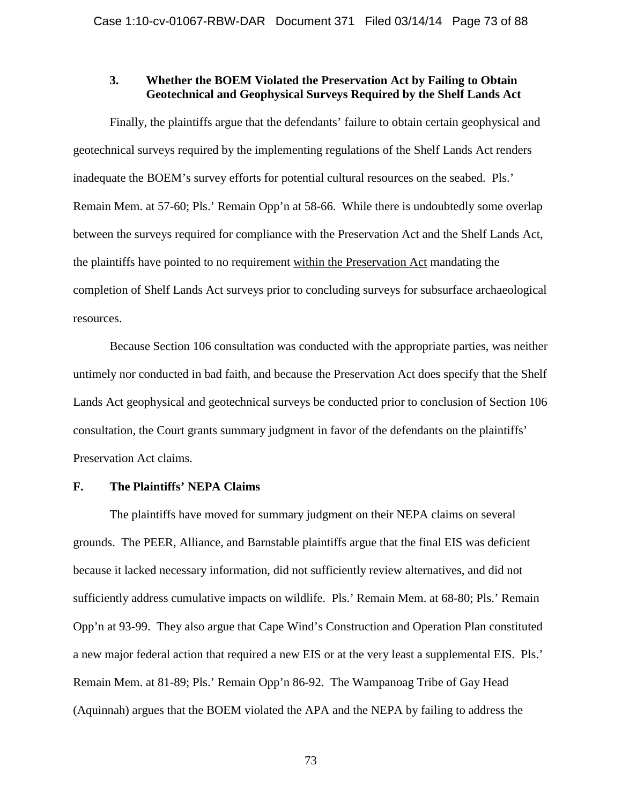# **3. Whether the BOEM Violated the Preservation Act by Failing to Obtain Geotechnical and Geophysical Surveys Required by the Shelf Lands Act**

Finally, the plaintiffs argue that the defendants' failure to obtain certain geophysical and geotechnical surveys required by the implementing regulations of the Shelf Lands Act renders inadequate the BOEM's survey efforts for potential cultural resources on the seabed. Pls.' Remain Mem. at 57-60; Pls.' Remain Opp'n at 58-66. While there is undoubtedly some overlap between the surveys required for compliance with the Preservation Act and the Shelf Lands Act, the plaintiffs have pointed to no requirement within the Preservation Act mandating the completion of Shelf Lands Act surveys prior to concluding surveys for subsurface archaeological resources.

Because Section 106 consultation was conducted with the appropriate parties, was neither untimely nor conducted in bad faith, and because the Preservation Act does specify that the Shelf Lands Act geophysical and geotechnical surveys be conducted prior to conclusion of Section 106 consultation, the Court grants summary judgment in favor of the defendants on the plaintiffs' Preservation Act claims.

# **F. The Plaintiffs' NEPA Claims**

The plaintiffs have moved for summary judgment on their NEPA claims on several grounds. The PEER, Alliance, and Barnstable plaintiffs argue that the final EIS was deficient because it lacked necessary information, did not sufficiently review alternatives, and did not sufficiently address cumulative impacts on wildlife. Pls.' Remain Mem. at 68-80; Pls.' Remain Opp'n at 93-99. They also argue that Cape Wind's Construction and Operation Plan constituted a new major federal action that required a new EIS or at the very least a supplemental EIS. Pls.' Remain Mem. at 81-89; Pls.' Remain Opp'n 86-92. The Wampanoag Tribe of Gay Head (Aquinnah) argues that the BOEM violated the APA and the NEPA by failing to address the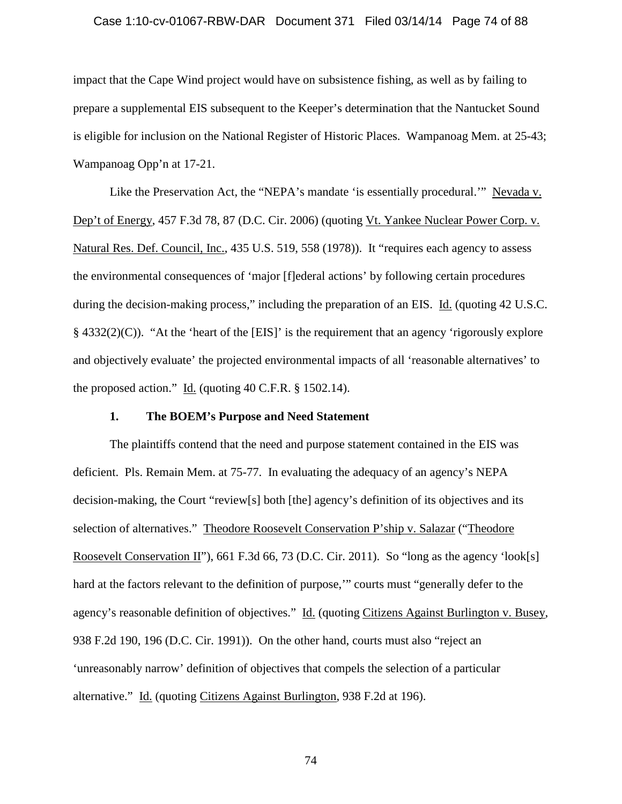### Case 1:10-cv-01067-RBW-DAR Document 371 Filed 03/14/14 Page 74 of 88

impact that the Cape Wind project would have on subsistence fishing, as well as by failing to prepare a supplemental EIS subsequent to the Keeper's determination that the Nantucket Sound is eligible for inclusion on the National Register of Historic Places. Wampanoag Mem. at 25-43; Wampanoag Opp'n at 17-21.

Like the Preservation Act, the "NEPA's mandate 'is essentially procedural.'" Nevada v. Dep't of Energy, 457 F.3d 78, 87 (D.C. Cir. 2006) (quoting Vt. Yankee Nuclear Power Corp. v. Natural Res. Def. Council, Inc., 435 U.S. 519, 558 (1978)). It "requires each agency to assess the environmental consequences of 'major [f]ederal actions' by following certain procedures during the decision-making process," including the preparation of an EIS. Id. (quoting 42 U.S.C.  $§$  4332(2)(C)). "At the 'heart of the [EIS]' is the requirement that an agency 'rigorously explore and objectively evaluate' the projected environmental impacts of all 'reasonable alternatives' to the proposed action." Id. (quoting 40 C.F.R. § 1502.14).

## **1. The BOEM's Purpose and Need Statement**

The plaintiffs contend that the need and purpose statement contained in the EIS was deficient. Pls. Remain Mem. at 75-77. In evaluating the adequacy of an agency's NEPA decision-making, the Court "review[s] both [the] agency's definition of its objectives and its selection of alternatives." Theodore Roosevelt Conservation P'ship v. Salazar ("Theodore Roosevelt Conservation II"), 661 F.3d 66, 73 (D.C. Cir. 2011). So "long as the agency 'look[s] hard at the factors relevant to the definition of purpose,'" courts must "generally defer to the agency's reasonable definition of objectives." Id. (quoting Citizens Against Burlington v. Busey, 938 F.2d 190, 196 (D.C. Cir. 1991)). On the other hand, courts must also "reject an 'unreasonably narrow' definition of objectives that compels the selection of a particular alternative." Id. (quoting Citizens Against Burlington, 938 F.2d at 196).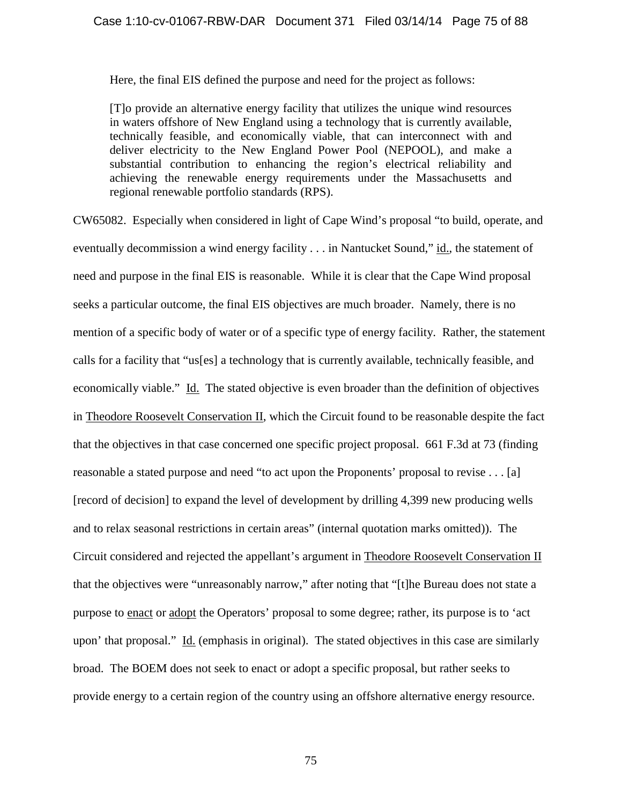Here, the final EIS defined the purpose and need for the project as follows:

[T]o provide an alternative energy facility that utilizes the unique wind resources in waters offshore of New England using a technology that is currently available, technically feasible, and economically viable, that can interconnect with and deliver electricity to the New England Power Pool (NEPOOL), and make a substantial contribution to enhancing the region's electrical reliability and achieving the renewable energy requirements under the Massachusetts and regional renewable portfolio standards (RPS).

CW65082. Especially when considered in light of Cape Wind's proposal "to build, operate, and eventually decommission a wind energy facility . . . in Nantucket Sound," id., the statement of need and purpose in the final EIS is reasonable. While it is clear that the Cape Wind proposal seeks a particular outcome, the final EIS objectives are much broader. Namely, there is no mention of a specific body of water or of a specific type of energy facility. Rather, the statement calls for a facility that "us[es] a technology that is currently available, technically feasible, and economically viable." Id. The stated objective is even broader than the definition of objectives in Theodore Roosevelt Conservation II, which the Circuit found to be reasonable despite the fact that the objectives in that case concerned one specific project proposal. 661 F.3d at 73 (finding reasonable a stated purpose and need "to act upon the Proponents' proposal to revise . . . [a] [record of decision] to expand the level of development by drilling 4,399 new producing wells and to relax seasonal restrictions in certain areas" (internal quotation marks omitted)). The Circuit considered and rejected the appellant's argument in Theodore Roosevelt Conservation II that the objectives were "unreasonably narrow," after noting that "[t]he Bureau does not state a purpose to enact or adopt the Operators' proposal to some degree; rather, its purpose is to 'act upon' that proposal." Id. (emphasis in original). The stated objectives in this case are similarly broad. The BOEM does not seek to enact or adopt a specific proposal, but rather seeks to provide energy to a certain region of the country using an offshore alternative energy resource.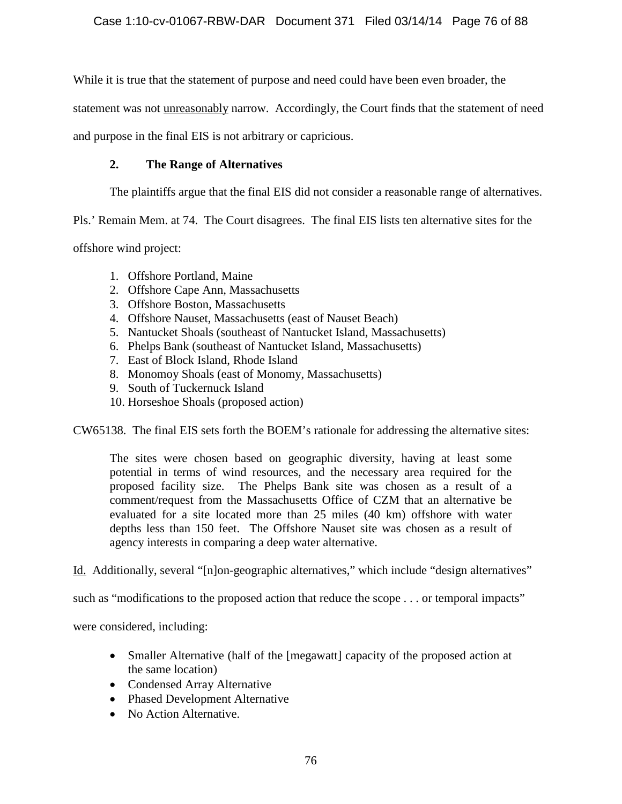While it is true that the statement of purpose and need could have been even broader, the

statement was not unreasonably narrow. Accordingly, the Court finds that the statement of need

and purpose in the final EIS is not arbitrary or capricious.

# **2. The Range of Alternatives**

The plaintiffs argue that the final EIS did not consider a reasonable range of alternatives.

Pls.' Remain Mem. at 74. The Court disagrees. The final EIS lists ten alternative sites for the

offshore wind project:

- 1. Offshore Portland, Maine
- 2. Offshore Cape Ann, Massachusetts
- 3. Offshore Boston, Massachusetts
- 4. Offshore Nauset, Massachusetts (east of Nauset Beach)
- 5. Nantucket Shoals (southeast of Nantucket Island, Massachusetts)
- 6. Phelps Bank (southeast of Nantucket Island, Massachusetts)
- 7. East of Block Island, Rhode Island
- 8. Monomoy Shoals (east of Monomy, Massachusetts)
- 9. South of Tuckernuck Island
- 10. Horseshoe Shoals (proposed action)

CW65138. The final EIS sets forth the BOEM's rationale for addressing the alternative sites:

The sites were chosen based on geographic diversity, having at least some potential in terms of wind resources, and the necessary area required for the proposed facility size. The Phelps Bank site was chosen as a result of a comment/request from the Massachusetts Office of CZM that an alternative be evaluated for a site located more than 25 miles (40 km) offshore with water depths less than 150 feet. The Offshore Nauset site was chosen as a result of agency interests in comparing a deep water alternative.

Id. Additionally, several "[n]on-geographic alternatives," which include "design alternatives"

such as "modifications to the proposed action that reduce the scope . . . or temporal impacts"

were considered, including:

- Smaller Alternative (half of the [megawatt] capacity of the proposed action at the same location)
- Condensed Array Alternative
- Phased Development Alternative
- No Action Alternative.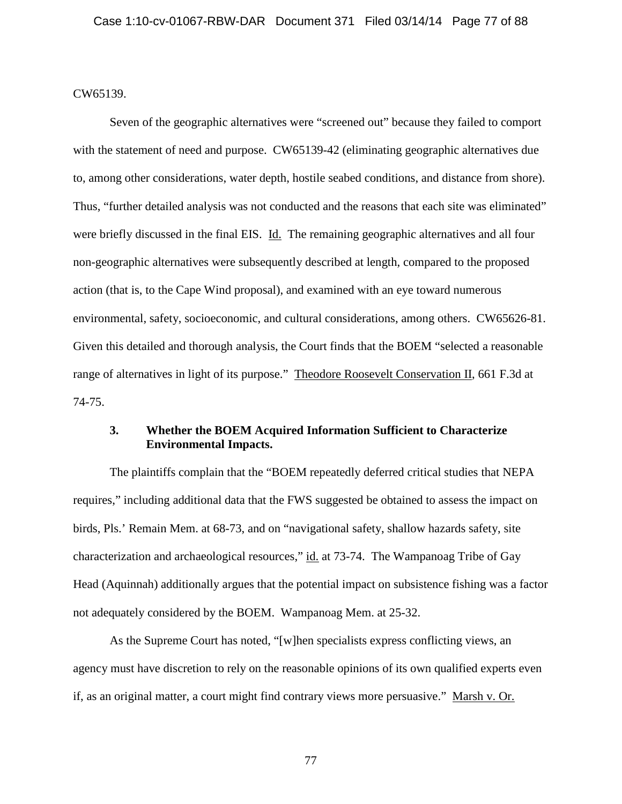CW65139.

Seven of the geographic alternatives were "screened out" because they failed to comport with the statement of need and purpose. CW65139-42 (eliminating geographic alternatives due to, among other considerations, water depth, hostile seabed conditions, and distance from shore). Thus, "further detailed analysis was not conducted and the reasons that each site was eliminated" were briefly discussed in the final EIS. Id. The remaining geographic alternatives and all four non-geographic alternatives were subsequently described at length, compared to the proposed action (that is, to the Cape Wind proposal), and examined with an eye toward numerous environmental, safety, socioeconomic, and cultural considerations, among others. CW65626-81. Given this detailed and thorough analysis, the Court finds that the BOEM "selected a reasonable range of alternatives in light of its purpose." Theodore Roosevelt Conservation II, 661 F.3d at 74-75.

# **3. Whether the BOEM Acquired Information Sufficient to Characterize Environmental Impacts.**

The plaintiffs complain that the "BOEM repeatedly deferred critical studies that NEPA requires," including additional data that the FWS suggested be obtained to assess the impact on birds, Pls.' Remain Mem. at 68-73, and on "navigational safety, shallow hazards safety, site characterization and archaeological resources," id. at 73-74. The Wampanoag Tribe of Gay Head (Aquinnah) additionally argues that the potential impact on subsistence fishing was a factor not adequately considered by the BOEM. Wampanoag Mem. at 25-32.

As the Supreme Court has noted, "[w]hen specialists express conflicting views, an agency must have discretion to rely on the reasonable opinions of its own qualified experts even if, as an original matter, a court might find contrary views more persuasive." Marsh v. Or.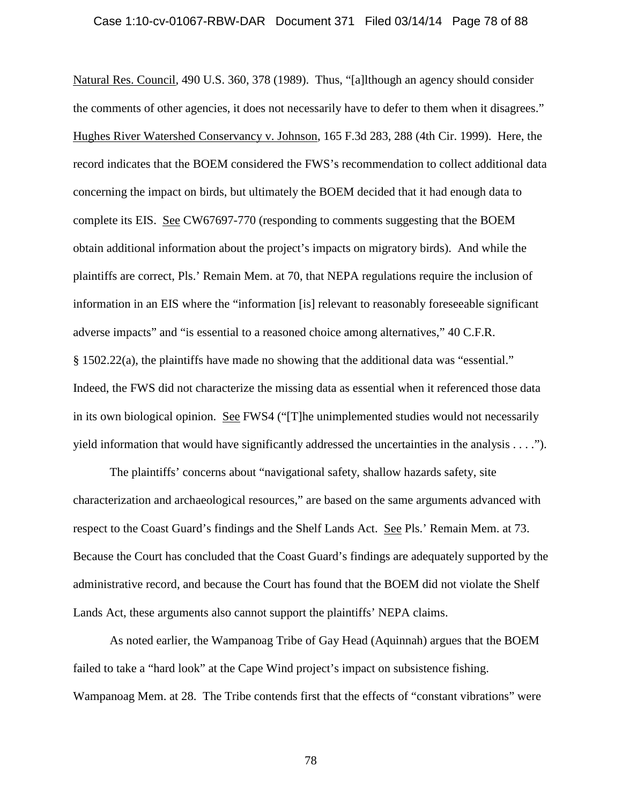### Case 1:10-cv-01067-RBW-DAR Document 371 Filed 03/14/14 Page 78 of 88

Natural Res. Council, 490 U.S. 360, 378 (1989). Thus, "[a]lthough an agency should consider the comments of other agencies, it does not necessarily have to defer to them when it disagrees." Hughes River Watershed Conservancy v. Johnson, 165 F.3d 283, 288 (4th Cir. 1999). Here, the record indicates that the BOEM considered the FWS's recommendation to collect additional data concerning the impact on birds, but ultimately the BOEM decided that it had enough data to complete its EIS. See CW67697-770 (responding to comments suggesting that the BOEM obtain additional information about the project's impacts on migratory birds). And while the plaintiffs are correct, Pls.' Remain Mem. at 70, that NEPA regulations require the inclusion of information in an EIS where the "information [is] relevant to reasonably foreseeable significant adverse impacts" and "is essential to a reasoned choice among alternatives," 40 C.F.R. § 1502.22(a), the plaintiffs have made no showing that the additional data was "essential." Indeed, the FWS did not characterize the missing data as essential when it referenced those data in its own biological opinion. See FWS4 ("[T]he unimplemented studies would not necessarily yield information that would have significantly addressed the uncertainties in the analysis . . . .").

The plaintiffs' concerns about "navigational safety, shallow hazards safety, site characterization and archaeological resources," are based on the same arguments advanced with respect to the Coast Guard's findings and the Shelf Lands Act. See Pls.' Remain Mem. at 73. Because the Court has concluded that the Coast Guard's findings are adequately supported by the administrative record, and because the Court has found that the BOEM did not violate the Shelf Lands Act, these arguments also cannot support the plaintiffs' NEPA claims.

As noted earlier, the Wampanoag Tribe of Gay Head (Aquinnah) argues that the BOEM failed to take a "hard look" at the Cape Wind project's impact on subsistence fishing. Wampanoag Mem. at 28. The Tribe contends first that the effects of "constant vibrations" were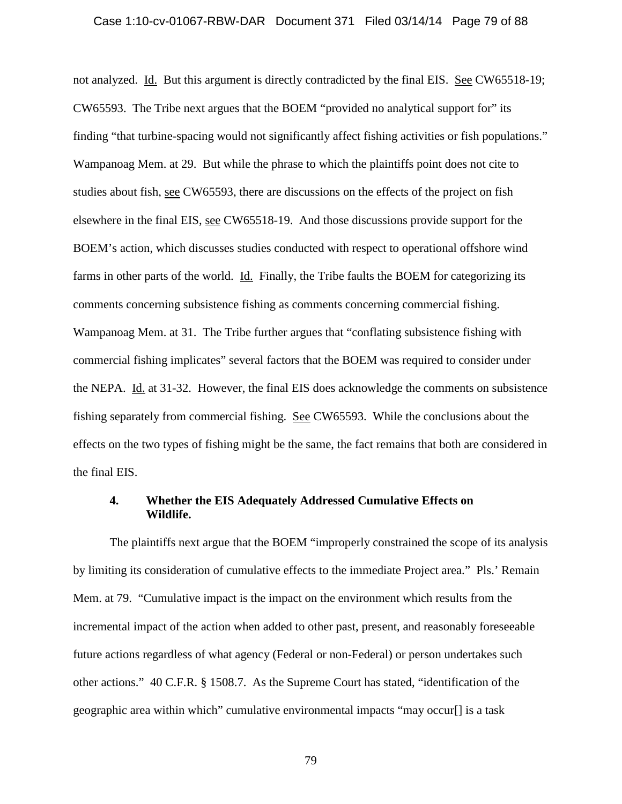#### Case 1:10-cv-01067-RBW-DAR Document 371 Filed 03/14/14 Page 79 of 88

not analyzed. Id. But this argument is directly contradicted by the final EIS. See CW65518-19; CW65593. The Tribe next argues that the BOEM "provided no analytical support for" its finding "that turbine-spacing would not significantly affect fishing activities or fish populations." Wampanoag Mem. at 29. But while the phrase to which the plaintiffs point does not cite to studies about fish, see CW65593, there are discussions on the effects of the project on fish elsewhere in the final EIS, see CW65518-19. And those discussions provide support for the BOEM's action, which discusses studies conducted with respect to operational offshore wind farms in other parts of the world. Id. Finally, the Tribe faults the BOEM for categorizing its comments concerning subsistence fishing as comments concerning commercial fishing. Wampanoag Mem. at 31. The Tribe further argues that "conflating subsistence fishing with commercial fishing implicates" several factors that the BOEM was required to consider under the NEPA. Id. at 31-32. However, the final EIS does acknowledge the comments on subsistence fishing separately from commercial fishing. See CW65593. While the conclusions about the effects on the two types of fishing might be the same, the fact remains that both are considered in the final EIS.

## **4. Whether the EIS Adequately Addressed Cumulative Effects on Wildlife.**

The plaintiffs next argue that the BOEM "improperly constrained the scope of its analysis by limiting its consideration of cumulative effects to the immediate Project area." Pls.' Remain Mem. at 79. "Cumulative impact is the impact on the environment which results from the incremental impact of the action when added to other past, present, and reasonably foreseeable future actions regardless of what agency (Federal or non-Federal) or person undertakes such other actions." 40 C.F.R. § 1508.7. As the Supreme Court has stated, "identification of the geographic area within which" cumulative environmental impacts "may occur[] is a task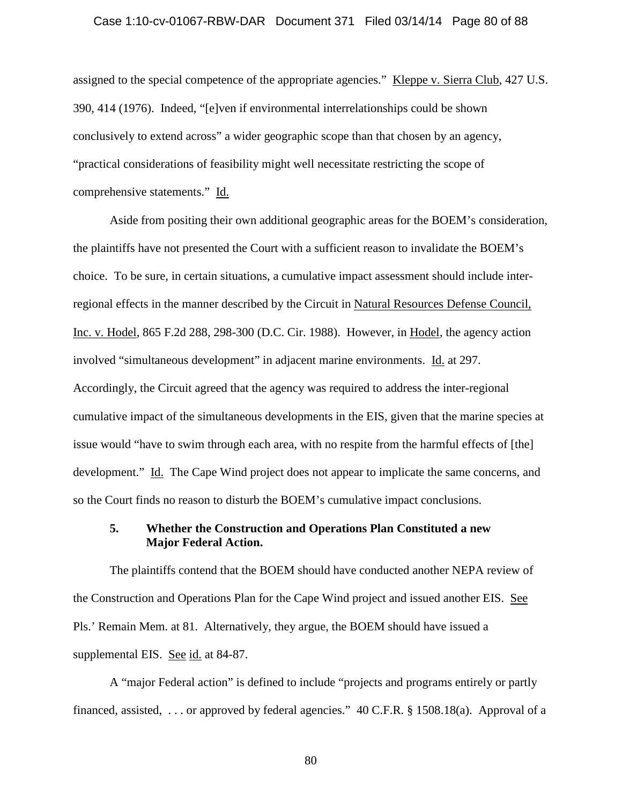#### Case 1:10-cv-01067-RBW-DAR Document 371 Filed 03/14/14 Page 80 of 88

assigned to the special competence of the appropriate agencies." Kleppe v. Sierra Club, 427 U.S. 390, 414 (1976). Indeed, "[e]ven if environmental interrelationships could be shown conclusively to extend across" a wider geographic scope than that chosen by an agency, "practical considerations of feasibility might well necessitate restricting the scope of comprehensive statements." Id.

Aside from positing their own additional geographic areas for the BOEM's consideration, the plaintiffs have not presented the Court with a sufficient reason to invalidate the BOEM's choice. To be sure, in certain situations, a cumulative impact assessment should include interregional effects in the manner described by the Circuit in Natural Resources Defense Council, Inc. v. Hodel, 865 F.2d 288, 298-300 (D.C. Cir. 1988). However, in Hodel, the agency action involved "simultaneous development" in adjacent marine environments. Id. at 297. Accordingly, the Circuit agreed that the agency was required to address the inter-regional cumulative impact of the simultaneous developments in the EIS, given that the marine species at issue would "have to swim through each area, with no respite from the harmful effects of [the] development." Id. The Cape Wind project does not appear to implicate the same concerns, and so the Court finds no reason to disturb the BOEM's cumulative impact conclusions.

# **5. Whether the Construction and Operations Plan Constituted a new Major Federal Action.**

The plaintiffs contend that the BOEM should have conducted another NEPA review of the Construction and Operations Plan for the Cape Wind project and issued another EIS. See Pls.' Remain Mem. at 81. Alternatively, they argue, the BOEM should have issued a supplemental EIS. See id. at 84-87.

A "major Federal action" is defined to include "projects and programs entirely or partly financed, assisted, . . . or approved by federal agencies." 40 C.F.R. § 1508.18(a). Approval of a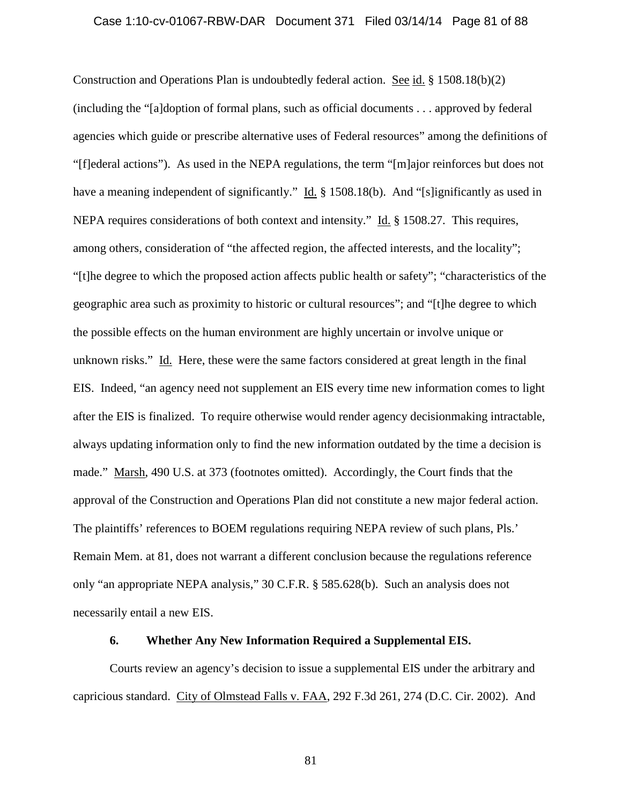### Case 1:10-cv-01067-RBW-DAR Document 371 Filed 03/14/14 Page 81 of 88

Construction and Operations Plan is undoubtedly federal action. See id. § 1508.18(b)(2) (including the "[a]doption of formal plans, such as official documents . . . approved by federal agencies which guide or prescribe alternative uses of Federal resources" among the definitions of "[f]ederal actions"). As used in the NEPA regulations, the term "[m]ajor reinforces but does not have a meaning independent of significantly." Id. § 1508.18(b). And "[s]ignificantly as used in NEPA requires considerations of both context and intensity." Id. § 1508.27. This requires, among others, consideration of "the affected region, the affected interests, and the locality"; "[t]he degree to which the proposed action affects public health or safety"; "characteristics of the geographic area such as proximity to historic or cultural resources"; and "[t]he degree to which the possible effects on the human environment are highly uncertain or involve unique or unknown risks." Id. Here, these were the same factors considered at great length in the final EIS. Indeed, "an agency need not supplement an EIS every time new information comes to light after the EIS is finalized. To require otherwise would render agency decisionmaking intractable, always updating information only to find the new information outdated by the time a decision is made." Marsh, 490 U.S. at 373 (footnotes omitted). Accordingly, the Court finds that the approval of the Construction and Operations Plan did not constitute a new major federal action. The plaintiffs' references to BOEM regulations requiring NEPA review of such plans, Pls.' Remain Mem. at 81, does not warrant a different conclusion because the regulations reference only "an appropriate NEPA analysis," 30 C.F.R. § 585.628(b). Such an analysis does not necessarily entail a new EIS.

## **6. Whether Any New Information Required a Supplemental EIS.**

Courts review an agency's decision to issue a supplemental EIS under the arbitrary and capricious standard. City of Olmstead Falls v. FAA, 292 F.3d 261, 274 (D.C. Cir. 2002). And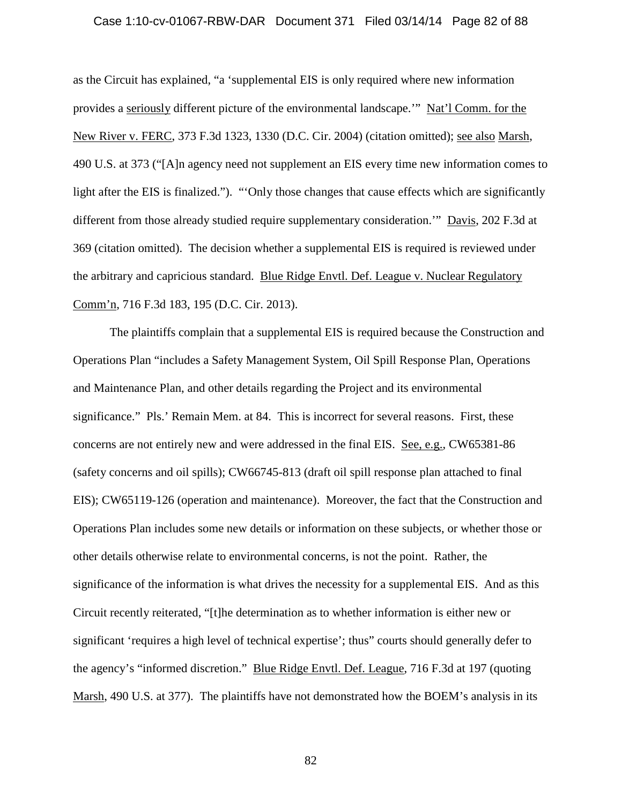### Case 1:10-cv-01067-RBW-DAR Document 371 Filed 03/14/14 Page 82 of 88

as the Circuit has explained, "a 'supplemental EIS is only required where new information provides a seriously different picture of the environmental landscape.'" Nat'l Comm. for the New River v. FERC, 373 F.3d 1323, 1330 (D.C. Cir. 2004) (citation omitted); see also Marsh, 490 U.S. at 373 ("[A]n agency need not supplement an EIS every time new information comes to light after the EIS is finalized."). "'Only those changes that cause effects which are significantly different from those already studied require supplementary consideration.'" Davis, 202 F.3d at 369 (citation omitted). The decision whether a supplemental EIS is required is reviewed under the arbitrary and capricious standard. Blue Ridge Envtl. Def. League v. Nuclear Regulatory Comm'n, 716 F.3d 183, 195 (D.C. Cir. 2013).

The plaintiffs complain that a supplemental EIS is required because the Construction and Operations Plan "includes a Safety Management System, Oil Spill Response Plan, Operations and Maintenance Plan, and other details regarding the Project and its environmental significance." Pls.' Remain Mem. at 84. This is incorrect for several reasons. First, these concerns are not entirely new and were addressed in the final EIS. See, e.g., CW65381-86 (safety concerns and oil spills); CW66745-813 (draft oil spill response plan attached to final EIS); CW65119-126 (operation and maintenance). Moreover, the fact that the Construction and Operations Plan includes some new details or information on these subjects, or whether those or other details otherwise relate to environmental concerns, is not the point. Rather, the significance of the information is what drives the necessity for a supplemental EIS. And as this Circuit recently reiterated, "[t]he determination as to whether information is either new or significant 'requires a high level of technical expertise'; thus" courts should generally defer to the agency's "informed discretion." Blue Ridge Envtl. Def. League, 716 F.3d at 197 (quoting Marsh, 490 U.S. at 377). The plaintiffs have not demonstrated how the BOEM's analysis in its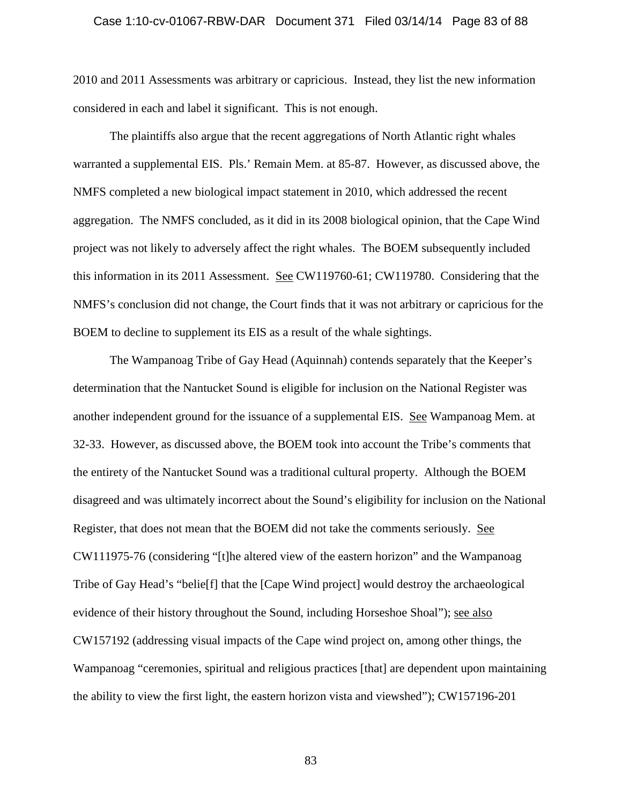### Case 1:10-cv-01067-RBW-DAR Document 371 Filed 03/14/14 Page 83 of 88

2010 and 2011 Assessments was arbitrary or capricious. Instead, they list the new information considered in each and label it significant. This is not enough.

The plaintiffs also argue that the recent aggregations of North Atlantic right whales warranted a supplemental EIS. Pls.' Remain Mem. at 85-87. However, as discussed above, the NMFS completed a new biological impact statement in 2010, which addressed the recent aggregation. The NMFS concluded, as it did in its 2008 biological opinion, that the Cape Wind project was not likely to adversely affect the right whales. The BOEM subsequently included this information in its 2011 Assessment. See CW119760-61; CW119780. Considering that the NMFS's conclusion did not change, the Court finds that it was not arbitrary or capricious for the BOEM to decline to supplement its EIS as a result of the whale sightings.

The Wampanoag Tribe of Gay Head (Aquinnah) contends separately that the Keeper's determination that the Nantucket Sound is eligible for inclusion on the National Register was another independent ground for the issuance of a supplemental EIS. See Wampanoag Mem. at 32-33. However, as discussed above, the BOEM took into account the Tribe's comments that the entirety of the Nantucket Sound was a traditional cultural property. Although the BOEM disagreed and was ultimately incorrect about the Sound's eligibility for inclusion on the National Register, that does not mean that the BOEM did not take the comments seriously. See CW111975-76 (considering "[t]he altered view of the eastern horizon" and the Wampanoag Tribe of Gay Head's "belie[f] that the [Cape Wind project] would destroy the archaeological evidence of their history throughout the Sound, including Horseshoe Shoal"); see also CW157192 (addressing visual impacts of the Cape wind project on, among other things, the Wampanoag "ceremonies, spiritual and religious practices [that] are dependent upon maintaining the ability to view the first light, the eastern horizon vista and viewshed"); CW157196-201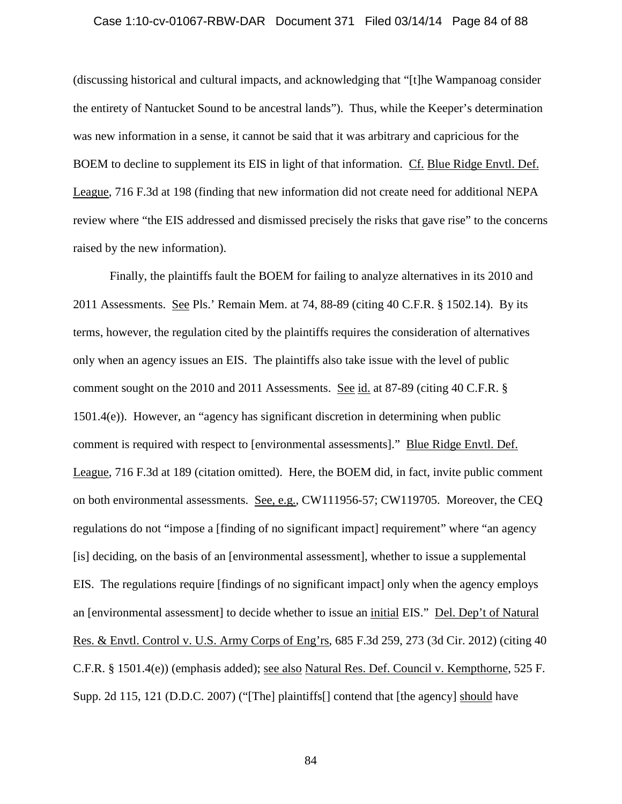### Case 1:10-cv-01067-RBW-DAR Document 371 Filed 03/14/14 Page 84 of 88

(discussing historical and cultural impacts, and acknowledging that "[t]he Wampanoag consider the entirety of Nantucket Sound to be ancestral lands"). Thus, while the Keeper's determination was new information in a sense, it cannot be said that it was arbitrary and capricious for the BOEM to decline to supplement its EIS in light of that information. Cf. Blue Ridge Envtl. Def. League, 716 F.3d at 198 (finding that new information did not create need for additional NEPA review where "the EIS addressed and dismissed precisely the risks that gave rise" to the concerns raised by the new information).

Finally, the plaintiffs fault the BOEM for failing to analyze alternatives in its 2010 and 2011 Assessments. See Pls.' Remain Mem. at 74, 88-89 (citing 40 C.F.R. § 1502.14). By its terms, however, the regulation cited by the plaintiffs requires the consideration of alternatives only when an agency issues an EIS. The plaintiffs also take issue with the level of public comment sought on the 2010 and 2011 Assessments. See id. at 87-89 (citing 40 C.F.R. § 1501.4(e)). However, an "agency has significant discretion in determining when public comment is required with respect to [environmental assessments]." Blue Ridge Envtl. Def. League, 716 F.3d at 189 (citation omitted). Here, the BOEM did, in fact, invite public comment on both environmental assessments. See, e.g., CW111956-57; CW119705. Moreover, the CEQ regulations do not "impose a [finding of no significant impact] requirement" where "an agency [is] deciding, on the basis of an [environmental assessment], whether to issue a supplemental EIS. The regulations require [findings of no significant impact] only when the agency employs an [environmental assessment] to decide whether to issue an initial EIS." Del. Dep't of Natural Res. & Envtl. Control v. U.S. Army Corps of Eng'rs, 685 F.3d 259, 273 (3d Cir. 2012) (citing 40 C.F.R. § 1501.4(e)) (emphasis added); see also Natural Res. Def. Council v. Kempthorne, 525 F. Supp. 2d 115, 121 (D.D.C. 2007) ("[The] plaintiffs[] contend that [the agency] should have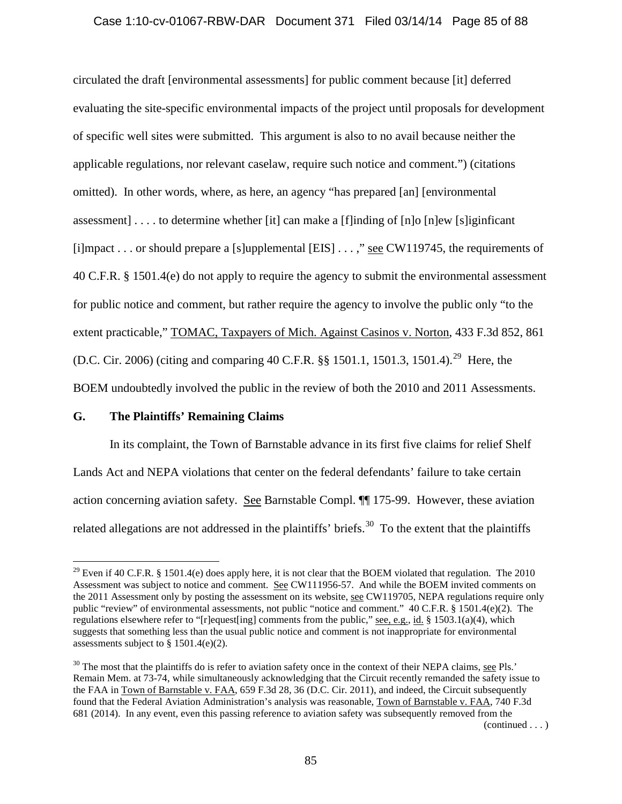## Case 1:10-cv-01067-RBW-DAR Document 371 Filed 03/14/14 Page 85 of 88

circulated the draft [environmental assessments] for public comment because [it] deferred evaluating the site-specific environmental impacts of the project until proposals for development of specific well sites were submitted. This argument is also to no avail because neither the applicable regulations, nor relevant caselaw, require such notice and comment.") (citations omitted). In other words, where, as here, an agency "has prepared [an] [environmental assessment] . . . . to determine whether [it] can make a [f]inding of [n]o [n]ew [s]iginficant [i]mpact . . . or should prepare a [s]upplemental [EIS] . . . ," see CW119745, the requirements of 40 C.F.R. § 1501.4(e) do not apply to require the agency to submit the environmental assessment for public notice and comment, but rather require the agency to involve the public only "to the extent practicable," TOMAC, Taxpayers of Mich. Against Casinos v. Norton, 433 F.3d 852, 861 (D.C. Cir. 2006) (citing and comparing 40 C.F.R. §§ 1501.1, 1501.3, 1501.4).<sup>[29](#page-84-0)</sup> Here, the BOEM undoubtedly involved the public in the review of both the 2010 and 2011 Assessments.

## **G. The Plaintiffs' Remaining Claims**

In its complaint, the Town of Barnstable advance in its first five claims for relief Shelf Lands Act and NEPA violations that center on the federal defendants' failure to take certain action concerning aviation safety. See Barnstable Compl. ¶¶ 175-99. However, these aviation related allegations are not addressed in the plaintiffs' briefs.<sup>[30](#page-84-1)</sup> To the extent that the plaintiffs

<span id="page-84-0"></span><sup>&</sup>lt;sup>29</sup> Even if 40 C.F.R. § 1501.4(e) does apply here, it is not clear that the BOEM violated that regulation. The 2010 Assessment was subject to notice and comment. See CW111956-57. And while the BOEM invited comments on the 2011 Assessment only by posting the assessment on its website, see CW119705, NEPA regulations require only public "review" of environmental assessments, not public "notice and comment." 40 C.F.R. § 1501.4(e)(2). The regulations elsewhere refer to "[r]equest[ing] comments from the public," see, e.g., id. § 1503.1(a)(4), which suggests that something less than the usual public notice and comment is not inappropriate for environmental assessments subject to  $§ 1501.4(e)(2)$ .

<span id="page-84-1"></span> $30$  The most that the plaintiffs do is refer to aviation safety once in the context of their NEPA claims, see Pls.' Remain Mem. at 73-74, while simultaneously acknowledging that the Circuit recently remanded the safety issue to the FAA in Town of Barnstable v. FAA, 659 F.3d 28, 36 (D.C. Cir. 2011), and indeed, the Circuit subsequently found that the Federal Aviation Administration's analysis was reasonable, Town of Barnstable v. FAA, 740 F.3d 681 (2014). In any event, even this passing reference to aviation safety was subsequently removed from the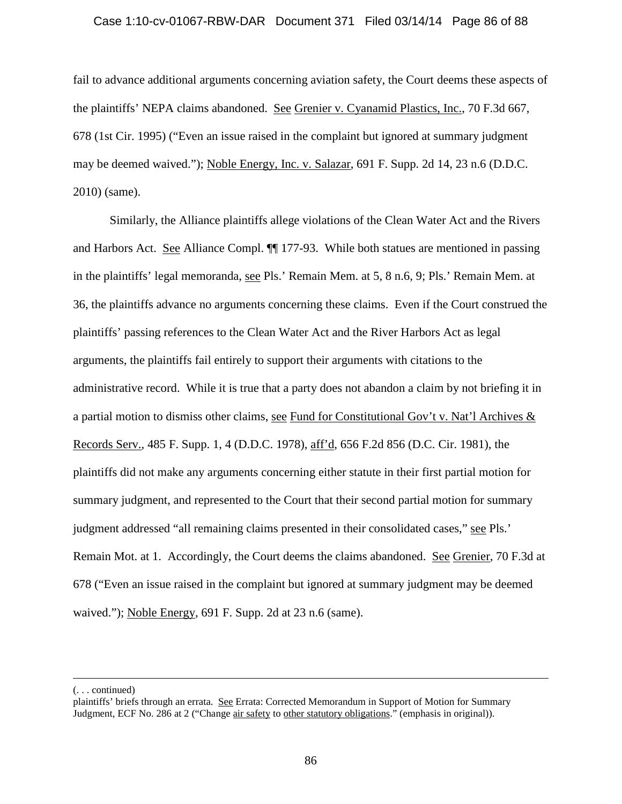## Case 1:10-cv-01067-RBW-DAR Document 371 Filed 03/14/14 Page 86 of 88

fail to advance additional arguments concerning aviation safety, the Court deems these aspects of the plaintiffs' NEPA claims abandoned. See Grenier v. Cyanamid Plastics, Inc., 70 F.3d 667, 678 (1st Cir. 1995) ("Even an issue raised in the complaint but ignored at summary judgment may be deemed waived."); Noble Energy, Inc. v. Salazar, 691 F. Supp. 2d 14, 23 n.6 (D.D.C. 2010) (same).

Similarly, the Alliance plaintiffs allege violations of the Clean Water Act and the Rivers and Harbors Act. See Alliance Compl. ¶¶ 177-93. While both statues are mentioned in passing in the plaintiffs' legal memoranda, see Pls.' Remain Mem. at 5, 8 n.6, 9; Pls.' Remain Mem. at 36, the plaintiffs advance no arguments concerning these claims. Even if the Court construed the plaintiffs' passing references to the Clean Water Act and the River Harbors Act as legal arguments, the plaintiffs fail entirely to support their arguments with citations to the administrative record. While it is true that a party does not abandon a claim by not briefing it in a partial motion to dismiss other claims, see Fund for Constitutional Gov't v. Nat'l Archives & Records Serv., 485 F. Supp. 1, 4 (D.D.C. 1978), aff'd, 656 F.2d 856 (D.C. Cir. 1981), the plaintiffs did not make any arguments concerning either statute in their first partial motion for summary judgment, and represented to the Court that their second partial motion for summary judgment addressed "all remaining claims presented in their consolidated cases," see Pls.' Remain Mot. at 1. Accordingly, the Court deems the claims abandoned. See Grenier, 70 F.3d at 678 ("Even an issue raised in the complaint but ignored at summary judgment may be deemed waived."); Noble Energy, 691 F. Supp. 2d at 23 n.6 (same).

 $\overline{a}$ 

<sup>(. . .</sup> continued)

plaintiffs' briefs through an errata. See Errata: Corrected Memorandum in Support of Motion for Summary Judgment, ECF No. 286 at 2 ("Change air safety to other statutory obligations." (emphasis in original)).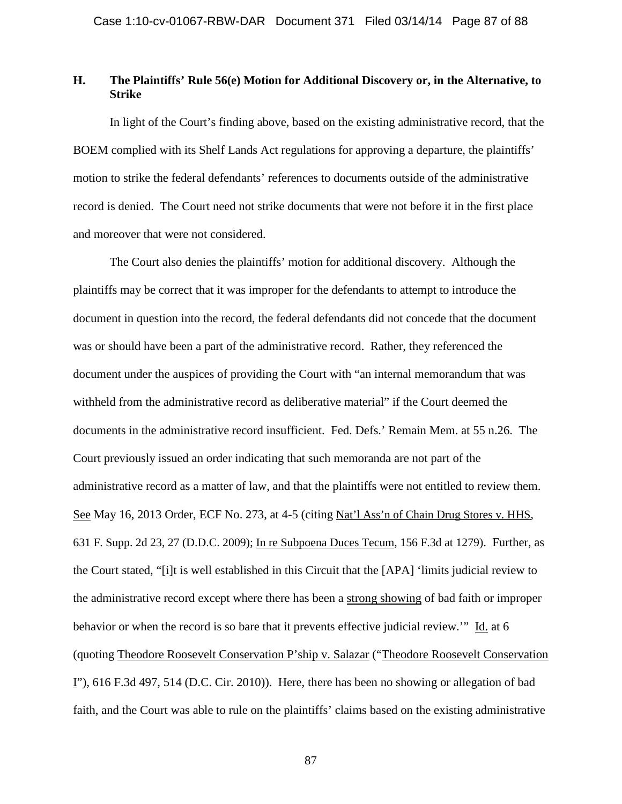# **H. The Plaintiffs' Rule 56(e) Motion for Additional Discovery or, in the Alternative, to Strike**

In light of the Court's finding above, based on the existing administrative record, that the BOEM complied with its Shelf Lands Act regulations for approving a departure, the plaintiffs' motion to strike the federal defendants' references to documents outside of the administrative record is denied. The Court need not strike documents that were not before it in the first place and moreover that were not considered.

The Court also denies the plaintiffs' motion for additional discovery. Although the plaintiffs may be correct that it was improper for the defendants to attempt to introduce the document in question into the record, the federal defendants did not concede that the document was or should have been a part of the administrative record. Rather, they referenced the document under the auspices of providing the Court with "an internal memorandum that was withheld from the administrative record as deliberative material" if the Court deemed the documents in the administrative record insufficient. Fed. Defs.' Remain Mem. at 55 n.26. The Court previously issued an order indicating that such memoranda are not part of the administrative record as a matter of law, and that the plaintiffs were not entitled to review them. See May 16, 2013 Order, ECF No. 273, at 4-5 (citing Nat'l Ass'n of Chain Drug Stores v. HHS, 631 F. Supp. 2d 23, 27 (D.D.C. 2009); In re Subpoena Duces Tecum, 156 F.3d at 1279). Further, as the Court stated, "[i]t is well established in this Circuit that the [APA] 'limits judicial review to the administrative record except where there has been a strong showing of bad faith or improper behavior or when the record is so bare that it prevents effective judicial review.'" Id. at 6 (quoting Theodore Roosevelt Conservation P'ship v. Salazar ("Theodore Roosevelt Conservation I"), 616 F.3d 497, 514 (D.C. Cir. 2010)). Here, there has been no showing or allegation of bad faith, and the Court was able to rule on the plaintiffs' claims based on the existing administrative